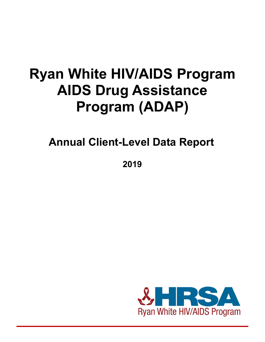# **Ryan White HIV/AIDS Program AIDS Drug Assistance Program (ADAP)**

**Annual Client-Level Data Report**

**2019**

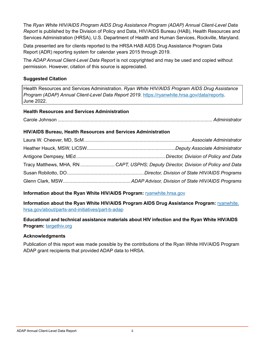The *Ryan White HIV/AIDS Program AIDS Drug Assistance Program (ADAP) Annual Client-Level Data Report* is published by the Division of Policy and Data, HIV/AIDS Bureau (HAB), Health Resources and Services Administration (HRSA), U.S. Department of Health and Human Services, Rockville, Maryland.

Data presented are for clients reported to the HRSA HAB AIDS Drug Assistance Program Data Report (ADR) reporting system for calendar years 2015 through 2019.

The *ADAP Annual Client-Level Data Report* is not copyrighted and may be used and copied without permission. However, citation of this source is appreciated.

#### **Suggested Citation**

Health Resources and Services Administration. *Ryan White HIV/AIDS Program AIDS Drug Assistance*  Program (ADAP) Annual Client-Level Data Report 2019. [https://ryanwhite.hrsa.gov/data/reports.](https://ryanwhite.hrsa.gov/data/reports) June 2022.

#### **Health Resources and Services Administration**

Carole Johnson ..................................................................................................................... *Administrator*

#### **HIV/AIDS Bureau, Health Resources and Services Administration**

**Information about the Ryan White HIV/AIDS Program:** [ryanwhite.hrsa.gov](https://ryanwhite.hrsa.gov)

Information about the Ryan White HIV/AIDS Program AIDS Drug Assistance Program: **[ryanwhite.](https://ryanwhite.hrsa.gov/about/parts-and-initiatives/part-b-adap)** [hrsa.gov/about/parts-and-initiatives/part-b-adap](https://ryanwhite.hrsa.gov/about/parts-and-initiatives/part-b-adap)

#### **Educational and technical assistance materials about HIV infection and the Ryan White HIV/AIDS Program:** [targethiv.org](https://targethiv.org/)

#### **Acknowledgments**

Publication of this report was made possible by the contributions of the Ryan White HIV/AIDS Program ADAP grant recipients that provided ADAP data to HRSA.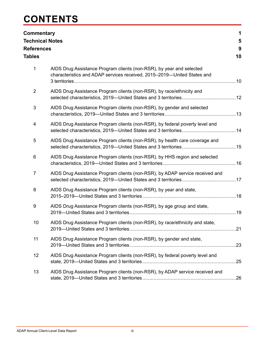## **CONTENTS**

| Commentary<br><b>Technical Notes</b><br><b>References</b><br><b>Tables</b> |                                                                                                                                                 | 1<br>5<br>9<br>10 |
|----------------------------------------------------------------------------|-------------------------------------------------------------------------------------------------------------------------------------------------|-------------------|
| 1                                                                          | AIDS Drug Assistance Program clients (non-RSR), by year and selected<br>characteristics and ADAP services received, 2015-2019-United States and |                   |
| $\overline{2}$                                                             | AIDS Drug Assistance Program clients (non-RSR), by race/ethnicity and                                                                           |                   |
| 3                                                                          | AIDS Drug Assistance Program clients (non-RSR), by gender and selected                                                                          |                   |
| 4                                                                          | AIDS Drug Assistance Program clients (non-RSR), by federal poverty level and                                                                    |                   |
| 5                                                                          | AIDS Drug Assistance Program clients (non-RSR), by health care coverage and                                                                     |                   |
| 6                                                                          | AIDS Drug Assistance Program clients (non-RSR), by HHS region and selected                                                                      |                   |
| $\overline{7}$                                                             | AIDS Drug Assistance Program clients (non-RSR), by ADAP service received and                                                                    |                   |
| 8                                                                          | AIDS Drug Assistance Program clients (non-RSR), by year and state,                                                                              |                   |
| 9                                                                          | AIDS Drug Assistance Program clients (non-RSR), by age group and state,                                                                         |                   |
| 10                                                                         | AIDS Drug Assistance Program clients (non-RSR), by race/ethnicity and state,                                                                    |                   |
| 11                                                                         | AIDS Drug Assistance Program clients (non-RSR), by gender and state,                                                                            |                   |
| 12                                                                         | AIDS Drug Assistance Program clients (non-RSR), by federal poverty level and                                                                    | .25               |
| 13                                                                         | AIDS Drug Assistance Program clients (non-RSR), by ADAP service received and                                                                    |                   |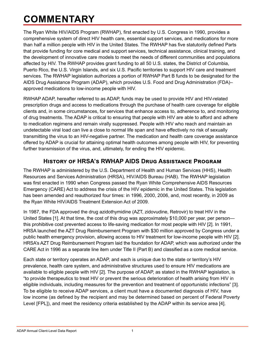# <span id="page-3-0"></span>**COMMENTARY**

The Ryan White HIV/AIDS Program (RWHAP), first enacted by U.S. Congress in 1990, provides a comprehensive system of direct HIV health care, essential support services, and medications for more than half a million people with HIV in the United States. The RWHAP has five statutorily defined Parts that provide funding for core medical and support services, technical assistance, clinical training, and the development of innovative care models to meet the needs of different communities and populations affected by HIV. The RWHAP provides grant funding to all 50 U.S. states, the District of Columbia, Puerto Rico, the U.S. Virgin Islands, and six U.S. Pacific territories to support HIV care and treatment services. The RWHAP legislation authorizes a portion of RWHAP Part B funds to be designated for the AIDS Drug Assistance Program (ADAP), which provides U.S. Food and Drug Administration (FDA)– approved medications to low-income people with HIV.

RWHAP ADAP, hereafter referred to as ADAP, funds may be used to provide HIV and HIV-related prescription drugs and access to medications through the purchase of health care coverage for eligible clients and, in some circumstances, for services that enhance access to, adherence to, and monitoring of drug treatments. The ADAP is critical to ensuring that people with HIV are able to afford and adhere to medication regimens and remain virally suppressed. People with HIV who reach and maintain an undetectable viral load can live a close to normal life span and have effectively no risk of sexually transmitting the virus to an HIV-negative partner. The medication and health care coverage assistance offered by ADAP is crucial for attaining optimal health outcomes among people with HIV, for preventing further transmission of the virus, and, ultimately, for ending the HIV epidemic.

### **History of HRSA's RWHAP AIDS Drug Assistance Program**

The RWHAP is administered by the U.S. Department of Health and Human Services (HHS), Health Resources and Services Administration (HRSA), HIV/AIDS Bureau (HAB). The RWHAP legislation was first enacted in 1990 when Congress passed the Ryan White Comprehensive AIDS Resources Emergency (CARE) Act to address the crisis of the HIV epidemic in the United States. This legislation has been amended and reauthorized four times: in 1996, 2000, 2006, and, most recently, in 2009 as the Ryan White HIV/AIDS Treatment Extension Act of 2009.

In 1987, the FDA approved the drug azidothymidine (AZT, zidovudine, Retrovir) to treat HIV in the United States [\[1\]](#page-11-1). At that time, the cost of this drug was approximately \$10,000 per year, per person this prohibitive cost prevented access to life-saving medication for most people with HIV [\[2\].](#page-11-2) In 1991, HRSA launched the AZT Drug Reimbursement Program with \$30 million approved by Congress under a public health emergency provision, allowing access to HIV treatment for low-income people with HIV [\[2\].](#page-11-2) HRSA's AZT Drug Reimbursement Program laid the foundation for ADAP, which was authorized under the CARE Act in 1996 as a separate line item under Title II (Part B) and classified as a core medical service.

Each state or territory operates an ADAP, and each is unique due to the state or territory's HIV prevalence, health care system, and administrative structures used to ensure HIV medications are available to eligible people with HIV [\[2\]](#page-11-2). The purpose of ADAP, as stated in the RWHAP legislation, is "to provide therapeutics to treat HIV or prevent the serious deterioration of health arising from HIV in eligible individuals, including measures for the prevention and treatment of opportunistic infections" [\[3\]](#page-11-3). To be eligible to receive ADAP services, a client must have a documented diagnosis of HIV, have low income (as defined by the recipient and may be determined based on percent of Federal Poverty Level [FPL]), and meet the residency criteria established by the ADAP within its service area [\[4\].](#page-11-4)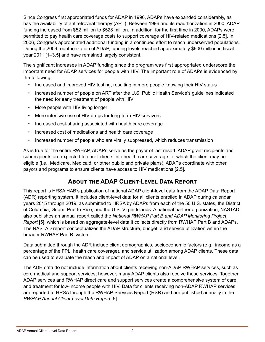Since Congress first appropriated funds for ADAP in 1996, ADAPs have expanded considerably, as has the availability of antiretroviral therapy (ART). Between 1996 and its reauthorization in 2000, ADAP funding increased from \$52 million to \$528 million. In addition, for the first time in 2000, ADAPs were permitted to pay health care coverage costs to support coverage of HIV-related medications [\[2](#page-11-2)[,5\]](#page-11-5). In 2006, Congress appropriated additional funding in a continued effort to reach underserved populations. During the 2009 reauthorization of ADAP, funding levels reached approximately \$900 million in fiscal year 2011 [\[1](#page-11-1)[–](#page-11-2)[3,](#page-11-3)[5\]](#page-11-5) and have remained largely consistent.

The significant increases in ADAP funding since the program was first appropriated underscore the important need for ADAP services for people with HIV. The important role of ADAPs is evidenced by the following:

- Increased and improved HIV testing, resulting in more people knowing their HIV status
- Increased number of people on ART after the U.S. Public Health Service's guidelines indicated the need for early treatment of people with HIV
- More people with HIV living longer
- More intensive use of HIV drugs for long-term HIV survivors
- Increased cost-sharing associated with health care coverage
- Increased cost of medications and health care coverage
- Increased number of people who are virally suppressed, which reduces transmission

As is true for the entire RWHAP, ADAPs serve as the payor of last resort. ADAP grant recipients and subrecipients are expected to enroll clients into health care coverage for which the client may be eligible (i.e., Medicare, Medicaid, or other public and private plans). ADAPs coordinate with other payors and programs to ensure clients have access to HIV medications [\[2,](#page-11-2)[5\]](#page-11-5).

### **About the ADAP Client-Level Data Report**

This report is HRSA HAB's publication of national ADAP client-level data from the ADAP Data Report (ADR) reporting system. It includes client-level data for all clients enrolled in ADAP during calendar years 2015 through 2019, as submitted to HRSA by ADAPs from each of the 50 U.S. states, the District of Columbia, Guam, Puerto Rico, and the U.S. Virgin Islands. A national partner organization, NASTAD, also publishes an annual report called the *National RWHAP Part B and ADAP Monitoring Project Report* [\[5\]](#page-11-5), which is based on aggregate-level data it collects directly from RWHAP Part B and ADAPs. The NASTAD report conceptualizes the ADAP structure, budget, and service utilization within the broader RWHAP Part B system.

Data submitted through the ADR include client demographics, socioeconomic factors (e.g., income as a percentage of the FPL, health care coverage), and service utilization among ADAP clients. These data can be used to evaluate the reach and impact of ADAP on a national level.

The ADR data do not include information about clients receiving non-ADAP RWHAP services, such as core medical and support services; however, many ADAP clients also receive these services. Together, ADAP services and RWHAP direct care and support services create a comprehensive system of care and treatment for low-income people with HIV. Data for clients receiving non-ADAP RWHAP services are reported to HRSA through the RWHAP Services Report (RSR) and are published annually in the *RWHAP Annual Client-Level Data Report* [\[6\]](#page-11-6).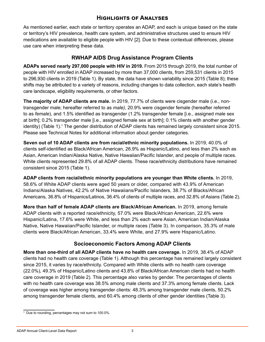#### **Highlights of Analyses**

As mentioned earlier, each state or territory operates an ADAP, and each is unique based on the state or territory's HIV prevalence, health care system, and administrative structures used to ensure HIV medications are available to eligible people with HIV [\[2\]](#page-11-2). Due to these contextual differences, please use care when interpreting these data.

#### **RWHAP AIDS Drug Assistance Program Clients**

**ADAPs served nearly 297,000 people with HIV in 2019.** From 2015 through 2019, the total number of people with HIV enrolled in ADAP increased by more than 37,000 clients, from 259,531 clients in 2015 to 296,930 clients in 2019 (Table 1). By state, the data have shown variability since 2015 (Table 8); these shifts may be attributed to a variety of reasons, including changes to data collection, each state's health care landscape, eligibility requirements, or other factors.

**The majority of ADAP clients are male.** In 2019, 77.7% of clients were cisgender male (i.e., nontransgender male; hereafter referred to as *male)*, 20.9% were cisgender female (hereafter referred to as *female*), and 1.5% identified as transgender (1.2% transgender female [i.e., assigned male sex at birth]; 0.2% transgender male [i.e., assigned female sex at birth]; 0.1% clients with another gender identity) (Table 1).<sup>1</sup> The gender distribution of ADAP clients has remained largely consistent since 2015. Please see Technical Notes for additional information about gender categories.

**Seven out of 10 ADAP clients are from racial/ethnic minority populations.** In 2019, 40.0% of clients self-identified as Black/African American, 26.9% as Hispanic/Latino, and less than 2% each as Asian, American Indian/Alaska Native, Native Hawaiian/Pacific Islander, and people of multiple races. White clients represented 29.8% of all ADAP clients. These race/ethnicity distributions have remained consistent since 2015 (Table 1).

**ADAP clients from racial/ethnic minority populations are younger than White clients.** In 2019, 58.6% of White ADAP clients were aged 50 years or older, compared with 43.9% of American Indians/Alaska Natives, 42.2% of Native Hawaiians/Pacific Islanders, 38.7% of Blacks/African Americans, 36.8% of Hispanics/Latinos, 36.4% of clients of multiple races, and 32.8% of Asians (Table 2).

**More than half of female ADAP clients are Black/African American.** In 2019, among female ADAP clients with a reported race/ethnicity, 57.0% were Black/African American, 22.6% were Hispanic/Latina, 17.6% were White, and less than 2% each were Asian, American Indian/Alaska Native, Native Hawaiian/Pacific Islander, or multiple races (Table 3). In comparison, 35.3% of male clients were Black/African American, 33.4% were White, and 27.9% were Hispanic/Latino.

### **Socioeconomic Factors Among ADAP Clients**

**More than one-third of all ADAP clients have no health care coverage.** In 2019, 38.4% of ADAP clients had no health care coverage (Table 1). Although this percentage has remained largely consistent since 2015, it varies by race/ethnicity. Compared with White clients with no health care coverage (22.0%), 49.3% of Hispanic/Latino clients and 43.8% of Black/African American clients had no health care coverage in 2019 (Table 2). This percentage also varies by gender. The percentages of clients with no health care coverage was 38.5% among male clients and 37.3% among female clients. Lack of coverage was higher among transgender clients: 48.3% among transgender male clients, 50.2% among transgender female clients, and 60.4% among clients of other gender identities (Table 3).

<sup>&</sup>lt;sup>1</sup> Due to rounding, percentages may not sum to 100.0%.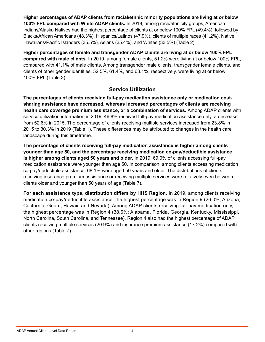**Higher percentages of ADAP clients from racial/ethnic minority populations are living at or below 100% FPL compared with White ADAP clients.** In 2019, among race/ethnicity groups, American Indians/Alaska Natives had the highest percentage of clients at or below 100% FPL (49.4%), followed by Blacks/African Americans (48.3%), Hispanics/Latinos (47.9%), clients of multiple races (41.2%), Native Hawaiians/Pacific Islanders (35.5%), Asians (35.4%), and Whites (33.5%) (Table 2).

**Higher percentages of female and transgender ADAP clients are living at or below 100% FPL compared with male clients.** In 2019, among female clients, 51.2% were living at or below 100% FPL, compared with 41.1% of male clients. Among transgender male clients, transgender female clients, and clients of other gender identities, 52.5%, 61.4%, and 63.1%, respectively, were living at or below 100% FPL (Table 3).

#### **Service Utilization**

**The percentages of clients receiving full-pay medication assistance only or medication costsharing assistance have decreased, whereas increased percentages of clients are receiving health care coverage premium assistance, or a combination of services.** Among ADAP clients with service utilization information in 2019, 46.8% received full-pay medication assistance only, a decrease from 52.6% in 2015. The percentage of clients receiving multiple services increased from 23.8% in 2015 to 30.3% in 2019 (Table 1). These differences may be attributed to changes in the health care landscape during this timeframe.

**The percentage of clients receiving full-pay medication assistance is higher among clients younger than age 50, and the percentage receiving medication co-pay/deductible assistance is higher among clients aged 50 years and older.** In 2019, 69.0% of clients accessing full-pay medication assistance were younger than age 50. In comparison, among clients accessing medication co-pay/ deductible assistance, 68.1% were aged 50 years and older. The distributions of clients receiving insurance premium assistance or receiving multiple services were relatively even between clients older and younger than 50 years of age (Table 7).

**For each assistance type, distribution differs by HHS Region.** In 2019, among clients receiving medication co-pay/deductible assistance, the highest percentage was in Region 9 (26.0%; Arizona, California, Guam, Hawaii, and Nevada). Among ADAP clients receiving full-pay medication only, the highest percentage was in Region 4 (38.6%; Alabama, Florida, Georgia, Kentucky, Mississippi, North Carolina, South Carolina, and Tennessee). Region 4 also had the highest percentage of ADAP clients receiving multiple services (20.9%) and insurance premium assistance (17.2%) compared with other regions (Table 7).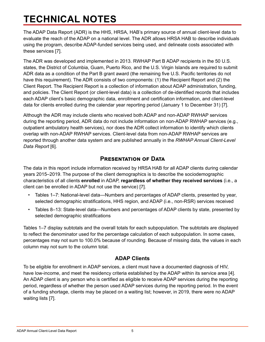# <span id="page-7-0"></span>**TECHNICAL NOTES**

The ADAP Data Report (ADR) is the HHS, HRSA, HAB's primary source of annual client-level data to evaluate the reach of the ADAP on a national level. The ADR allows HRSA HAB to describe individuals using the program, describe ADAP-funded services being used, and delineate costs associated with these services [\[7\].](#page-11-7)

The ADR was developed and implemented in 2013. RWHAP Part B ADAP recipients in the 50 U.S. states, the District of Columbia, Guam, Puerto Rico, and the U.S. Virgin Islands are required to submit ADR data as a condition of the Part B grant award (the remaining five U.S. Pacific territories do not have this requirement). The ADR consists of two components: (1) the Recipient Report and (2) the Client Report. The Recipient Report is a collection of information about ADAP administration, funding, and policies. The Client Report (or client-level data) is a collection of de-identified records that includes each ADAP client's basic demographic data, enrollment and certification information, and client-level data for clients enrolled during the calendar year reporting period (January 1 to December 31) [\[7\].](#page-11-7)

Although the ADR may include clients who received both ADAP and non-ADAP RWHAP services during the reporting period, ADR data do not include information on non-ADAP RWHAP services (e.g., outpatient ambulatory health services), nor does the ADR collect information to identify which clients overlap with non-ADAP RWHAP services. Client-level data from non-ADAP RWHAP services are reported through another data system and are published annually in the *RWHAP Annual Client-Level Data Report* [\[6\].](#page-11-6)

### **Presentation of Data**

The data in this report include information received by HRSA HAB for all ADAP clients during calendar years 2015–2019. The purpose of the client demographics is to describe the sociodemographic characteristics of all clients **enrolled** in ADAP, **regardless of whether they received services** (i.e., a client can be enrolled in ADAP but not use the service) [\[7\]](#page-11-7).

- Tables 1–7: National-level data—Numbers and percentages of ADAP clients, presented by year, selected demographic stratifications, HHS region, and ADAP (i.e., non-RSR) services received
- Tables 8‒13: State-level data—Numbers and percentages of ADAP clients by state, presented by selected demographic stratifications

Tables 1–7 display subtotals and the overall totals for each subpopulation. The subtotals are displayed to reflect the denominator used for the percentage calculation of each subpopulation. In some cases, percentages may not sum to 100.0% because of rounding. Because of missing data, the values in each column may not sum to the column total.

#### **ADAP Clients**

To be eligible for enrollment in ADAP services, a client must have a documented diagnosis of HIV, have low-income, and meet the residency criteria established by the ADAP within its service area [\[4\]](#page-11-4). An ADAP client is any person who is certified as eligible to receive ADAP services during the reporting period, regardless of whether the person used ADAP services during the reporting period. In the event of a funding shortage, clients may be placed on a waiting list; however, in 2019, there were no ADAP waiting lists [\[7\].](#page-11-7)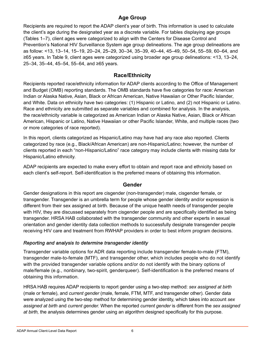#### **Age Group**

Recipients are required to report the ADAP client's year of birth. This information is used to calculate the client's age during the designated year as a discrete variable. For tables displaying age groups (Tables 1–7), client ages were categorized to align with the Centers for Disease Control and Prevention's National HIV Surveillance System age group delineations. The age group delineations are as follow: <13, 13–14, 15–19, 20–24, 25–29, 30–34, 35–39, 40–44, 45–49, 50–54, 55–59, 60–64, and ≥65 years. In Table 9, client ages were categorized using broader age group delineations: <13, 13‒24, 25–34, 35–44, 45–54, 55–64, and ≥65 years.

#### **Race/Ethnicity**

Recipients reported race/ethnicity information for ADAP clients according to the Office of Management and Budget (OMB) reporting standards. The OMB standards have five categories for race: American Indian or Alaska Native, Asian, Black or African American, Native Hawaiian or Other Pacific Islander, and White. Data on ethnicity have two categories: (1) Hispanic or Latino, and (2) not Hispanic or Latino. Race and ethnicity are submitted as separate variables and combined for analysis. In the analysis, the race/ethnicity variable is categorized as American Indian or Alaska Native, Asian, Black or African American, Hispanic or Latino, Native Hawaiian or other Pacific Islander, White, and multiple races (two or more categories of race reported).

In this report, clients categorized as Hispanic/Latino may have had any race also reported. Clients categorized by race (e.g., Black/African American) are non-Hispanic/Latino; however, the number of clients reported in each "non-Hispanic/Latino" race category may include clients with missing data for Hispanic/Latino ethnicity.

ADAP recipients are expected to make every effort to obtain and report race and ethnicity based on each client's self-report. Self-identification is the preferred means of obtaining this information.

#### **Gender**

Gender designations in this report are cisgender (non-transgender) male, cisgender female, or transgender. Transgender is an umbrella term for people whose gender identity and/or expression is different from their sex assigned at birth. Because of the unique health needs of transgender people with HIV, they are discussed separately from cisgender people and are specifically identified as being transgender. HRSA HAB collaborated with the transgender community and other experts in sexual orientation and gender identity data collection methods to successfully designate transgender people receiving HIV care and treatment from RWHAP providers in order to best inform program decisions.

#### *Reporting and analysis to determine transgender identity*

Transgender variable options for ADR data reporting include transgender female-to-male (FTM), transgender male-to-female (MTF), and transgender other, which includes people who do not identify with the provided transgender variable options and/or do not identify with the binary options of male/female (e.g., nonbinary, two-spirit, genderqueer). Self-identification is the preferred means of obtaining this information.

HRSA HAB requires ADAP recipients to report gender using a two-step method: *sex assigned at birth*  (male or female), and *current gender* (male, female, FTM, MTF, and transgender other). Gender data were analyzed using the two-step method for determining gender identity, which takes into account *sex assigned at birth* and *current gender.* When the reported *current gender* is different from the *sex assigned at birth,* the analysis determines gender using an algorithm designed specifically for this purpose.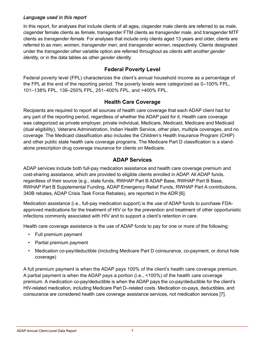#### *Language used in this report*

In this report, for analyses that include clients of all ages, cisgender male clients are referred to as *male*, cisgender female clients as *female,* transgender FTM clients as *transgender male*, and transgender MTF clients as *transgender female.* For analyses that include only clients aged 13 years and older, clients are referred to as *men, women*, *transgender men*, and *transgender women,* respectively. Clients designated under the *transgender other* variable option are referred throughout as *clients with another gender identity,* or in the data tables as *other gender identity.*

#### **Federal Poverty Level**

Federal poverty level (FPL) characterizes the client's annual household income as a percentage of the FPL at the end of the reporting period. The poverty levels were categorized as 0–100% FPL, 101–138% FPL, 139–250% FPL, 251–400% FPL, and >400% FPL.

#### **Health Care Coverage**

Recipients are required to report all sources of health care coverage that each ADAP client had for any part of the reporting period, regardless of whether the ADAP paid for it. Health care coverage was categorized as private employer, private individual, Medicare, Medicaid, Medicare and Medicaid (dual eligibility), Veterans Administration, Indian Health Service, other plan, multiple coverages, and no coverage. The Medicaid classification also includes the Children's Health Insurance Program (CHIP) and other public state health care coverage programs. The Medicare Part D classification is a standalone prescription drug coverage insurance for clients on Medicare.

#### **ADAP Services**

ADAP services include both full-pay medication assistance and health care coverage premium and cost-sharing assistance, which are provided to eligible clients enrolled in ADAP. All ADAP funds, regardless of their source (e.g., state funds, RWHAP Part B ADAP Base, RWHAP Part B Base, RWHAP Part B Supplemental Funding, ADAP Emergency Relief Funds, RWHAP Part A contributions, 340B rebates, ADAP Crisis Task Force Rebates), are reported in the ADR [\[6\].](#page-11-6)

Medication assistance (i.e., full-pay medication support) is the use of ADAP funds to purchase FDAapproved medications for the treatment of HIV or for the prevention and treatment of other opportunistic infections commonly associated with HIV and to support a client's retention in care.

Health care coverage assistance is the use of ADAP funds to pay for one or more of the following:

- Full premium payment
- Partial premium payment
- Medication co-pay/deductible (including Medicare Part D coinsurance, co-payment, or donut hole coverage)

A full premium payment is when the ADAP pays 100% of the client's health care coverage premium. A partial payment is when the ADAP pays a portion (i.e., <100%) of the health care coverage premium. A medication co-pay/deductible is when the ADAP pays the co-pay/deductible for the client's HIV-related medication, including Medicare Part D–related costs. Medication co-pays, deductibles, and coinsurance are considered health care coverage assistance services, not medication services [\[7\]](#page-11-7).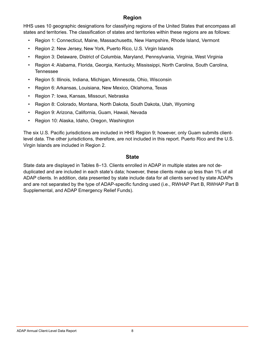#### **Region**

HHS uses 10 geographic designations for classifying regions of the United States that encompass all states and territories. The classification of states and territories within these regions are as follows:

- Region 1: Connecticut, Maine, Massachusetts, New Hampshire, Rhode Island, Vermont
- Region 2: New Jersey, New York, Puerto Rico, U.S. Virgin Islands
- Region 3: Delaware, District of Columbia, Maryland, Pennsylvania, Virginia, West Virginia
- Region 4: Alabama, Florida, Georgia, Kentucky, Mississippi, North Carolina, South Carolina, Tennessee
- Region 5: Illinois, Indiana, Michigan, Minnesota, Ohio, Wisconsin
- Region 6: Arkansas, Louisiana, New Mexico, Oklahoma, Texas
- Region 7: Iowa, Kansas, Missouri, Nebraska
- Region 8: Colorado, Montana, North Dakota, South Dakota, Utah, Wyoming
- Region 9: Arizona, California, Guam, Hawaii, Nevada
- Region 10: Alaska, Idaho, Oregon, Washington

The six U.S. Pacific jurisdictions are included in HHS Region 9; however, only Guam submits clientlevel data. The other jurisdictions, therefore, are not included in this report. Puerto Rico and the U.S. Virgin Islands are included in Region 2.

#### **State**

State data are displayed in Tables 8–13. Clients enrolled in ADAP in multiple states are not deduplicated and are included in each state's data; however, these clients make up less than 1% of all ADAP clients. In addition, data presented by state include data for all clients served by state ADAPs and are not separated by the type of ADAP-specific funding used (i.e., RWHAP Part B, RWHAP Part B Supplemental, and ADAP Emergency Relief Funds).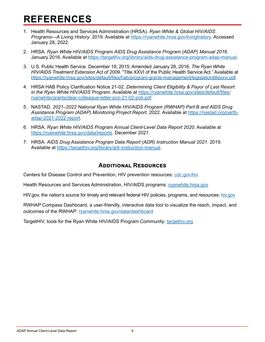## <span id="page-11-0"></span>**REFERENCES**

- <span id="page-11-1"></span>1. Health Resources and Services Administration (HRSA). *Ryan White & Global HIV/AIDS Programs—A Living History*. 2019. Available at [https://ryanwhite.hrsa.gov/livinghistory.](https://ryanwhite.hrsa.gov/livinghistory) Accessed January 28, 2022.
- <span id="page-11-2"></span>2. HRSA. *Ryan White HIV/AIDS Program AIDS Drug Assistance Program (ADAP) Manual 2016*. January 2016. Available at <https://targethiv.org/library/aids-drug-assistance-program-adap-manual>.
- <span id="page-11-3"></span>3. U.S. Public Health Service. December 18, 2015; Amended January 28, 2016. *The Ryan White HIV/AIDS T reatment Extension Act of 2009*. "Title XXVI of the Public Health Service Act." Available at [https://ryanwhite.hrsa.gov/sites/default/files/hab/program-grants-management/legislationtitlexxvi.pdf](https://hab.hrsa.gov/sites/default/files/hab/program-grants-management/legislationtitlexxvi.pdf).
- <span id="page-11-4"></span>4. HRSA HAB Policy Clarification Notice 21-02. *Determining Client Eligibility & Payor of Last Resort in the Ryan White HIV/AIDS Program.* Available at [https://ryanwhite.hrsa.gov/sites/default/files/](https://ryanwhite.hrsa.gov/sites/default/files/ryanwhite/grants/dear-colleague-letter-pcn-21-02-polr.pdf) [ryanwhite/grants/dear-colleague-letter-pcn-21-02-polr.pdf.](https://ryanwhite.hrsa.gov/sites/default/files/ryanwhite/grants/dear-colleague-letter-pcn-21-02-polr.pdf)
- <span id="page-11-5"></span>5. NASTAD. *2021–2022 National Ryan White HIV/AIDS Program (RWHAP) Part B and AIDS Drug Assistance Program (ADAP) Monitoring Project Report*. 2022. Available at [https://nastad.org/partb](https://nastad.org/partb-adap-2021-2022-report)[adap-2021-2022-report](https://nastad.org/partb-adap-2021-2022-report).
- <span id="page-11-6"></span>6. HRSA. *Ryan White HIV/AIDS Program Annual Client-Level Data Report 2020*. Available at <https://ryanwhite.hrsa.gov/data/reports>. December 2021.
- <span id="page-11-7"></span>7. HRSA. *AIDS Drug Assistance Program Data Report (ADR) Instruction Manual 2021*. 2019. Available at [https://targethiv.org/library/adr-instruction-manual.](https://targethiv.org/library/adr-instruction-manual)

#### **Additional Resources**

Centers for Disease Control and Prevention, HIV prevention resources: [cdc.gov/hiv](https://www.cdc.gov/hiv)

Health Resources and Services Administration, HIV/AIDS programs: [ryanwhite.hrsa.gov](https://ryanwhite.hrsa.gov)

HIV.gov, the nation's source for timely and relevant federal HIV policies, programs, and resources: [hiv.gov](https://www.hiv.gov/)

RWHAP Compass Dashboard, a user-friendly, interactive data tool to visualize the reach, impact, and outcomes of the RWHAP: [ryanwhite.hrsa.gov/data/dashboard](https://ryanwhite.hrsa.gov/data/dashboard)

TargetHIV, tools for the Ryan White HIV/AIDS Program Community: [targethiv.org](https://targethiv.org/)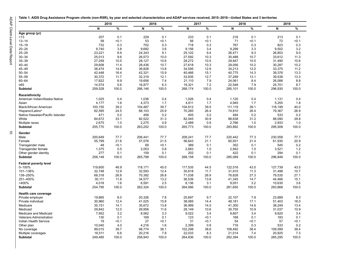$\vec{\circ}$ 

<span id="page-12-0"></span>

| Table 1. AIDS Drug Assistance Program clients (non-RSR), by year and selected characteristics and ADAP services received, 2015–2019—United States and 3 territories |  |
|---------------------------------------------------------------------------------------------------------------------------------------------------------------------|--|
|---------------------------------------------------------------------------------------------------------------------------------------------------------------------|--|

|                                  | 2015    |       | 2016        |       | 2017         |       | 2018    |       |         | 2019  |
|----------------------------------|---------|-------|-------------|-------|--------------|-------|---------|-------|---------|-------|
|                                  | N       | $\%$  | $\mathbf N$ | $\%$  | $\mathsf{N}$ | %     | N       | $\%$  | N       | $\%$  |
| Age group (yr)                   |         |       |             |       |              |       |         |       |         |       |
| < 13                             | 207     | 0.1   | 229         | 0.1   | 233          | 0.1   | 216     | 0.1   | 213     | 0.1   |
| $13 - 14$                        | 58      | < 0.1 | 53          | < 0.1 | 56           | < 0.1 | 71      | < 0.1 | 72      | < 0.1 |
| $15 - 19$                        | 732     | 0.3   | 702         | 0.3   | 718          | 0.3   | 767     | 0.3   | 823     | 0.3   |
| $20 - 24$                        | 9,740   | 3.8   | 9,682       | 3.6   | 9,156        | 3.4   | 9,299   | 3.3   | 9,502   | 3.2   |
| $25 - 29$                        | 23,221  | 8.9   | 24,343      | 9.1   | 25,102       | 9.4   | 26,471  | 9.3   | 26,853  | 9.0   |
| $30 - 34$                        | 25,013  | 9.6   | 26,573      | 10.0  | 27,592       | 10.3  | 30,488  | 10.7  | 33,612  | 11.3  |
| $35 - 39$                        | 27,259  | 10.5  | 28,127      | 10.6  | 28,272       | 10.5  | 29,847  | 10.5  | 31,490  | 10.6  |
| $40 - 44$                        | 29,608  | 11.4  | 28,436      | 10.7  | 27,618       | 10.3  | 29,056  | 10.2  | 30,287  | 10.2  |
| 45-49                            | 38,474  | 14.8  | 36,828      | 13.8  | 34,595       | 12.9  | 34,213  | 12.0  | 33,375  | 11.2  |
| $50 - 54$                        | 42,448  | 16.4  | 42,321      | 15.9  | 40,466       | 15.1  | 40,775  | 14.3  | 39,376  | 13.3  |
| 55-59                            | 30,372  | 11.7  | 32,319      | 12.1  | 33,935       | 12.7  | 37,289  | 13.1  | 39,538  | 13.3  |
| $60 - 64$                        | 17,822  | 6.9   | 19,656      | 7.4   | 21,110       | 7.9   | 24,061  | 8.4   | 26,088  | 8.8   |
| $\geq 65$                        | 14,574  | 5.6   | 16,877      | 6.3   | 19,321       | 7.2   | 22,548  | 7.9   | 25,701  | 8.7   |
| <b>Subtotal</b>                  | 259,528 | 100.0 | 266,146     | 100.0 | 268,174      | 100.0 | 285,101 | 100.0 | 296,930 | 100.0 |
| Race/ethnicity                   |         |       |             |       |              |       |         |       |         |       |
| American Indian/Alaska Native    | 1,025   | 0.4   | 1,036       | 0.4   | 1,026        | 0.4   | 1.120   | 0.4   | 1,131   | 0.4   |
| Asian                            | 4,177   | 1.6   | 4,373       | 1.7   | 4,611        | 1.7   | 4,945   | 1.7   | 5,255   | 1.8   |
| Black/African American           | 100,155 | 39.2  | 104,487     | 39.7  | 104,912      | 39.5  | 111,119 | 39.1  | 118,199 | 40.0  |
| Hispanic/Latino <sup>a</sup>     | 62,595  | 24.5  | 68,103      | 25.9  | 70,285       | 26.4  | 74,810  | 26.4  | 79,367  | 26.9  |
| Native Hawaiian/Pacific Islander | 471     | 0.2   | 456         | 0.2   | 405          | 0.2   | 494     | 0.2   | 533     | 0.2   |
| White                            | 84,672  | 33.1  | 82,522      | 31.3  | 82,045       | 30.9  | 88,638  | 31.2  | 88,090  | 29.8  |
| Multiple races                   | 2,675   | 1.0   | 2,275       | 0.9   | 2,489        | 0.9   | 2,766   | 1.0   | 2,933   | 1.0   |
| <b>Subtotal</b>                  | 255,770 | 100.0 | 263,252     | 100.0 | 265,773      | 100.0 | 283,892 | 100.0 | 295,508 | 100.0 |
| Gender                           |         |       |             |       |              |       |         |       |         |       |
| Male                             | 200,649 | 77.7  | 206,441     | 77.7  | 208,241      | 77.7  | 220,442 | 77.3  | 230,558 | 77.7  |
| Female                           | 55,799  | 21.6  | 57,076      | 21.5  | 56,643       | 21.1  | 60,931  | 21.4  | 61,930  | 20.9  |
| Transgender male                 | 48      | < 0.1 | 69          | < 0.1 | 389          | 0.1   | 352     | 0.1   | 545     | 0.2   |
| Transgender female               | 1,375   | 0.5   | 2,053       | 0.8   | 2,683        | 1.0   | 2,942   | 1.0   | 3,521   | 1.2   |
| Other gender identity            | 277     | 0.1   | 159         | 0.1   | 202          | 0.1   | 422     | 0.1   | 294     | 0.1   |
| <b>Subtotal</b>                  | 258,148 | 100.0 | 265,798     | 100.0 | 268,158      | 100.0 | 285,089 | 100.0 | 296,848 | 100.0 |
| <b>Federal poverty level</b>     |         |       |             |       |              |       |         |       |         |       |
| 0-100%                           | 119,600 | 46.9  | 118,171     | 45.0  | 117,535      | 44.5  | 122,516 | 43.5  | 127,739 | 43.5  |
| 101-138%                         | 32,748  | 12.9  | 32,593      | 12.4  | 30,818       | 11.7  | 31,910  | 11.3  | 31,498  | 10.7  |
| 139-250%                         | 68,318  | 26.8  | 70,392      | 26.8  | 71,038       | 26.9  | 76,828  | 27.3  | 79,535  | 27.1  |
| 251-400%                         | 30,111  | 11.8  | 34,577      | 13.2  | 36,539       | 13.8  | 41,345  | 14.7  | 44,466  | 15.1  |
| >400%                            | 4,018   | 1.6   | 6,591       | 2.5   | 8,136        | 3.1   | 9,051   | 3.2   | 10,630  | 3.6   |
| Subtotal                         | 254,795 | 100.0 | 262,324     | 100.0 | 264,066      | 100.0 | 281,650 | 100.0 | 293,868 | 100.0 |
| <b>Health care coverage</b>      |         |       |             |       |              |       |         |       |         |       |
| Private employer                 | 19,865  | 8.0   | 20,326      | 7.8   | 25,697       | 9.7   | 22,107  | 7.8   | 23,689  | 8.3   |
| Private individual               | 30,960  | 12.4  | 41,025      | 15.8  | 38,085       | 14.4  | 48,181  | 17.1  | 51,403  | 18.0  |
| Medicare                         | 35,151  | 14.1  | 35,672      | 13.8  | 36,999       | 14.0  | 41,300  | 14.6  | 38,249  | 13.4  |
| Medicaid                         | 29,842  | 12.0  | 29,956      | 11.6  | 28,149       | 10.6  | 30,755  | 10.9  | 31,037  | 10.9  |
| Medicare and Medicaid            | 7,952   | 3.2   | 8,562       | 3.3   | 9,022        | 3.4   | 9,607   | 3.4   | 9,620   | 3.4   |
| <b>Veterans Administration</b>   | 130     | 0.1   | 169         | 0.1   | 123          | < 0.1 | 168     | 0.1   | 183     | 0.1   |
| Indian Health Service            | 19      | < 0.1 | 27          | < 0.1 | 31           | < 0.1 | 54      | < 0.1 | 57      | < 0.1 |
| Other plan                       | 10,040  | 4.0   | 4,216       | 1.6   | 2,399        | 0.9   | 716     | 0.3   | 533     | 0.2   |
| No coverage                      | 99,015  | 39.7  | 98,774      | 38.1  | 102,298      | 38.6  | 108,492 | 38.4  | 109,599 | 38.4  |
| Multiple coverages               | 16,511  | 6.6   | 20,216      | 7.8   | 22,033       | 8.3   | 21,014  | 7.4   | 20,925  | 7.3   |
| <b>Subtotal</b>                  | 249,485 | 100.0 | 258,943     | 100.0 | 264,836      | 100.0 | 282,394 | 100.0 | 285,295 | 100.0 |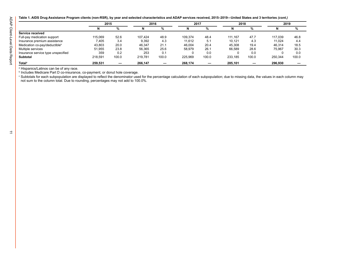Table 1. AIDS Drug Assistance Program clients (non-RSR), by year and selected characteristics and ADAP services received, 2015-2019-United States and 3 territories (cont.)

|                                           | 2015    |                          | 2016    |                          | 2017    |                          | 2018    |       | 2019    |       |
|-------------------------------------------|---------|--------------------------|---------|--------------------------|---------|--------------------------|---------|-------|---------|-------|
|                                           | N       | %                        | N       | %                        |         | %                        | %       |       | N       | %     |
| Service received                          |         |                          |         |                          |         |                          |         |       |         |       |
| Full-pay medication support               | 115,069 | 52.6                     | 107.424 | 48.9                     | 109.374 | 48.4                     | 111.167 | 47.7  | 117.039 | 46.8  |
| Insurance premium assistance              | 7,405   | 3.4                      | 9,392   | 4.3                      | 11,612  | 5.1                      | 10.121  | 4.3   | 11.024  | 4.4   |
| Medication co-pay/deductible <sup>b</sup> | 43,803  | 20.0                     | 46.347  | 21.1                     | 46,004  | 20.4                     | 45.308  | 19.4  | 46,314  | 18.5  |
| Multiple services                         | 51.955  | 23.8                     | 56,365  | 25.6                     | 58.979  | 26.1                     | 66.589  | 28.6  | 75,967  | 30.3  |
| Insurance service type unspecified        | 359     | 0.2                      | 253     | 0.1                      |         | 0.0                      |         | 0.0   |         | 0.0   |
| <b>Subtotal</b>                           | 218.591 | 100.0                    | 219.781 | 100.0                    | 225.969 | 100.0                    | 233.185 | 100.0 | 250.344 | 100.0 |
| Total <sup>c</sup>                        | 259,531 | $\overline{\phantom{m}}$ | 266.147 | $\overline{\phantom{0}}$ | 268.174 | $\overline{\phantom{a}}$ | 285.101 |       | 296.930 |       |

ª Hispanics/Latinos can be of any race.<br><sup>b</sup> Includes Medicare Part D co-insurance, co-payment, or donut hole coverage.

expression of the column total. Due to rounding, percentages may not add to 100.0%.<br>Not sum to the column total. Due to rounding, percentages may not add to 100.0%.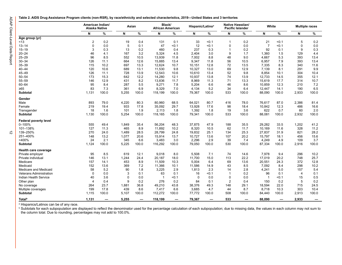<span id="page-14-0"></span>

|  |  | Table 2. AIDS Drug Assistance Program clients (non-RSR), by race/ethnicity and selected characteristics, 2019—United States and 3 territories |  |  |
|--|--|-----------------------------------------------------------------------------------------------------------------------------------------------|--|--|
|--|--|-----------------------------------------------------------------------------------------------------------------------------------------------|--|--|

|                                | <b>Alaska Native</b> | American Indian/ | Asian       |                                | Black/<br><b>African American</b> |       | Hispanic/Latino <sup>a</sup> |                          |                | Native Hawaiian/<br><b>Pacific Islander</b> | White          |                          |                | <b>Multiple races</b> |
|--------------------------------|----------------------|------------------|-------------|--------------------------------|-----------------------------------|-------|------------------------------|--------------------------|----------------|---------------------------------------------|----------------|--------------------------|----------------|-----------------------|
|                                | N                    | %                | N           | %                              | N                                 | %     | N                            | %                        | N              | %                                           | N              | $\overline{\frac{9}{6}}$ | N              | $\%$                  |
| Age group (yr)                 |                      |                  |             |                                |                                   |       |                              |                          |                |                                             |                |                          |                |                       |
| < 13                           | $\overline{2}$       | 0.2              | 19          | 0.4                            | 131                               | 0.1   | 33                           | < 0.1                    | 1              | 0.2                                         | 21             | < 0.1                    | 5              | 0.2                   |
| $13 - 14$                      | 0                    | 0.0              | 5           | 0.1                            | 47                                | < 0.1 | 12                           | < 0.1                    | 0              | 0.0                                         | $\overline{7}$ | < 0.1                    | 0              | 0.0                   |
| $15 - 19$                      | 3                    | 0.3              | 13          | 0.2                            | 460                               | 0.4   | 237                          | 0.3                      | $\mathbf 1$    | 0.2                                         | 92             | 0.1                      | 9              | 0.3                   |
| $20 - 24$                      | 46                   | 4.1              | 167         | 3.2                            | 5,324                             | 4.5   | 2,404                        | 3.0                      | 9              | 1.7                                         | 1,360          | 1.5                      | 129            | 4.4                   |
| $25 - 29$                      | 96                   | 8.5              | 552         | 10.5                           | 13,939                            | 11.8  | 7,002                        | 8.8                      | 48             | 9.0                                         | 4,667          | 5.3                      | 393            | 13.4                  |
| $30 - 34$                      | 126                  | 11.1             | 664         | 12.6                           | 15,885                            | 13.4  | 9,347                        | 11.8                     | 56             | 10.5                                        | 6,957          | 7.9                      | 393            | 13.4                  |
| $35 - 39$                      | 115                  | 10.2             | 697         | 13.3                           | 12,624                            | 10.7  | 10,151                       | 12.8                     | 72             | 13.5                                        | 7,335          | 8.3                      | 340            | 11.6                  |
| $40 - 44$                      | 120                  | 10.6             | 689         | 13.1                           | 11,530                            | 9.8   | 10,327                       | 13.0                     | 69             | 12.9                                        | 7,139          | 8.1                      | 291            | 9.9                   |
| $45 - 49$                      | 126                  | 11.1             | 728         | 13.9                           | 12,543                            | 10.6  | 10,610                       | 13.4                     | 52             | 9.8                                         | 8,854          | 10.1                     | 304            | 10.4                  |
| $50 - 54$                      | 173                  | 15.3             | 642         | 12.2                           | 14,280                            | 12.1  | 10,937                       | 13.8                     | 74             | 13.9                                        | 12,733         | 14.5                     | 355            | 12.1                  |
| 55-59                          | 146                  | 12.9             | 431         | 8.2                            | 13,836                            | 11.7  | 8,969                        | 11.3                     | 71             | 13.3                                        | 15,619         | 17.7                     | 314            | 10.7                  |
| $60 - 64$                      | 95                   | 8.4              | 287         | 5.5                            | 9,271                             | 7.8   | 5,204                        | 6.6                      | 46             | 8.6                                         | 10,859         | 12.3                     | 210            | 7.2                   |
| ≥65                            | 83                   | 7.3              | 361         | 6.9                            | 8,329                             | 7.0   | 4,134                        | 5.2                      | 34             | 6.4                                         | 12,447         | 14.1                     | 190            | 6.5                   |
| Subtotal                       | 1,131                | 100.0            | 5,255       | 100.0                          | 118,199                           | 100.0 | 79,367                       | 100.0                    | 533            | 100.0                                       | 88,090         | 100.0                    | 2,933          | 100.0                 |
| Gender                         |                      |                  |             |                                |                                   |       |                              |                          |                |                                             |                |                          |                |                       |
| Male                           | 893                  | 79.0             | 4,220       | 80.3                           | 80,960                            | 68.5  | 64,021                       | 80.7                     | 416            | 78.0                                        | 76,617         | 87.0                     | 2,386          | 81.4                  |
| Female                         | 219                  | 19.4             | 933         | 17.8                           | 35,092                            | 29.7  | 13,928                       | 17.6                     | 98             | 18.4                                        | 10,842         | 12.3                     | 486            | 16.6                  |
| Transgender                    | 18                   | 1.6              | 101         | 1.9                            | 2,113                             | 1.8   | 1,392                        | 1.8                      | 19             | 3.6                                         | 622            | 0.7                      | 60             | 2.0                   |
| <b>Subtotal</b>                | 1,130                | 100.0            | 5,254       | 100.0                          | 118,165                           | 100.0 | 79,341                       | 100.0                    | 533            | 100.0                                       | 88,081         | 100.0                    | 2,932          | 100.0                 |
| Federal poverty level          |                      |                  |             |                                |                                   |       |                              |                          |                |                                             |                |                          |                |                       |
| 0-100%                         | 555                  | 49.4             | 1,849       | 35.4                           | 56,204                            | 48.3  | 37,875                       | 47.9                     | 188            | 35.5                                        | 29,282         | 33.5                     | 1,202          | 41.2                  |
| 101-138%                       | 127                  | 11.3             | 465         | 8.9                            | 11,892                            | 10.2  | 8,320                        | 10.5                     | 62             | 11.7                                        | 10,169         | 11.6                     | 328            | 11.2                  |
| 139-250%                       | 270                  | 24.0             | 1,489       | 28.5                           | 28,799                            | 24.8  | 19,832                       | 25.1                     | 134            | 25.3                                        | 27,837         | 31.9                     | 821            | 28.2                  |
| 251-400%                       | 148                  | 13.2             | 1,077       | 20.6                           | 15,914                            | 13.7  | 10.727                       | 13.6                     | 107            | 20.2                                        | 15,797         | 18.1                     | 456            | 15.6                  |
| >400%                          | 24                   | 2.1              | 345         | 6.6                            | 3,483                             | 3.0   | 2,296                        | 2.9                      | 39             | 7.4                                         | 4,249          | 4.9                      | 109            | 3.7                   |
| <b>Subtotal</b>                | 1,124                | 100.0            | 5,225       | 100.0                          | 116,292                           | 100.0 | 79,050                       | 100.0                    | 530            | 100.0                                       | 87,334         | 100.0                    | 2,916          | 100.0                 |
| Health care coverage           |                      |                  |             |                                |                                   |       |                              |                          |                |                                             |                |                          |                |                       |
| Private employer               | 95                   | 8.5              | 619         | 12.1                           | 9,018                             | 8.0   | 5,508                        | 7.1                      | 74             | 14.6                                        | 7,978          | 9.4                      | 296            | 10.2                  |
| Private individual             | 146                  | 13.1             | 1,244       | 24.4                           | 20,187                            | 18.0  | 11,700                       | 15.0                     | 113            | 22.2                                        | 17,019         | 20.2                     | 748            | 25.7                  |
| Medicare                       | 157                  | 14.1             | 453         | 8.9                            | 11,509                            | 10.3  | 5,004                        | 6.4                      | 69             | 13.6                                        | 20,551         | 24.3                     | 372            | 12.8                  |
| Medicaid                       | 152                  | 13.6             | 369         | 7.2                            | 11,366                            | 10.1  | 11,586                       | 14.9                     | 43             | 8.5                                         | 7,092          | 8.4                      | 298            | 10.2                  |
| Medicare and Medicaid          | 58                   | 5.2              | 90          | 1.8                            | 3,225                             | 2.9   | 1,813                        | 2.3                      | 14             | 2.8                                         | 4,241          | 5.0                      | 157            | 5.4                   |
| <b>Veterans Administration</b> | $\Omega$             | 0.0              | 3           | 0.1                            | 63                                | 0.1   | 16                           | < 0.1                    | 1              | 0.2                                         | 96             | 0.1                      | $\overline{4}$ | 0.1                   |
| Indian Health Service          | 40                   | 3.6              | $\mathbf 0$ | 0.0                            | $\overline{\mathbf{1}}$           | < 0.1 | $\Omega$                     | 0.0                      | $\mathbf 0$    | 0.0                                         | $\overline{1}$ | < 0.1                    | 15             | 0.5                   |
| Other plan                     | $\overline{4}$       | 0.4              | 9           | 0.2                            | 276                               | 0.2   | 84                           | 0.1                      | $\overline{2}$ | 0.4                                         | 150            | 0.2                      | 5              | 0.2                   |
| No coverage                    | 264                  | 23.7             | 1,881       | 36.8                           | 49,210                            | 43.8  | 38,376                       | 49.3                     | 148            | 29.1                                        | 18,594         | 22.0                     | 715            | 24.5                  |
| Multiple coverages             | 199                  | 17.8             | 439         | 8.6                            | 7,417                             | 6.6   | 3,685                        | 4.7                      | 44             | 8.7                                         | 8,718          | 10.3                     | 303            | 10.4                  |
| <b>Subtotal</b>                | 1,115                | 100.0            | 5,107       | 100.0                          | 112,272                           | 100.0 | 77,772                       | 100.0                    | 508            | 100.0                                       | 84,440         | 100.0                    | 2,913          | 100.0                 |
| <b>Total</b> <sup>b</sup>      | 1.131                | -                | 5,255       | $\qquad \qquad \longleftarrow$ | 118,199                           | -     | 79,367                       | $\overline{\phantom{0}}$ | 533            | -                                           | 88,090         | -                        | 2,933          |                       |

a Hispanics/Latinos can be of any race.

b Subtotals for each subpopulation are displayed to reflect the denominator used for the percentage calculation of each subpopulation; due to missing data, the values in each column may not sum to the column total. Due to rounding, percentages may not add to 100.0%.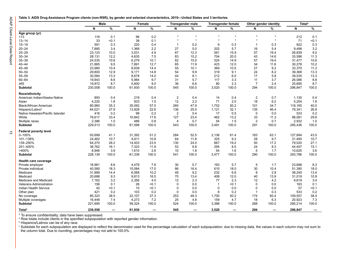$\vec{\omega}$ 

<span id="page-15-0"></span>

|  | Table 3. AIDS Drug Assistance Program clients (non-RSR), by gender and selected characteristics, 2019—United States and 3 territories |  |
|--|---------------------------------------------------------------------------------------------------------------------------------------|--|
|--|---------------------------------------------------------------------------------------------------------------------------------------|--|

|                                  | Male    |       |        | Female |                | Transgender male | Transgender female      |         |                | Other gender identity | <b>Total</b> <sup>a</sup> |       |
|----------------------------------|---------|-------|--------|--------|----------------|------------------|-------------------------|---------|----------------|-----------------------|---------------------------|-------|
|                                  | N       | $\%$  | N      | %      | N              | %                | N                       | %       | N              | %                     | N                         | %     |
| Age group (yr)                   |         |       |        |        |                |                  |                         |         |                |                       |                           |       |
| ~13                              | 116     | 0.1   | 96     | 0.2    |                |                  |                         | $\star$ |                |                       | 212                       | 0.1   |
| $13 - 14$                        | 33      | < 0.1 | 38     | 0.1    | $\star$        | $\star$          | $\star$                 | $\star$ | $\star$        | $\star$               | 71                        | < 0.1 |
| $15 - 19$                        | 591     | 0.3   | 220    | 0.4    | $\mathbf{1}$   | 0.2              | 9                       | 0.3     | -1             | 0.3                   | 822                       | 0.3   |
| $20 - 24$                        | 7,885   | 3.4   | 1,368  | 2.2    | 27             | 5.0              | 202                     | 5.7     | 16             | 5.4                   | 9,498                     | 3.2   |
| $25 - 29$                        | 23,123  | 10.0  | 3,031  | 4.9    | 67             | 12.3             | 561                     | 15.9    | 57             | 19.4                  | 26,839                    | 9.0   |
| $30 - 34$                        | 28,131  | 12.2  | 4,635  | 7.5    | 83             | 15.2             | 704                     | 20.0    | 43             | 14.6                  | 33,596                    | 11.3  |
| $35 - 39$                        | 24,535  | 10.6  | 6,279  | 10.1   | 82             | 15.0             | 524                     | 14.9    | 57             | 19.4                  | 31,477                    | 10.6  |
| $40 - 44$                        | 21,865  | 9.5   | 7,891  | 12.7   | 65             | 11.9             | 423                     | 12.0    | 34             | 11.6                  | 30,278                    | 10.2  |
| 45-49                            | 23,980  | 10.4  | 8,939  | 14.4   | 55             | 10.1             | 369                     | 10.5    | 27             | 9.2                   | 33,370                    | 11.2  |
| $50 - 54$                        | 29,800  | 12.9  | 9,171  | 14.8   | 54             | 9.9              | 319                     | 9.1     | 24             | 8.2                   | 39,368                    | 13.3  |
| $55 - 59$                        | 30,584  | 13.3  | 8,678  | 14.0   | 44             | 8.1              | 212                     | 6.0     | 17             | 5.8                   | 39,535                    | 13.3  |
| $60 - 64$                        | 19,943  | 8.6   | 5,984  | 9.7    | 31             | 5.7              | 117                     | 3.3     | 11             | 3.7                   | 26,086                    | 8.8   |
| ≥65                              | 19,972  | 8.7   | 5,600  | 9.0    | 36             | 6.6              | 80                      | 2.3     | $\overline{7}$ | 2.4                   | 25,695                    | 8.7   |
| <b>Subtotal</b>                  | 230,558 | 100.0 | 61,930 | 100.0  | 545            | 100.0            | 3,520                   | 100.0   | 294            | 100.0                 | 296,847                   | 100.0 |
|                                  |         |       |        |        |                |                  |                         |         |                |                       |                           |       |
| Race/ethnicity                   |         |       |        |        |                |                  |                         |         |                |                       |                           |       |
| American Indian/Alaska Native    | 893     | 0.4   | 219    | 0.4    | 2              | 0.4              | 14                      | 0.4     | $\overline{2}$ | 0.7                   | 1,130                     | 0.4   |
| Asian                            | 4,220   | 1.8   | 933    | 1.5    | 12             | 2.2              | 71                      | 2.0     | 18             | 6.2                   | 5,254                     | 1.8   |
| Black/African American           | 80,960  | 35.3  | 35,092 | 57.0   | 260            | 47.9             | 1,752                   | 50.2    | 101            | 34.7                  | 118,165                   | 40.0  |
| Hispanic/Latino <sup>b</sup>     | 64,021  | 27.9  | 13,928 | 22.6   | 136            | 25.0             | 1,121                   | 32.1    | 135            | 46.4                  | 79,341                    | 26.9  |
| Native Hawaiian/Pacific Islander | 416     | 0.2   | 98     | 0.2    | $\overline{2}$ | 0.4              | 17                      | 0.5     | $\mathbf 0$    | 0.0                   | 533                       | 0.2   |
| White                            | 76,617  | 33.4  | 10,842 | 17.6   | 127            | 23.4             | 462                     | 13.2    | 33             | 11.3                  | 88,081                    | 29.8  |
| Multiple races                   | 2,386   | 1.0   | 486    | 0.8    | 4              | 0.7              | 54                      | 1.5     | $\overline{2}$ | 0.7                   | 2,932                     | 1.0   |
| <b>Subtotal</b>                  | 229,513 | 100.0 | 61,598 | 100.0  | 543            | 100.0            | 3,491                   | 100.0   | 291            | 100.0                 | 295,436                   | 100.0 |
| Federal poverty level            |         |       |        |        |                |                  |                         |         |                |                       |                           |       |
| $0 - 100%$                       | 93,699  | 41.1  | 31,392 | 51.2   | 284            | 52.5             | 2,136                   | 61.4    | 183            | 63.1                  | 127,694                   | 43.5  |
| 101-138%                         | 24,462  | 10.7  | 6,611  | 10.8   | 64             | 11.8             | 325                     | 9.3     | 28             | 9.7                   | 31,490                    | 10.7  |
| 139-250%                         | 64,270  | 28.2  | 14,403 | 23.5   | 130            | 24.0             | 667                     | 19.2    | 50             | 17.2                  | 79,520                    | 27.1  |
| 251-400%                         | 36,762  | 16.1  | 7,323  | 11.9   | 53             | 9.8              | 295                     | 8.5     | 24             | 8.3                   | 44,457                    | 15.1  |
| >400%                            | 8,946   | 3.9   | 1,610  | 2.6    | 10             | 1.8              | 54                      | 1.6     | 5              | 1.7                   | 10,625                    | 3.6   |
| <b>Subtotal</b>                  | 228,139 | 100.0 | 61,339 | 100.0  | 541            | 100.0            | 3,477                   | 100.0   | 290            | 100.0                 | 293,786                   | 100.0 |
|                                  |         |       |        |        |                |                  |                         |         |                |                       |                           |       |
| <b>Health care coverage</b>      |         |       |        |        |                |                  |                         |         |                |                       |                           |       |
| Private employer                 | 18,981  | 8.6   | 4,479  | 7.6    | 30             | 5.7              | 193                     | 5.7     | 5              | 1.7                   | 23,688                    | 8.3   |
| Private individual               | 40,580  | 18.3  | 10,084 | 17.0   | 86             | 16.4             | 610                     | 18.0    | 30             | 10.4                  | 51,390                    | 18.0  |
| Medicare                         | 31,889  | 14.4  | 6,068  | 10.2   | 48             | 9.2              | 232                     | 6.8     | 8              | 2.8                   | 38,245                    | 13.4  |
| Medicaid                         | 20,688  | 9.3   | 9,813  | 16.5   | 70             | 13.4             | 408                     | 12.0    | 40             | 13.9                  | 31,019                    | 10.9  |
| Medicare and Medicaid            | 7.162   | 3.2   | 2,356  | 4.0    | 12             | 2.3              | 77                      | 2.3     | 12             | 4.2                   | 9,619                     | 3.4   |
| <b>Veterans Administration</b>   | 156     | 0.1   | 26     | $0.1$  | 0              | 0.0              | $\overline{\mathbf{1}}$ | $0.1$   | $\Omega$       | 0.0                   | 183                       | 0.1   |
| Indian Health Service            | 42      | < 0.1 | 15     | $0.1$  | $\Omega$       | 0.0              | $\mathbf 0$             | 0.0     | $\mathbf 0$    | 0.0                   | 57                        | < 0.1 |
| Other plan                       | 421     | 0.2   | 103    | 0.2    | $\Omega$       | 0.0              | 8                       | 0.2     | -1             | 0.3                   | 533                       | 0.2   |
| No coverage                      | 85,323  | 38.5  | 22,107 | 37.3   | 253            | 48.3             | 1,700                   | 50.2    | 174            | 60.4                  | 109,557                   | 38.4  |
| Multiple coverages               | 16,448  | 7.4   | 4,273  | 7.2    | 25             | 4.8              | 159                     | 4.7     | 18             | 6.3                   | 20,923                    | 7.3   |
| <b>Subtotal</b>                  | 221,690 | 100.0 | 59,324 | 100.0  | 524            | 100.0            | 3,388                   | 100.0   | 288            | 100.0                 | 285,214                   | 100.0 |
| Total <sup>c</sup>               | 230,558 |       | 61,930 |        | 545            |                  | 3,520                   |         | 294            |                       | 296,847                   |       |

\* To ensure confidentiality, data have been suppressed. a Row totals include clients in the specified subpopulation with reported gender information. b Hispanics/Latinos can be of any race.

 $^\circ$  Subtotals for each subpopulation are displayed to reflect the denominator used for the percentage calculation of each subpopulation; due to missing data, the values in each column may not sum to the column total. Due to rounding, percentages may not add to 100.0%.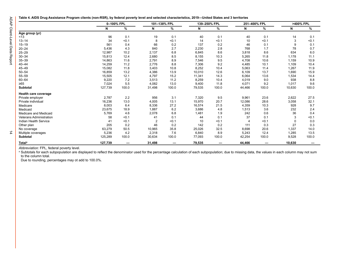<span id="page-16-0"></span>

|  |  |  | Table 4. AIDS Drug Assistance Program clients (non-RSR), by federal poverty level and selected characteristics, 2019—United States and 3 territories |  |
|--|--|--|------------------------------------------------------------------------------------------------------------------------------------------------------|--|
|--|--|--|------------------------------------------------------------------------------------------------------------------------------------------------------|--|

|                                | 0-100% FPL |       | 101-138% FPL |       | 139-250% FPL |       | 251-400% FPL |       |          | >400% FPL |
|--------------------------------|------------|-------|--------------|-------|--------------|-------|--------------|-------|----------|-----------|
|                                | N          | %     | N            | $\%$  | N            | %     | N            | %     | N        | %         |
| Age group (yr)                 |            |       |              |       |              |       |              |       |          |           |
| < 13                           | 96         | 0.1   | 19           | 0.1   | 40           | 0.1   | 40           | 0.1   | 14       | 0.1       |
| $13 - 14$                      | 34         | < 0.1 | 8            | 50.1  | 14           | < 0.1 | 10           | < 0.1 | 3        | < 0.1     |
| $15 - 19$                      | 561        | 0.4   | 66           | 0.2   | 137          | 0.2   | 46           | 0.1   | 9        | 0.1       |
| $20 - 24$                      | 5,436      | 4.3   | 840          | 2.7   | 2,230        | 2.8   | 768          | 1.7   | 78       | 0.7       |
| $25 - 29$                      | 12,987     | 10.2  | 2,137        | 6.8   | 6,845        | 8.6   | 3,818        | 8.6   | 634      | 6.0       |
| $30 - 34$                      | 15,813     | 12.4  | 2,680        | 8.5   | 8,155        | 10.3  | 5,265        | 11.8  | 1,178    | 11.1      |
| $35 - 39$                      | 14,863     | 11.6  | 2,791        | 8.9   | 7,546        | 9.5   | 4,708        | 10.6  | 1.159    | 10.9      |
| $40 - 44$                      | 14,259     | 11.2  | 2.776        | 8.8   | 7,306        | 9.2   | 4,485        | 10.1  | 1.109    | 10.4      |
| $45 - 49$                      | 15,082     | 11.8  | 3,403        | 10.8  | 8,252        | 10.4  | 5,063        | 11.4  | 1,267    | 11.9      |
| $50 - 54$                      | 16,859     | 13.2  | 4,386        | 13.9  | 10,010       | 12.6  | 6,109        | 13.7  | 1,690    | 15.9      |
| $55 - 59$                      | 15,505     | 12.1  | 4,797        | 15.2  | 11,341       | 14.3  | 6,064        | 13.6  | 1,534    | 14.4      |
| $60 - 64$                      | 9,220      | 7.2   | 3,513        | 11.2  | 8,259        | 10.4  | 4,019        | 9.0   | 938      | 8.8       |
| $\geq 65$                      | 7,024      | 5.5   | 4,082        | 13.0  | 9,400        | 11.8  | 4,071        | 9.2   | 1,017    | 9.6       |
| <b>Subtotal</b>                | 127,739    | 100.0 | 31,498       | 100.0 | 79,535       | 100.0 | 44,466       | 100.0 | 10,630   | 100.0     |
| Health care coverage           |            |       |              |       |              |       |              |       |          |           |
| Private employer               | 2,787      | 2.2   | 956          | 3.1   | 7,320        | 9.5   | 9,961        | 23.6  | 2,622    | 27.5      |
| Private individual             | 16,236     | 13.0  | 4,005        | 13.1  | 15,970       | 20.7  | 12,086       | 28.6  | 3,058    | 32.1      |
| Medicare                       | 8,003      | 6.4   | 8,336        | 27.2  | 16,574       | 21.5  | 4,359        | 10.3  | 928      | 9.7       |
| Medicaid                       | 23,675     | 18.9  | 1,887        | 6.2   | 3,686        | 4.8   | 1,513        | 3.6   | 232      | 2.4       |
| Medicare and Medicaid          | 5,769      | 4.6   | 2,078        | 6.8   | 1,481        | 1.9   | 242          | 0.6   | 36       | 0.4       |
| <b>Veterans Administration</b> | 58         | < 0.1 | 41           | 0.1   | 44           | 0.1   | 37           | 0.1   | 3        | < 0.1     |
| Indian Health Service          | 41         | < 0.1 | 2            | < 0.1 | 10           | < 0.1 | 4            | < 0.1 | $\Omega$ | 0.0       |
| Other plan                     | 205        | 0.2   | 46           | 0.2   | 142          | 0.2   | 111          | 0.3   | 27       | 0.3       |
| No coverage                    | 63,279     | 50.5  | 10,965       | 35.8  | 25,026       | 32.5  | 8,698        | 20.6  | 1,337    | 14.0      |
| Multiple coverages             | 5,236      | 4.2   | 2,318        | 7.6   | 6,840        | 8.9   | 5,243        | 12.4  | 1,285    | 13.5      |
| <b>Subtotal</b>                | 125,289    | 100.0 | 30,634       | 100.0 | 77,093       | 100.0 | 42,254       | 100.0 | 9,528    | 100.0     |
| <b>Total</b> <sup>a</sup>      | 127,739    |       | 31,498       |       | 79,535       |       | 44,466       |       | 10,630   |           |

*Abbreviation:* FPL, federal poverty level.

a Subtotals for each subpopulation are displayed to reflect the denominator used for the percentage calculation of each subpopulation; due to missing data, the values in each column may not sum to the column total.

Due to rounding, percentages may ot add to 100.0%.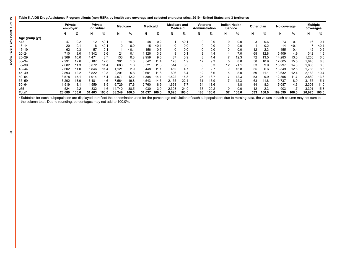<span id="page-17-0"></span>**Table 5. AIDS Drug Assistance Program clients (non-RSR), by health care coverage and selected characteristics, 2019—United States and 3 territories**

|                           | <b>Private</b><br>employer |       | Private<br>individual |       | Medicare |       |        | <b>Medicaid</b> |       | <b>Medicare and</b><br>Medicaid |          | Veterans<br>Administration |    | <b>Indian Health</b><br><b>Service</b> |     | Other plan | No coverage |       | <b>Multiple</b><br>coverages |       |
|---------------------------|----------------------------|-------|-----------------------|-------|----------|-------|--------|-----------------|-------|---------------------------------|----------|----------------------------|----|----------------------------------------|-----|------------|-------------|-------|------------------------------|-------|
|                           | N                          | %     | N                     | %     | N        | %     | N      | %               | N     | %                               |          | %                          | N  | %                                      | N   | %          | N           | %     | N                            | %     |
| Age group (yr)            |                            |       |                       |       |          |       |        |                 |       |                                 |          |                            |    |                                        |     |            |             |       |                              |       |
| ~13                       | 47                         | 0.2   | 12                    | < 0.1 |          | < 0.1 | 48     | 0.2             |       | $\leq 0$ .                      | 0        | 0.0                        |    | 0.0                                    | 3   | 0.6        | 73          | 0.1   | 16                           | 0.1   |
| $13 - 14$                 | 20                         | 0.1   | 8                     | < 0.1 | 0        | 0.0   | 15     | < 0.1           | 0     | 0.0                             | 0        | 0.0                        |    | 0.0                                    |     | 0.2        | 14          | < 0.1 |                              | < 0.1 |
| $15 - 19$                 | 62                         | 0.3   | 57                    | 0.1   |          | < 0.1 | 156    | 0.5             | 0     | 0.0                             | $\Omega$ | 0.0                        |    | 0.0                                    | 12  | 2.3        | 455         | 0.4   | 42                           | 0.2   |
| $20 - 24$                 | 710                        | 3.0   | 1.342                 | 2.6   | 24       | 0.1   | l.126  | 3.6             | 9     | 0.1                             | 8        | 4.4                        |    | 7.0                                    | 68  | 12.8       | 5.409       | 4.9   | 342                          | 1.6   |
| $25 - 29$                 | 2,369                      | 10.0  | 4,471                 | 8.7   | 133      | 0.3   | 2,959  | 9.5             | 87    | 0.9                             | 8        | 4.4                        |    | 12.3                                   | 72  | 13.5       | 14,283      | 13.0  | ,250                         | 6.0   |
| $30 - 34$                 | 2,991                      | 12.6  | 6,187                 | 12.0  | 381      | 1.0   | 3.542  | 11.4            | 178   | 1.9                             | 17       | 9.3                        | 5  | 8.8                                    | 58  | 10.9       | 17,005      | 15.5  | ,840                         | 8.8   |
| $35 - 39$                 | 2,682                      | 11.3  | 5,872                 | 11.4  | 683      | 1.8   | 3.521  | 11.3            | 314   | 3.3                             | 6        | 3.3                        | 12 | 21.1                                   | 53  | 9.9        | 15,297      | 14.0  | .833                         | 8.8   |
| $40 - 44$                 | 2,602                      | 11.0  | 5,846                 | 11.4  | 1.121    | 2.9   | 3.448  |                 | 452   | 4.7                             | 5        | 2.7                        | 9  | 15.8                                   | 35  | 6.6        | 13,849      | 12.6  | 1,783                        | 8.5   |
| 45-49                     | 2,893                      | 12.2  | 6,822                 | 13.3  | 2,201    | 5.8   | 3,601  | 11.6            | 806   | 8.4                             | 12       | 6.6                        |    | 8.8                                    | 59  | 11.1       | 13,632      | 12.4  | 2,168                        | 10.4  |
| $50 - 54$                 | 3,578                      | 15.7  | 7,914                 | 15.4  | 4,671    | 12.2  | 4,388  | 14.1            | ,522  | 15.8                            | 25       | 13.7                       |    | 12.3                                   | 53  | 9.9        | 12,855      | 11.7  | 2,880                        | 13.8  |
| $55 - 59$                 | 3,292                      | 13.9  | 7.481                 | 14.6  | 7.564    | 19.8  | 4,543  | 14.6            | 2.155 | 22.4                            | 31       | 16.9                       |    | 12.3                                   | 63  | 11.8       | 9,737       | 8.9   | 3,155                        | 15.1  |
| $60 - 64$                 | 1,919                      | 8.1   | 4,559                 | 8.9   | 6,729    | 17.6  | 2,760  | 8.9             | .698  | 17.7                            | 34       | 18.6                       |    | 1.8                                    | 44  | 8.3        | 5,087       | 4.6   | 2,308                        | 11.0  |
| ≥65                       | 524                        | 2.2   | 832                   | 1.6   | 14.740   | 38.5  | 930    | 3.0             | 2,398 | 24.9                            | 37       | 20.2                       |    | 0.0                                    | 12  | 2.3        | 1,903       |       | 3,301                        | 15.8  |
| <b>Total</b> <sup>a</sup> | 23,689                     | 100.0 | 51,403                | 100.0 | 38.249   | 100.0 | 31,037 | 100.0           | 9,620 | 100.0                           | 183      | 100.0                      | 57 | 100.0                                  | 533 | 100.0      | 109,599     | 100.0 | 20,925                       | 100.0 |

<sup>a</sup> Subtotals for each subpopulation are displayed to reflect the denominator used for the percentage calculation of each subpopulation; due to missing data, the values in each column may not sum to the column total. Due to rounding, percentages may not add to 100.0%.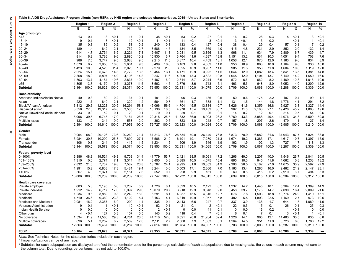#### <span id="page-18-0"></span>**Table 6. AIDS Drug Assistance Program clients (non-RSR), by HHS region and selected characteristics, 2019—United States and 3 territories**

|                                  | Region 1 |       | <b>Region 2</b> |       |          | Region 3 | <b>Region 4</b> |       | <b>Region 5</b> |       | Region 6       |       | <b>Region 7</b> |       | <b>Region 8</b> |       | <b>Region 9</b>         |       | Region 10      |       |
|----------------------------------|----------|-------|-----------------|-------|----------|----------|-----------------|-------|-----------------|-------|----------------|-------|-----------------|-------|-----------------|-------|-------------------------|-------|----------------|-------|
|                                  | N        | %     | N               | %     | N        | %        | N               | %     | N               | %     | N              | %     | N               | %     | N               | %     | N                       | %     | N              | %     |
| Age group (yr)                   |          |       |                 |       |          |          |                 |       |                 |       |                |       |                 |       |                 |       |                         |       |                |       |
| ~13                              | 13       | 0.1   | 13              | < 0.1 | 17       | 0.1      | 38              | <0.1  | 53              | 0.2   | 27             | 0.1   | 16              | 0.2   | 28              | 0.3   | 5                       | < 0.1 | 3              | < 0.1 |
| 13–14                            | 9        | 0.1   | 8               | < 0.1 | 12       | < 0.1    | 11              | < 0.1 | 11              | $0.1$ | 3              | < 0.1 | 3               | < 0.1 | 13              | 0.2   | $\overline{1}$          | < 0.1 | $\overline{1}$ | < 0.1 |
| 15–19                            | 35       | 0.3   | 89              | 0.2   | 58       | 0.2      | 240             | 0.3   | 133             | 0.4   | 127            | 0.4   | 38              | 0.4   | 29              | 0.4   | 57                      | 0.1   | 17             | 0.2   |
| $20 - 24$                        | 189      | 1.4   | 842             | 2.1   | 752      | 2.7      | 3.586           | 4.5   | 1,134           | 3.5   | 1.369          | 4.0   | 415             | 4.8   | 231             | 2.9   | 852                     | 2.0   | 132            | 1.4   |
| $25 - 29$                        | 614      | 4.7   | 2.734           | 6.9   | 2,221    | 7.8      | 9,407           | 11.8  | 3,081           | 9.5   | 3.866          | 11.3  | 968             | 11.1  | 634             | 7.9   | 2,889                   | 6.7   | 439            | 4.7   |
| $30 - 34$                        | 814      | 6.2   | 3.786           | 9.6   | 2,890    | 10.2     | 10,930          | 13.7  | 3,764           | 11.6  | 4,687          | 13.8  | 1.151           | 13.2  | 831             | 10.3  | 4.051                   | 9.4   | 708            | 7.6   |
| $35 - 39$                        | 988      | 7.5   | 3,747           | 9.5   | 2,683    | 9.5      | 9,213           | 11.5  | 3,377           | 10.4  | 4,459          | 13.1  | 1,056           | 12.1  | 970             | 12.0  | 4,163                   | 9.6   | 834            | 8.9   |
| $40 - 44$                        | 1,079    | 8.2   | 3,956           | 10.0  | 2,631    | 9.3      | 8,499           | 10.6  | 3,183           | 9.8   | 4,009          | 11.8  | 953             | 10.9  | 883             | 10.9  | 4,164                   | 9.6   | 930            | 10.0  |
| 45-49                            | 1,423    | 10.8  | 4,525           | 11.4  | 3,025    | 10.7     | 9,279           | 11.6  | 3,525           | 10.9  | 3,937          | 11.6  | 985             | 11.3  | 953             | 11.8  | 4,604                   | 10.6  | 1,119          | 12.0  |
| $50 - 54$                        | 2,024    | 15.4  | 5,678           | 14.3  | 3,779    | 13.3     | 10,454          | 13.1  | 4,171           | 12.9  | 3,922          | 11.5  | 1,044           | 12.0  | 1,082           | 13.4  | 5,841                   | 13.5  | 1,381          | 14.8  |
| $55 - 59$                        | 2,368    | 18.0  | 5,897           | 14.9  | 4,196    | 14.8     | 9,247           | 11.6  | 4,309           | 13.3  | 3,682          | 10.8  | 1,045           | 12.0  | 1,104           | 13.7  | 6,140                   | 14.2  | 1,550          | 16.6  |
| $60 - 64$                        | 1,803    | 13.7  | 4,184           | 10.6  | 2,837    | 10.0     | 5,487           | 6.9   | 2,814           | 8.7   | 2,244          | 6.6   | 572             | 6.6   | 662             | 8.2   | 4,469                   | 10.3  | 1,016          | 10.9  |
| ≥65                              | 1,805    | 13.7  | 4,170           | 10.5  | 3,273    | 11.5     | 3,562           | 4.5   | 2,776           | 8.6   | 1,743          | 5.1   | 463             | 5.3   | 648             | 8.0   | 6,052                   | 14.0  | 1,209          | 12.9  |
| <b>Subtotal</b>                  | 13,164   | 100.0 | 39,629          | 100.0 | 28,374   | 100.0    | 79,953          | 100.0 | 32,331          | 100.0 | 34,075         | 100.0 | 8,709           | 100.0 | 8.068           | 100.0 | 43,288                  | 100.0 | 9.339          | 100.0 |
| Race/ethnicity                   |          |       |                 |       |          |          |                 |       |                 |       |                |       |                 |       |                 |       |                         |       |                |       |
| American Indian/Alaska Native    | 40       | 0.3   | 80              | 0.2   | 37       | 0.1      | 181             | 0.2   | 96              | 0.3   | 186            | 0.5   | 50              | 0.6   | 175             | 2.2   | 187                     | 0.4   | 99             | 1.1   |
| Asian                            | 222      | 1.7   | 849             | 2.1   | 329      | 1.2      | 564             | 0.7   | 561             | 1.7   | 388            | 1.1   | 131             | 1.5   | 144             | 1.8   | 1,776                   | 4.1   | 291            | 3.2   |
| Black/African American           | 3.812    | 29.6  | 12.223          | 30.9  | 16.291   | 58.3     | 45.096          | 56.6  | 14.704          | 45.5  | 13.834         | 40.7  | 3.626           | 41.6  | 1.359           | 16.8  | 5.927                   | 13.8  | 1.327          | 14.4  |
| Hispanic/Latino <sup>a</sup>     | 3,558    | 27.6  | 19,317          | 48.8  | 3,565    | 12.8     | 13,136          | 16.5  | 4,978           | 15.4  | 10,439         | 30.7  | 962             | 11.0  | 2,183           | 27.1  | 19,426                  | 45.2  | 1,803          | 19.6  |
| Native Hawaiian/Pacific Islander | 33       | 0.3   | 52              | 0.1   | 29       | 0.1      | 70              | 0.1   | 29              | 0.1   | 26             | 0.1   | 14              | 0.2   | 12              | 0.1   | 214                     | 0.5   | 54             | 0.6   |
| White                            | 5.096    | 39.5  | 6,745           | 17.0  | 7,154    | 25.6     | 20.318          | 25.5  | 11.632          | 36.0  | 8.903          | 26.2  | 3,769           | 43.3  | 3,988           | 49.4  | 14,976                  | 34.8  | 5,509          | 59.8  |
| Multiple races                   | 133      | 1.0   | 344             | 0.9   | 553      | 2.0      | 362             | 0.5   | 323             | 1.0   | 248            | 0.7   | 157             | 1.8   | 207             | 2.6   | 479                     | 1.1   | 127            | 1.4   |
| Subtotal                         | 12,894   | 100.0 | 39,610          | 100.0 | 27,958   | 100.0    | 79,727          | 100.0 | 32,323          | 100.0 | 34,024         | 100.0 | 8,709           | 100.0 | 8,068           | 100.0 | 42,985                  | 100.0 | 9,210          | 100.0 |
| Gender                           |          |       |                 |       |          |          |                 |       |                 |       |                |       |                 |       |                 |       |                         |       |                |       |
| Male                             | 9.054    | 68.9  | 29,126          | 73.6  | 20,260   | 71.4     | 61,213          | 76.6  | 25,534          | 79.0  | 26,149         | 76.8  | 6,873           | 78.9  | 6,582           | 81.6  | 37,943                  | 87.7  | 7,824          | 83.8  |
| Female                           | 3,984    | 30.3  | 10,209          | 25.8  | 7,699    | 27.1     | 17,506          | 21.9  | 6,191           | 19.1  | 7,270          | 21.3  | 1,674           | 19.2  | 1,383           | 17.1  | 4,617                   | 10.7  | 1,397          | 15.0  |
| Transgender                      | 106      | 0.8   | 244             | 0.6   | 415      | 1.5      | 1.234           | 1.5   | 606             | 1.9   | 646            | 1.9   | 162             | 1.9   | 102             | 1.3   | 727                     | 1.7   | 118            | 1.3   |
| <b>Subtotal</b>                  | 13.144   | 100.0 | 39,579          | 100.0 | 28,374   | 100.0    | 79,953          | 100.0 | 32,331          | 100.0 | 34,065         | 100.0 | 8,709           | 100.0 | 8,067           | 100.0 | 43,287                  | 100.0 | 9,339          | 100.0 |
| Federal poverty level            |          |       |                 |       |          |          |                 |       |                 |       |                |       |                 |       |                 |       |                         |       |                |       |
| 0-100%                           | 6,386    | 48.8  | 19,524          | 49.8  | 9,708    | 34.4     | 41,779          | 53.7  | 12,421          | 38.5  | 16,061         | 47.2  | 4,266           | 49.0  | 3,207           | 40.0  | 11,546                  | 26.7  | 2,841          | 30.5  |
| 101-138%                         | 1,310    | 10.0  | 2,774           | 7.1   | 3,314    | 11.7     | 8,405           | 10.8  | 3,385           | 10.5  | 4,575          | 13.4  | 895             | 10.3  | 945             | 11.8  | 4,662                   | 10.8  | 1,233          | 13.2  |
| 139-250%                         | 2,832    | 21.6  | 7,767           | 19.8  | 7,582    | 26.8     | 18,767          | 24.1  | 9,995           | 31.0  | 10,852         | 31.9  | 2,306           | 26.5  | 2,162           | 27.0  | 14,675                  | 33.9  | 2,597          | 27.9  |
| 251-400%                         | 1,991    | 15.2  | 6,803           | 17.3  | 5,481    | 19.4     | 8,244           | 10.6  | 5,503           | 17.1  | 2,366          | 7.0   | 1,163           | 13.4  | 1,286           | 16.0  | 9,482                   | 21.9  | 2,147          | 23.1  |
| >400%                            | 567      | 4.3   | 2,371           | 6.0   | 2.154    | 7.6      | 552             | 0.7   | 928             | 2.9   | 161            | 0.5   | 69              | 0.8   | 415             | 5.2   | 2.919                   | 6.7   | 494            | 5.3   |
| Subtotal                         | 13,086   | 100.0 | 39,239          | 100.0 | 28,239   | 100.0    | 77,747          | 100.0 | 32,232          | 100.0 | 34,015         | 100.0 | 8,699           | 100.0 | 8,015           | 100.0 | 43,284                  | 100.0 | 9,312          | 100.0 |
|                                  |          |       |                 |       |          |          |                 |       |                 |       |                |       |                 |       |                 |       |                         |       |                |       |
| Health care coverage             |          |       |                 |       |          |          |                 |       |                 |       |                |       |                 |       |                 |       |                         |       |                |       |
| Private employer                 | 683      | 5.3   | 2,195           | 5.6   | 1,202    | 5.9      | 4,728           | 6.1   | 3,329           | 10.5  | 2,122          | 6.2   | 1,232           | 14.2  | 1,445           | 18.1  | 5,364                   | 12.4  | 1,389          | 14.9  |
| Private individual               | 1,912    | 14.9  | 6,717           | 17.0  | 5,997    | 29.6     | 16,079          | 20.7  | 3,918           | 12.3  | 3,048          | 9.0   | 3,458           | 39.7  | 1,175           | 14.7  | 7,090                   | 16.4  | 2,009          | 21.6  |
| Medicare                         | 1,234    | 9.6   | 3,859           | 9.8   | 3,249    | 16.0     | 6,291           | 8.1   | 4,937           | 15.5  | 4,316          | 12.7  | 676             | 7.8   | 1,503           | 18.8  | 10,774                  | 24.9  | 1,410          | 15.1  |
| Medicaid                         | 4,710    | 36.6  | 9,369           | 23.8  | 1.102    | 5.4      | 3,153           | 4.1   | 6,319           | 19.9  | 1,957          | 5.8   | 482             | 5.5   | 1,803           | 22.5  | 1,169                   | 2.7   | 973            | 10.5  |
| Medicare and Medicaid            | 2.081    | 16.2  | 2,357           | 6.0   | 290      | 1.4      | 335             | 0.4   | 2,113           | 6.6   | 247            | 0.7   | 337             | 3.9   | 136             | 1.7   | 644                     | 1.5   | 1.080          | 11.6  |
| <b>Veterans Administration</b>   | 9        | 0.1   | 1               | 50.1  | 10       | < 0.1    | 62              | 0.1   | 21              | 0.1   | $\overline{2}$ | 50.1  | 22              | 0.3   | 5               | 0.1   | 26                      | 0.1   | 25             | 0.3   |
| Indian Health Service            | 0        | 0.0   | 0               | 0.0   | $\Omega$ | 0.0      | $\overline{2}$  | < 0.1 | $\mathbf 0$     | 0.0   | 41             | 0.1   | 0               | 0.0   | 13              | 0.2   | $\overline{\mathbf{1}}$ | 0.1   | $\Omega$       | 0.0   |
| Other plan                       | Δ        | 50.1  | 127             | 0.3   | 107      | 0.5      | 143             | 0.2   | 118             | 0.4   | 7              | < 0.1 | 6               | 0.1   | 7               | 0.1   | 13                      | 50.1  | $\overline{1}$ | < 0.1 |
| No coverage                      | 1,534    | 11.9  | 11,560          | 29.3  | 4,761    | 23.5     | 44,710          | 57.6  | 8,521           | 26.8  | 21,204         | 62.4  | 1,226           | 14.1  | 965             | 12.1  | 14,483                  | 33.5  | 635            | 6.8   |
| Multiple coverages               | 696      | 5.4   | 3,252           | 8.2   | 3,569    | 17.6     | 2,111           | 2.7   | 2,508           | 7.9   | 1,063          | 3.1   | 1,264           | 14.5  | 951             | 11.9  | 3,723                   | 8.6   | 1,788          | 19.2  |
| Subtotal                         | 12,863   | 100.0 | 39,437          | 100.0 | 20,287   | 100.0    | 77,614          | 100.0 | 31,784          | 100.0 | 34,007         | 100.0 | 8,703           | 100.0 | 8,003           | 100.0 | 43,287                  | 100.0 | 9,310          | 100.0 |
| <b>Total</b> <sup>b</sup>        | 13,164   |       | 39.629          | -     | 28,374   |          | 79,953          |       | 32,331          | -     | 34.075         |       | 8.709           |       | 8,068           |       | 43,288                  |       | 9,339          |       |

*Note:* See Technical Notes for the states/territories included in each region.<br>ª Hispanics/Latinos can be of any race.

b Subtotals for each subpopulation are displayed to reflect the denominator used for the percentage calculation of each subpopulation; due to missing data, the values in each column may not sum to the column total. Due to rounding, percentages may not add to 100.0%.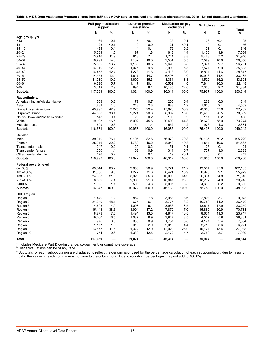<span id="page-19-0"></span>

|  |  | Table 7. AIDS Drug Assistance Program clients (non-RSR), by ADAP service received and selected characteristics, 2019—United States and 3 territories |  |
|--|--|------------------------------------------------------------------------------------------------------------------------------------------------------|--|
|  |  |                                                                                                                                                      |  |

|                                  | <b>Full-pay medication</b><br>support |       | Insurance premium<br>assistance |       |        | Medication co-pay/<br>deductible <sup>a</sup> | <b>Multiple services</b> | Total |         |
|----------------------------------|---------------------------------------|-------|---------------------------------|-------|--------|-----------------------------------------------|--------------------------|-------|---------|
|                                  | N                                     | $\%$  | N                               | %     | N      | %                                             | N                        | %     | N       |
| Age group (yr)                   |                                       |       |                                 |       |        |                                               |                          |       |         |
| <13                              | 66                                    | 0.1   | 5                               | < 0.1 | 38     | 0.1                                           | 26                       | < 0.1 | 135     |
| $13 - 14$                        | 25                                    | < 0.1 | $\mathbf 0$                     | 0.0   | 21     | < 0.1                                         | 10                       | < 0.1 | 56      |
| $15 - 19$                        | 455                                   | 0.4   | 11                              | 0.1   | 72     | 0.2                                           | 78                       | 0.1   | 616     |
| $20 - 24$                        | 5,289                                 | 4.5   | 197                             | 1.8   | 648    | 1.4                                           | 1,450                    | 1.9   | 7,584   |
| 25–29                            | 13,916                                | 11.9  | 813                             | 7.4   | 1,744  | 3.8                                           | 5,473                    | 7.2   | 21,946  |
| $30 - 34$                        | 16,791                                | 14.3  | 1,132                           | 10.3  | 2,534  | 5.5                                           | 7,599                    | 10.0  | 28,056  |
| $35 - 39$                        | 15,502                                | 13.2  | 1,163                           | 10.5  | 2,695  | 5.8                                           | 7,391                    | 9.7   | 26,751  |
| 40–44                            | 14,310                                | 12.2  | 1,075                           | 9.8   | 2,902  | 6.3                                           | 7,521                    | 9.9   | 25,808  |
| 45–49                            | 14,455                                | 12.4  | 1,278                           | 11.6  | 4,113  | 8.9                                           | 8,801                    | 11.6  | 28,647  |
| $50 - 54$                        | 14,455                                | 12.4  | 1,617                           | 14.7  | 6,497  | 14.0                                          | 10,916                   | 14.4  | 33,485  |
| 55–59                            | 11,730                                | 10.0  | 1,692                           | 15.3  | 8,364  | 18.1                                          | 11,522                   | 15.2  | 33,308  |
| $60 - 64$                        | 6,626                                 | 5.7   | 1,147                           | 10.4  | 6,501  | 14.0                                          | 7,844                    | 10.3  | 22,118  |
| ≥65                              | 3,419                                 | 2.9   | 894                             | 8.1   | 10,185 | 22.0                                          | 7,336                    | 9.7   | 21,834  |
| Subtotal                         | 117,039                               | 100.0 | 11,024                          | 100.0 | 46,314 | 100.0                                         | 75,967                   | 100.0 | 250,344 |
| Race/ethnicity                   |                                       |       |                                 |       |        |                                               |                          |       |         |
| American Indian/Alaska Native    | 303                                   | 0.3   | 79                              | 0.7   | 200    | 0.4                                           | 262                      | 0.3   | 844     |
| Asian                            | 1,833                                 | 1.6   | 248                             | 2.3   | 888    | 1.9                                           | 1,600                    | 2.1   | 4,569   |
| Black/African American           | 49,995                                | 42.9  | 3,225                           | 29.4  | 15,626 | 33.9                                          | 28,356                   | 37.6  | 97,202  |
| Hispanic/Latino <sup>b</sup>     | 44,500                                | 38.1  | 2,224                           | 20.3  | 8,302  | 18.0                                          | 15,483                   | 20.5  | 70,509  |
| Native Hawaiian/Pacific Islander | 148                                   | 0.1   | 26                              | 0.2   | 108    | 0.2                                           | 151                      | 0.2   | 433     |
| White                            | 19,193                                | 16.5  | 5,002                           | 45.6  | 20,409 | 44.3                                          | 28,670                   | 38.0  | 73,274  |
| Multiple races                   | 699                                   | 0.6   | 154                             | 1.4   | 552    | 1.2                                           | 976                      | 1.3   | 2,381   |
| <b>Subtotal</b>                  | 116,671                               | 100.0 | 10,958                          | 100.0 | 46,085 | 100.0                                         | 75,498                   | 100.0 | 249,212 |
| Gender                           |                                       |       |                                 |       |        |                                               |                          |       |         |
| Male                             | 89,010                                | 76.1  | 9,105                           | 82.6  | 36,979 | 79.8                                          | 60,135                   | 79.2  | 195,229 |
| Female                           | 25,916                                | 22.2  | 1,789                           | 16.2  | 8,949  | 19.3                                          | 14,911                   | 19.6  | 51,565  |
| Transgender male                 | 247                                   | 0.2   | 20                              | 0.2   | 51     | 0.1                                           | 106                      | 0.1   | 424     |
| Transgender female               | 1,650                                 | 1.4   | 102                             | 0.9   | 314    | 0.7                                           | 757                      | 1.0   | 2,823   |
| Other gender identity            | 176                                   | 0.2   | 6                               | 0.1   | 19     | < 0.1                                         | 46                       | 0.1   | 247     |
| <b>Subtotal</b>                  | 116,999                               | 100.0 | 11,022                          | 100.0 | 46,312 | 100.0                                         | 75,955                   | 100.0 | 250,288 |
| Federal poverty level            |                                       |       |                                 |       |        |                                               |                          |       |         |
| 0-100%                           | 69.844                                | 60.2  | 2,956                           | 26.9  | 9,771  | 21.2                                          | 19,564                   | 25.8  | 102,135 |
| 101-138%                         | 11,356                                | 9.8   | 1,277                           | 11.6  | 6,421  | 13.9                                          | 6,925                    | 9.1   | 25,979  |
| 139-250%                         | 24,933                                | 21.5  | 3,926                           | 35.8  | 16,093 | 34.9                                          | 26,394                   | 34.8  | 71,346  |
| 251-400%                         | 8,589                                 | 7.4   | 2,305                           | 21.0  | 10,847 | 23.5                                          | 18,207                   | 24.0  | 39,948  |
| >400%                            | 1,325                                 | 1.1   | 508                             | 4.6   | 3,007  | 6.5                                           | 4,660                    | 6.2   | 9,500   |
| <b>Subtotal</b>                  | 116,047                               | 100.0 | 10,972                          | 100.0 | 46,139 | 100.0                                         | 75,750                   | 100.0 | 248,908 |
| <b>HHS Region</b>                |                                       |       |                                 |       |        |                                               |                          |       |         |
| Region 1                         | 1,440                                 | 1.2   | 862                             | 7.8   | 3,963  | 8.6                                           | 2,808                    | 3.7   | 9,073   |
| Region 2                         | 21,240                                | 18.1  | 675                             | 6.1   | 3,775  | 8.2                                           | 10,789                   | 14.2  | 36,479  |
| Region 3                         | 4,698                                 | 4.0   | 1,008                           | 9.1   | 3,936  | 8.5                                           | 13,617                   | 17.9  | 23,259  |
| Region 4                         | 45,143                                | 38.6  | 1,901                           | 17.2  | 7,879  | 17.0                                          | 15,860                   | 20.9  | 70,783  |
| Region 5                         | 8,778                                 | 7.5   | 1,491                           | 13.5  | 4,847  | 10.5                                          | 8,601                    | 11.3  | 23,717  |
| Region 6                         | 19,260                                | 16.5  | 1,087                           | 9.9   | 3,947  | 8.5                                           | 4,507                    | 5.9   | 28,801  |
| Region 7                         | 976                                   | 0.8   | 980                             | 8.9   | 1,757  | 3.8                                           | 4,121                    | 5.4   | 7,834   |
| Region 8                         | 1,177                                 | 1.0   | 315                             | 2.9   | 2,016  | 4.4                                           | 2,713                    | 3.6   | 6,221   |
| Region 9                         | 13,573                                | 11.6  | 1,322                           | 12.0  | 12,022 | 26.0                                          | 10,171                   | 13.4  | 37,088  |
| Region 10                        | 754                                   | 0.6   | 1,383                           | 12.5  | 2,172  | 4.7                                           | 2,780                    | 3.7   | 7,089   |
| Total <sup>c</sup>               | 117,039                               |       | 11,024                          |       | 46,314 |                                               | 75,967                   |       | 250,344 |

ª Includes Medicare Part D co-insurance, co-payment, or donut hole coverage.<br><sup>⋼</sup> Hispanics/Latinos can be of any race.

 $^\circ$  Subtotals for each subpopulation are displayed to reflect the denominator used for the percentage calculation of each subpopulation; due to missing data, the values in each column may not sum to the column total. Due to rounding, percentages may not add to 100.0%.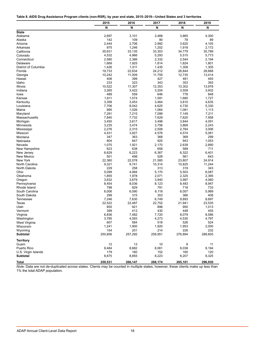<span id="page-20-0"></span>

|                                    | 2015            | 2016            | 2017            | 2018            | 2019             |
|------------------------------------|-----------------|-----------------|-----------------|-----------------|------------------|
|                                    | N               | N               | N               | N               | N                |
| <b>State</b>                       |                 |                 |                 |                 |                  |
| Alabama                            | 2,697           | 3,101           | 3,468           | 3,865           | 4,300            |
| Alaska                             | 142             | 109             | 90              | 78              | 89               |
| Arizona                            | 2,444           | 2,706           | 2,992           | 3,620           | 4,105            |
| Arkansas                           | 975             | 1,246           | 1,202           | 1,918           | 2,172            |
| California                         | 35,631          | 33,135          | 33,303          | 34,779          | 35,789           |
| Colorado                           | 4,532           | 4,966           | 5,293           | 5,515           | 5,773            |
| Connecticut                        | 2,580           | 2,366           | 2,332           | 2,544           | 2,194            |
| Delaware                           | 1,669           | 1,925           | 1,814           | 1,824           | 1,801            |
| District of Columbia<br>Florida    | 1,426<br>19,733 | 1,511<br>22,634 | 1,435<br>24,212 | 1,309<br>26,844 | 1,305            |
| Georgia                            | 10,242          | 11,009          | 11,759          | 12,735          | 28,668<br>13,414 |
| Hawaii                             | 406             | 399             | 427             | 481             | 493              |
| Idaho                              | 233             | 323             | 343             | 353             | 393              |
| Illinois                           | 10,522          | 11,307          | 12,353          | 13,302          | 13,978           |
| Indiana                            | 3,265           | 3,422           | 3,204           | 3,509           | 3,932            |
| lowa                               | 489             | 559             | 646             | 778             | 848              |
| Kansas                             | 1,611           | 1,574           | 1,591           | 1,680           | 1,727            |
| Kentucky                           | 3,358           | 3,453           | 3,464           | 3,810           | 4,635            |
| Louisiana                          | 7,706           | 8,042           | 4,625           | 4,730           | 5,330            |
| Maine                              | 995             | 1,026           | 1,064           | 1,081           | 1,113            |
| Maryland                           | 7,291           | 7,215           | 7,099           | 7,149           | 7,211            |
| Massachusetts                      | 7,840           | 7,732           | 7,629           | 7,620           | 7,958            |
| Michigan                           | 3,450           | 3,617           | 3,498           | 3,844           | 4,091            |
| Minnesota                          | 3,235           | 3,474           | 3,756           | 3,869           | 2,243            |
| Mississippi                        | 2,276           | 2,315           | 2,508           | 2,764           | 3,006            |
| Missouri                           | 4,431           | 3,927           | 4,576           | 4,574           | 5,081            |
| Montana                            | 347             | 363             | 368             | 369             | 299              |
| Nebraska                           | 804             | 847             | 925             | 943             | 1,053            |
| Nevada                             | 1,075           | 1,921           | 2,170           | 2,639           | 2,890            |
| New Hampshire                      | 623             | 638             | 658             | 589             | 711              |
| New Jersey                         | 6,629           | 6,223           | 6,367           | 6,322           | 6,401            |
| New Mexico                         | 501             | 498             | 528             | 561             | 643              |
| New York                           | 22,360          | 22,078          | 21,585          | 23,807          | 24,914           |
| North Carolina                     | 9,321           | 9,741           | 10,314          | 10,825          | 11,244           |
| North Dakota                       | 229             | 258             | 313             | 319             | 343              |
| Ohio                               | 5,099           | 4,994           | 5,170           | 5,503           | 6,087            |
| Oklahoma                           | 1,855           | 1,978           | 2,071           | 2,325           | 2,395            |
| Oregon                             | 3,632           | 3,679           | 3,940           | 3,997           | 4,060            |
| Pennsylvania                       | 8,454           | 8,036           | 8,123           | 8,483           | 8,947            |
| Rhode Island                       | 798             | 829             | 791             | 718             | 733              |
| South Carolina                     | 6,006<br>299    | 6,090           | 6,118           | 6,007           | 5,989<br>408     |
| South Dakota                       |                 | 315             | 353             | 366             |                  |
| Tennessee<br>Texas                 | 7,246<br>22,522 | 7,630<br>22,487 | 6,749<br>22,752 | 9,893<br>21,941 | 8,697<br>23,535  |
| Utah                               | 855             | 921             | 898             | 950             | 1,013            |
| Vermont                            | 399             | 413             | 430             | 448             | 455              |
| Virginia                           | 6,836           | 7,482           | 7,720           | 8,079           | 8,586            |
| Washington                         | 3,785           | 4,093           | 4,273           | 4,530           | 4,797            |
| West Virginia                      | 607             | 584             | 518             | 526             | 524              |
| Wisconsin                          | 1,241           | 1,900           | 1,920           | 1,953           | 2,000            |
| Wyoming                            | 154             | 201             | 214             | 226             | 232              |
| Subtotal                           | 250,856         | 257,292         | 259,951         | 276,894         | 288,605          |
|                                    |                 |                 |                 |                 |                  |
| <b>Territory</b>                   |                 |                 |                 |                 |                  |
| Guam                               | 12              | 13              | 10              | 9               | 11               |
| Puerto Rico<br>U.S. Virgin Islands | 8,484<br>179    | 8,682<br>160    | 8,061<br>152    | 8,038<br>160    | 8,194<br>120     |
| Subtotal                           | 8,675           | 8,855           | 8,223           | 8,207           | 8,325            |
|                                    |                 |                 |                 |                 |                  |
| <b>Total</b>                       | 259,531         | 266,147         | 268,174         | 285,101         | 296,930          |

*Note:* Data are not de-duplicated across states. Clients may be counted in multiple states; however, these clients make up less than 1% the total ADAP population.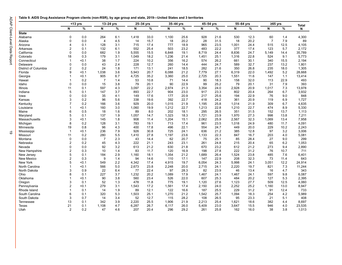<span id="page-21-0"></span>

|  |  |  |  |  | Table 9. AIDS Drug Assistance Program clients (non-RSR), by age group and state, 2019—United States and 3 territories |
|--|--|--|--|--|-----------------------------------------------------------------------------------------------------------------------|
|--|--|--|--|--|-----------------------------------------------------------------------------------------------------------------------|

| N<br>%<br>N<br>%<br>N<br>%<br>N<br>%<br>N<br>%<br>N<br>%<br>N<br>%<br>N<br><b>State</b><br>$\Omega$<br>0.0<br>33.0<br>25.6<br>928<br>21.6<br>530<br>12.3<br>60<br>4,300<br>Alabama<br>264<br>6.1<br>1.418<br>1.100<br>1.4<br>0.0<br>20.2<br>28<br>20.2<br>$\overline{7}$<br>7.9<br>89<br>Alaska<br>$\Omega$<br>$\overline{4}$<br>4.5<br>14<br>15.7<br>18<br>31.5<br>18<br>0.1<br>128<br>3.1<br>777<br>965<br>24.4<br>12.5<br>715<br>17.4<br>18.9<br>23.5<br>1,001<br>515<br>4,105<br>Arizona<br>4<br>$\overline{2}$<br>503<br>377<br>0.1<br>132<br>6.1<br>552<br>25.4<br>23.2<br>483<br>22.2<br>17.4<br>123<br>5.7<br>2,172<br>Arkansas<br>$\Omega$<br>0.0<br>682<br>5,555<br>15.5<br>8,836<br>24.7<br>5,149<br>35,789<br>California<br>1.9<br>6,848<br>19.1<br>8,719<br>24.4<br>14.4<br>18<br>0.3<br>179<br>524<br>Colorado<br>3.1<br>1,049<br>18.2<br>1,236<br>21.4<br>1,451<br>25.1<br>1,316<br>22.8<br>9.1<br>5,773<br>38<br>1.7<br>224<br>10.2<br>356<br>16.2<br>574<br>26.2<br>661<br>30.1<br>340<br>2,194<br>Connecticut<br>$\mathbf{1}$<br>< 0.1<br>15.5<br>$\Omega$<br>0.0<br>43<br>2.4<br>228<br>12.7<br>260<br>444<br>589<br>32.7<br>237<br>13.2<br>1,801<br>Delaware<br>14.4<br>24.7<br>$\overline{2}$<br>0.2<br>24<br>1.8<br>171<br>13.1<br>241<br>282<br>350<br>26.8<br>235<br>18.0<br>1,305<br>District of Columbia<br>18.5<br>21.6<br>Florida<br>9<br>3.6<br>5.943<br>20.7<br>6.088<br>7,779<br>1.492<br>5.2<br>28,668<br>< 0.1<br>1.038<br>21.2<br>27.1<br>6,319<br>22.0<br>905<br>4,725<br>35.2<br>3,360<br>2,725<br>< 0.1<br>6.7<br>25.0<br>20.3<br>1,551<br>11.6<br>147<br>1.1<br>13,414<br>Georgia<br>$\mathbf 1$<br>493<br>0.2<br>7<br>1.4<br>53<br>10.8<br>71<br>14.4<br>90<br>18.3<br>158<br>32.0<br>113<br>22.9<br>Hawaii<br>393<br>$\Omega$<br>0.0<br>15<br>3.8<br>79<br>20.1<br>90<br>22.9<br>99<br>25.2<br>79<br>20.1<br>31<br>7.9<br>Idaho<br>22.2<br>0.1<br>597<br>4.3<br>3.097<br>2,974<br>21.3<br>3,354<br>2,928<br>20.9<br>7.3<br>13,978<br>Illinois<br>11<br>24.0<br>1,017<br>5<br>0.1<br>3.7<br>22.7<br>904<br>23.0<br>23.3<br>802<br>264<br>6.7<br>3,932<br>147<br>893<br>917<br>20.4<br>Indiana<br>76<br>$\Omega$<br>0.0<br>35<br>4.1<br>149<br>17.6<br>177<br>20.9<br>217<br>25.6<br>194<br>22.9<br>9.0<br>848<br>lowa<br>3<br>0.2<br>96<br>338<br>392<br>22.7<br>418<br>361<br>20.9<br>119<br>6.9<br>1,727<br>5.6<br>19.6<br>24.2<br>Kansas<br>0.2<br>166<br>3.6<br>929<br>21.9<br>309<br>6.7<br>4,635<br>7<br>20.0<br>1,015<br>21.9<br>1,195<br>25.8<br>1,014<br>Kentucky<br>1,210<br>22.7<br>8.9<br>5,330<br>Louisiana<br>< 0.1<br>160<br>3.0<br>1.060<br>19.9<br>1,212<br>22.7<br>1,213<br>22.8<br>474<br>202<br>295<br>6<br>0.5<br>18<br>1.6<br>89<br>8.0<br>18.1<br>26.5<br>351<br>31.5<br>152<br>13.7<br>1,113<br>Maine<br>5<br>0.1<br>137<br>1.9<br>1,057<br>14.7<br>1,323<br>18.3<br>1,721<br>23.9<br>1,970<br>27.3<br>998<br>13.8<br>7,211<br>Maryland<br>3<br>< 0.1<br>145<br>1.8<br>908<br>11.4<br>1,204<br>15.1<br>2,062<br>25.9<br>2,567<br>32.3<br>1,069<br>13.4<br>7,958<br>Massachusetts<br>8<br>0.2<br>128<br>3.1<br>783<br>961<br>24.9<br>480<br>4,091<br>Michigan<br>19.1<br>713<br>17.4<br>23.5<br>1,018<br>11.7<br>19<br>0.8<br>96<br>400<br>17.8<br>496<br>22.1<br>554<br>449<br>20.0<br>229<br>10.2<br>2,243<br>4.3<br>24.7<br>Minnesota<br>97<br>236<br>7.9<br>926<br>30.8<br>725<br>24.1<br>636<br>385<br>12.8<br>3.2<br>3,006<br>Mississippi<br>$\mathbf{1}$<br>50.1<br>21.2<br>0.2<br>280<br>5.5<br>1,410<br>27.8<br>1,197<br>1,133<br>22.3<br>847<br>16.7<br>203<br>4.0<br>5,081<br>Missouri<br>11<br>23.6<br>$\overline{7}$<br>2.3<br>20.7<br>75<br>28.4<br>27<br>9.0<br>299<br>Montana<br>$\Omega$<br>0.0<br>43<br>14.4<br>62<br>25.1<br>85<br>$\overline{2}$<br>0.2<br>45<br>65<br>6.2<br>1,053<br>Nebraska<br>4.3<br>222<br>21.1<br>243<br>23.1<br>261<br>24.8<br>215<br>20.4<br>3.2<br>630<br>670<br>612<br>273<br>2,890<br>Nevada<br>$\Omega$<br>0.0<br>92<br>613<br>21.2<br>21.8<br>23.2<br>21.2<br>9.4<br>198<br>222<br>31.2<br>76<br>$\overline{2}$<br>0.3<br>10<br>1.4<br>83<br>11.7<br>120<br>16.9<br>27.8<br>10.7<br>711<br>New Hampshire<br>5<br>0.1<br>184<br>2.9<br>1,160<br>18.1<br>1,354<br>21.2<br>1,689<br>26.4<br>1,524<br>23.8<br>485<br>7.6<br>6,401<br>New Jersey<br>$\overline{2}$<br>0.3<br>9<br>1.4<br>94<br>17.1<br>147<br>22.9<br>208<br>32.3<br>73<br>643<br>New Mexico<br>14.6<br>110<br>11.4<br>5<br>549<br>2.2<br>4,342<br>6,054<br>5,998<br>12.2<br>24,914<br>New York<br>< 0.1<br>17.4<br>4,915<br>19.7<br>24.3<br>24.1<br>3,051<br>566<br>2,673<br>23.8<br>20.0<br>2,220<br>19.7<br>821<br>11,244<br>North Carolina<br>1<br>< 0.1<br>5.0<br>2,248<br>2,715<br>24.1<br>7.3<br>4.7<br>343<br>North Dakota<br>0.9<br>22<br>6.4<br>77<br>22.4<br>97<br>82<br>23.9<br>46<br>16<br>3<br>28.3<br>13.4<br>8<br>0.1<br>227<br>1,232<br>20.2<br>597<br>9.8<br>Ohio<br>3.7<br>1,089<br>17.9<br>1,467<br>24.1<br>1,467<br>24.1<br>6,087<br>90<br>484<br>20.2<br>5.3<br>2,395<br>Oklahoma<br>< 0.1<br>3.8<br>560<br>23.4<br>526<br>22.0<br>607<br>25.3<br>127<br>52<br>3<br>0.1<br>1.3<br>478<br>11.8<br>775<br>19.1<br>1,120<br>27.6<br>1,123<br>27.7<br>509<br>12.5<br>4,060<br>Oregon<br>2<br>< 0.1<br>279<br>3.1<br>1,543<br>17.2<br>1,561<br>2,150<br>24.0<br>2,252<br>25.2<br>1,160<br>13.0<br>8,947<br>Pennsylvania<br>17.4<br>0.1<br>14<br>1.9<br>89<br>12.1<br>122<br>16.6<br>187<br>25.5<br>229<br>31.2<br>91<br>12.4<br>733<br>Rhode Island<br>South Carolina<br>0.1<br>320<br>5.3<br>1,503<br>25.1<br>1,270<br>21.2<br>25.7<br>1,094<br>18.3<br>254<br>4.2<br>5,989<br>6<br>1,542<br>3<br>0.7<br>52<br>12.7<br>28.2<br>23.3<br>21<br>408<br>South Dakota<br>14<br>3.4<br>115<br>108<br>26.5<br>95<br>5.1<br>8,697<br>13<br>0.1<br>342<br>3.9<br>2,220<br>25.5<br>1,906<br>21.9<br>2,213<br>25.4<br>1,621<br>18.6<br>382<br>4.4<br>Tennessee<br>946<br>4.0<br>21<br>0.1<br>1,108<br>6,287<br>26.7<br>26.0<br>5,409<br>23.0<br>3,647<br>15.5<br>23,535<br>4.7<br>6,117<br>Texas<br>$\overline{2}$<br>0.2<br>47<br>207<br>296<br>25.8<br>16.0<br>38<br>3.8<br>1,013<br>Utah<br>4.6<br>20.4<br>29.2<br>261<br>162 |  | $<$ 13 yrs | 13-24 yrs |  | 25-34 yrs | 35-44 yrs | 45-54 yrs | 55-64 yrs | $265$ yrs | <b>Total</b> |
|--------------------------------------------------------------------------------------------------------------------------------------------------------------------------------------------------------------------------------------------------------------------------------------------------------------------------------------------------------------------------------------------------------------------------------------------------------------------------------------------------------------------------------------------------------------------------------------------------------------------------------------------------------------------------------------------------------------------------------------------------------------------------------------------------------------------------------------------------------------------------------------------------------------------------------------------------------------------------------------------------------------------------------------------------------------------------------------------------------------------------------------------------------------------------------------------------------------------------------------------------------------------------------------------------------------------------------------------------------------------------------------------------------------------------------------------------------------------------------------------------------------------------------------------------------------------------------------------------------------------------------------------------------------------------------------------------------------------------------------------------------------------------------------------------------------------------------------------------------------------------------------------------------------------------------------------------------------------------------------------------------------------------------------------------------------------------------------------------------------------------------------------------------------------------------------------------------------------------------------------------------------------------------------------------------------------------------------------------------------------------------------------------------------------------------------------------------------------------------------------------------------------------------------------------------------------------------------------------------------------------------------------------------------------------------------------------------------------------------------------------------------------------------------------------------------------------------------------------------------------------------------------------------------------------------------------------------------------------------------------------------------------------------------------------------------------------------------------------------------------------------------------------------------------------------------------------------------------------------------------------------------------------------------------------------------------------------------------------------------------------------------------------------------------------------------------------------------------------------------------------------------------------------------------------------------------------------------------------------------------------------------------------------------------------------------------------------------------------------------------------------------------------------------------------------------------------------------------------------------------------------------------------------------------------------------------------------------------------------------------------------------------------------------------------------------------------------------------------------------------------------------------------------------------------------------------------------------------------------------------------------------------------------------------------------------------------------------------------------------------------------------------------------------------------------------------------------------------------------------------------------------------------------------------------------------------------------------------------------------------------------------------------------------------------------------------------------------------------------------------------------------------------------------------------------------------------------------------------------------------------------------------------------------------------------------------------------------------------------------------------------------------------------------------------------------------------------------------------------------------------------------------------------------------------------------------------------------------------------------------------------------------------------------------------------------------------------------------------------------------------------------------------------------------------------------------------------------------------------------------------------------------------------------------------------------------------------------------------------------------------------------------------------------------------------------------------------------------------------------------------------------------------------------------------------------------------------------------------------------------------------------------------------------------------------------------------------------------------------------------------------------------------------------------------------------------------------------------------------------------|--|------------|-----------|--|-----------|-----------|-----------|-----------|-----------|--------------|
|                                                                                                                                                                                                                                                                                                                                                                                                                                                                                                                                                                                                                                                                                                                                                                                                                                                                                                                                                                                                                                                                                                                                                                                                                                                                                                                                                                                                                                                                                                                                                                                                                                                                                                                                                                                                                                                                                                                                                                                                                                                                                                                                                                                                                                                                                                                                                                                                                                                                                                                                                                                                                                                                                                                                                                                                                                                                                                                                                                                                                                                                                                                                                                                                                                                                                                                                                                                                                                                                                                                                                                                                                                                                                                                                                                                                                                                                                                                                                                                                                                                                                                                                                                                                                                                                                                                                                                                                                                                                                                                                                                                                                                                                                                                                                                                                                                                                                                                                                                                                                                                                                                                                                                                                                                                                                                                                                                                                                                                                                                                                                                                                                                                                                                                                                                                                                                                                                                                                                                                                                                                                                                                    |  |            |           |  |           |           |           |           |           |              |
|                                                                                                                                                                                                                                                                                                                                                                                                                                                                                                                                                                                                                                                                                                                                                                                                                                                                                                                                                                                                                                                                                                                                                                                                                                                                                                                                                                                                                                                                                                                                                                                                                                                                                                                                                                                                                                                                                                                                                                                                                                                                                                                                                                                                                                                                                                                                                                                                                                                                                                                                                                                                                                                                                                                                                                                                                                                                                                                                                                                                                                                                                                                                                                                                                                                                                                                                                                                                                                                                                                                                                                                                                                                                                                                                                                                                                                                                                                                                                                                                                                                                                                                                                                                                                                                                                                                                                                                                                                                                                                                                                                                                                                                                                                                                                                                                                                                                                                                                                                                                                                                                                                                                                                                                                                                                                                                                                                                                                                                                                                                                                                                                                                                                                                                                                                                                                                                                                                                                                                                                                                                                                                                    |  |            |           |  |           |           |           |           |           |              |
|                                                                                                                                                                                                                                                                                                                                                                                                                                                                                                                                                                                                                                                                                                                                                                                                                                                                                                                                                                                                                                                                                                                                                                                                                                                                                                                                                                                                                                                                                                                                                                                                                                                                                                                                                                                                                                                                                                                                                                                                                                                                                                                                                                                                                                                                                                                                                                                                                                                                                                                                                                                                                                                                                                                                                                                                                                                                                                                                                                                                                                                                                                                                                                                                                                                                                                                                                                                                                                                                                                                                                                                                                                                                                                                                                                                                                                                                                                                                                                                                                                                                                                                                                                                                                                                                                                                                                                                                                                                                                                                                                                                                                                                                                                                                                                                                                                                                                                                                                                                                                                                                                                                                                                                                                                                                                                                                                                                                                                                                                                                                                                                                                                                                                                                                                                                                                                                                                                                                                                                                                                                                                                                    |  |            |           |  |           |           |           |           |           |              |
|                                                                                                                                                                                                                                                                                                                                                                                                                                                                                                                                                                                                                                                                                                                                                                                                                                                                                                                                                                                                                                                                                                                                                                                                                                                                                                                                                                                                                                                                                                                                                                                                                                                                                                                                                                                                                                                                                                                                                                                                                                                                                                                                                                                                                                                                                                                                                                                                                                                                                                                                                                                                                                                                                                                                                                                                                                                                                                                                                                                                                                                                                                                                                                                                                                                                                                                                                                                                                                                                                                                                                                                                                                                                                                                                                                                                                                                                                                                                                                                                                                                                                                                                                                                                                                                                                                                                                                                                                                                                                                                                                                                                                                                                                                                                                                                                                                                                                                                                                                                                                                                                                                                                                                                                                                                                                                                                                                                                                                                                                                                                                                                                                                                                                                                                                                                                                                                                                                                                                                                                                                                                                                                    |  |            |           |  |           |           |           |           |           |              |
|                                                                                                                                                                                                                                                                                                                                                                                                                                                                                                                                                                                                                                                                                                                                                                                                                                                                                                                                                                                                                                                                                                                                                                                                                                                                                                                                                                                                                                                                                                                                                                                                                                                                                                                                                                                                                                                                                                                                                                                                                                                                                                                                                                                                                                                                                                                                                                                                                                                                                                                                                                                                                                                                                                                                                                                                                                                                                                                                                                                                                                                                                                                                                                                                                                                                                                                                                                                                                                                                                                                                                                                                                                                                                                                                                                                                                                                                                                                                                                                                                                                                                                                                                                                                                                                                                                                                                                                                                                                                                                                                                                                                                                                                                                                                                                                                                                                                                                                                                                                                                                                                                                                                                                                                                                                                                                                                                                                                                                                                                                                                                                                                                                                                                                                                                                                                                                                                                                                                                                                                                                                                                                                    |  |            |           |  |           |           |           |           |           |              |
|                                                                                                                                                                                                                                                                                                                                                                                                                                                                                                                                                                                                                                                                                                                                                                                                                                                                                                                                                                                                                                                                                                                                                                                                                                                                                                                                                                                                                                                                                                                                                                                                                                                                                                                                                                                                                                                                                                                                                                                                                                                                                                                                                                                                                                                                                                                                                                                                                                                                                                                                                                                                                                                                                                                                                                                                                                                                                                                                                                                                                                                                                                                                                                                                                                                                                                                                                                                                                                                                                                                                                                                                                                                                                                                                                                                                                                                                                                                                                                                                                                                                                                                                                                                                                                                                                                                                                                                                                                                                                                                                                                                                                                                                                                                                                                                                                                                                                                                                                                                                                                                                                                                                                                                                                                                                                                                                                                                                                                                                                                                                                                                                                                                                                                                                                                                                                                                                                                                                                                                                                                                                                                                    |  |            |           |  |           |           |           |           |           |              |
|                                                                                                                                                                                                                                                                                                                                                                                                                                                                                                                                                                                                                                                                                                                                                                                                                                                                                                                                                                                                                                                                                                                                                                                                                                                                                                                                                                                                                                                                                                                                                                                                                                                                                                                                                                                                                                                                                                                                                                                                                                                                                                                                                                                                                                                                                                                                                                                                                                                                                                                                                                                                                                                                                                                                                                                                                                                                                                                                                                                                                                                                                                                                                                                                                                                                                                                                                                                                                                                                                                                                                                                                                                                                                                                                                                                                                                                                                                                                                                                                                                                                                                                                                                                                                                                                                                                                                                                                                                                                                                                                                                                                                                                                                                                                                                                                                                                                                                                                                                                                                                                                                                                                                                                                                                                                                                                                                                                                                                                                                                                                                                                                                                                                                                                                                                                                                                                                                                                                                                                                                                                                                                                    |  |            |           |  |           |           |           |           |           |              |
|                                                                                                                                                                                                                                                                                                                                                                                                                                                                                                                                                                                                                                                                                                                                                                                                                                                                                                                                                                                                                                                                                                                                                                                                                                                                                                                                                                                                                                                                                                                                                                                                                                                                                                                                                                                                                                                                                                                                                                                                                                                                                                                                                                                                                                                                                                                                                                                                                                                                                                                                                                                                                                                                                                                                                                                                                                                                                                                                                                                                                                                                                                                                                                                                                                                                                                                                                                                                                                                                                                                                                                                                                                                                                                                                                                                                                                                                                                                                                                                                                                                                                                                                                                                                                                                                                                                                                                                                                                                                                                                                                                                                                                                                                                                                                                                                                                                                                                                                                                                                                                                                                                                                                                                                                                                                                                                                                                                                                                                                                                                                                                                                                                                                                                                                                                                                                                                                                                                                                                                                                                                                                                                    |  |            |           |  |           |           |           |           |           |              |
|                                                                                                                                                                                                                                                                                                                                                                                                                                                                                                                                                                                                                                                                                                                                                                                                                                                                                                                                                                                                                                                                                                                                                                                                                                                                                                                                                                                                                                                                                                                                                                                                                                                                                                                                                                                                                                                                                                                                                                                                                                                                                                                                                                                                                                                                                                                                                                                                                                                                                                                                                                                                                                                                                                                                                                                                                                                                                                                                                                                                                                                                                                                                                                                                                                                                                                                                                                                                                                                                                                                                                                                                                                                                                                                                                                                                                                                                                                                                                                                                                                                                                                                                                                                                                                                                                                                                                                                                                                                                                                                                                                                                                                                                                                                                                                                                                                                                                                                                                                                                                                                                                                                                                                                                                                                                                                                                                                                                                                                                                                                                                                                                                                                                                                                                                                                                                                                                                                                                                                                                                                                                                                                    |  |            |           |  |           |           |           |           |           |              |
|                                                                                                                                                                                                                                                                                                                                                                                                                                                                                                                                                                                                                                                                                                                                                                                                                                                                                                                                                                                                                                                                                                                                                                                                                                                                                                                                                                                                                                                                                                                                                                                                                                                                                                                                                                                                                                                                                                                                                                                                                                                                                                                                                                                                                                                                                                                                                                                                                                                                                                                                                                                                                                                                                                                                                                                                                                                                                                                                                                                                                                                                                                                                                                                                                                                                                                                                                                                                                                                                                                                                                                                                                                                                                                                                                                                                                                                                                                                                                                                                                                                                                                                                                                                                                                                                                                                                                                                                                                                                                                                                                                                                                                                                                                                                                                                                                                                                                                                                                                                                                                                                                                                                                                                                                                                                                                                                                                                                                                                                                                                                                                                                                                                                                                                                                                                                                                                                                                                                                                                                                                                                                                                    |  |            |           |  |           |           |           |           |           |              |
|                                                                                                                                                                                                                                                                                                                                                                                                                                                                                                                                                                                                                                                                                                                                                                                                                                                                                                                                                                                                                                                                                                                                                                                                                                                                                                                                                                                                                                                                                                                                                                                                                                                                                                                                                                                                                                                                                                                                                                                                                                                                                                                                                                                                                                                                                                                                                                                                                                                                                                                                                                                                                                                                                                                                                                                                                                                                                                                                                                                                                                                                                                                                                                                                                                                                                                                                                                                                                                                                                                                                                                                                                                                                                                                                                                                                                                                                                                                                                                                                                                                                                                                                                                                                                                                                                                                                                                                                                                                                                                                                                                                                                                                                                                                                                                                                                                                                                                                                                                                                                                                                                                                                                                                                                                                                                                                                                                                                                                                                                                                                                                                                                                                                                                                                                                                                                                                                                                                                                                                                                                                                                                                    |  |            |           |  |           |           |           |           |           |              |
|                                                                                                                                                                                                                                                                                                                                                                                                                                                                                                                                                                                                                                                                                                                                                                                                                                                                                                                                                                                                                                                                                                                                                                                                                                                                                                                                                                                                                                                                                                                                                                                                                                                                                                                                                                                                                                                                                                                                                                                                                                                                                                                                                                                                                                                                                                                                                                                                                                                                                                                                                                                                                                                                                                                                                                                                                                                                                                                                                                                                                                                                                                                                                                                                                                                                                                                                                                                                                                                                                                                                                                                                                                                                                                                                                                                                                                                                                                                                                                                                                                                                                                                                                                                                                                                                                                                                                                                                                                                                                                                                                                                                                                                                                                                                                                                                                                                                                                                                                                                                                                                                                                                                                                                                                                                                                                                                                                                                                                                                                                                                                                                                                                                                                                                                                                                                                                                                                                                                                                                                                                                                                                                    |  |            |           |  |           |           |           |           |           |              |
|                                                                                                                                                                                                                                                                                                                                                                                                                                                                                                                                                                                                                                                                                                                                                                                                                                                                                                                                                                                                                                                                                                                                                                                                                                                                                                                                                                                                                                                                                                                                                                                                                                                                                                                                                                                                                                                                                                                                                                                                                                                                                                                                                                                                                                                                                                                                                                                                                                                                                                                                                                                                                                                                                                                                                                                                                                                                                                                                                                                                                                                                                                                                                                                                                                                                                                                                                                                                                                                                                                                                                                                                                                                                                                                                                                                                                                                                                                                                                                                                                                                                                                                                                                                                                                                                                                                                                                                                                                                                                                                                                                                                                                                                                                                                                                                                                                                                                                                                                                                                                                                                                                                                                                                                                                                                                                                                                                                                                                                                                                                                                                                                                                                                                                                                                                                                                                                                                                                                                                                                                                                                                                                    |  |            |           |  |           |           |           |           |           |              |
|                                                                                                                                                                                                                                                                                                                                                                                                                                                                                                                                                                                                                                                                                                                                                                                                                                                                                                                                                                                                                                                                                                                                                                                                                                                                                                                                                                                                                                                                                                                                                                                                                                                                                                                                                                                                                                                                                                                                                                                                                                                                                                                                                                                                                                                                                                                                                                                                                                                                                                                                                                                                                                                                                                                                                                                                                                                                                                                                                                                                                                                                                                                                                                                                                                                                                                                                                                                                                                                                                                                                                                                                                                                                                                                                                                                                                                                                                                                                                                                                                                                                                                                                                                                                                                                                                                                                                                                                                                                                                                                                                                                                                                                                                                                                                                                                                                                                                                                                                                                                                                                                                                                                                                                                                                                                                                                                                                                                                                                                                                                                                                                                                                                                                                                                                                                                                                                                                                                                                                                                                                                                                                                    |  |            |           |  |           |           |           |           |           |              |
|                                                                                                                                                                                                                                                                                                                                                                                                                                                                                                                                                                                                                                                                                                                                                                                                                                                                                                                                                                                                                                                                                                                                                                                                                                                                                                                                                                                                                                                                                                                                                                                                                                                                                                                                                                                                                                                                                                                                                                                                                                                                                                                                                                                                                                                                                                                                                                                                                                                                                                                                                                                                                                                                                                                                                                                                                                                                                                                                                                                                                                                                                                                                                                                                                                                                                                                                                                                                                                                                                                                                                                                                                                                                                                                                                                                                                                                                                                                                                                                                                                                                                                                                                                                                                                                                                                                                                                                                                                                                                                                                                                                                                                                                                                                                                                                                                                                                                                                                                                                                                                                                                                                                                                                                                                                                                                                                                                                                                                                                                                                                                                                                                                                                                                                                                                                                                                                                                                                                                                                                                                                                                                                    |  |            |           |  |           |           |           |           |           |              |
|                                                                                                                                                                                                                                                                                                                                                                                                                                                                                                                                                                                                                                                                                                                                                                                                                                                                                                                                                                                                                                                                                                                                                                                                                                                                                                                                                                                                                                                                                                                                                                                                                                                                                                                                                                                                                                                                                                                                                                                                                                                                                                                                                                                                                                                                                                                                                                                                                                                                                                                                                                                                                                                                                                                                                                                                                                                                                                                                                                                                                                                                                                                                                                                                                                                                                                                                                                                                                                                                                                                                                                                                                                                                                                                                                                                                                                                                                                                                                                                                                                                                                                                                                                                                                                                                                                                                                                                                                                                                                                                                                                                                                                                                                                                                                                                                                                                                                                                                                                                                                                                                                                                                                                                                                                                                                                                                                                                                                                                                                                                                                                                                                                                                                                                                                                                                                                                                                                                                                                                                                                                                                                                    |  |            |           |  |           |           |           |           |           |              |
|                                                                                                                                                                                                                                                                                                                                                                                                                                                                                                                                                                                                                                                                                                                                                                                                                                                                                                                                                                                                                                                                                                                                                                                                                                                                                                                                                                                                                                                                                                                                                                                                                                                                                                                                                                                                                                                                                                                                                                                                                                                                                                                                                                                                                                                                                                                                                                                                                                                                                                                                                                                                                                                                                                                                                                                                                                                                                                                                                                                                                                                                                                                                                                                                                                                                                                                                                                                                                                                                                                                                                                                                                                                                                                                                                                                                                                                                                                                                                                                                                                                                                                                                                                                                                                                                                                                                                                                                                                                                                                                                                                                                                                                                                                                                                                                                                                                                                                                                                                                                                                                                                                                                                                                                                                                                                                                                                                                                                                                                                                                                                                                                                                                                                                                                                                                                                                                                                                                                                                                                                                                                                                                    |  |            |           |  |           |           |           |           |           |              |
|                                                                                                                                                                                                                                                                                                                                                                                                                                                                                                                                                                                                                                                                                                                                                                                                                                                                                                                                                                                                                                                                                                                                                                                                                                                                                                                                                                                                                                                                                                                                                                                                                                                                                                                                                                                                                                                                                                                                                                                                                                                                                                                                                                                                                                                                                                                                                                                                                                                                                                                                                                                                                                                                                                                                                                                                                                                                                                                                                                                                                                                                                                                                                                                                                                                                                                                                                                                                                                                                                                                                                                                                                                                                                                                                                                                                                                                                                                                                                                                                                                                                                                                                                                                                                                                                                                                                                                                                                                                                                                                                                                                                                                                                                                                                                                                                                                                                                                                                                                                                                                                                                                                                                                                                                                                                                                                                                                                                                                                                                                                                                                                                                                                                                                                                                                                                                                                                                                                                                                                                                                                                                                                    |  |            |           |  |           |           |           |           |           |              |
|                                                                                                                                                                                                                                                                                                                                                                                                                                                                                                                                                                                                                                                                                                                                                                                                                                                                                                                                                                                                                                                                                                                                                                                                                                                                                                                                                                                                                                                                                                                                                                                                                                                                                                                                                                                                                                                                                                                                                                                                                                                                                                                                                                                                                                                                                                                                                                                                                                                                                                                                                                                                                                                                                                                                                                                                                                                                                                                                                                                                                                                                                                                                                                                                                                                                                                                                                                                                                                                                                                                                                                                                                                                                                                                                                                                                                                                                                                                                                                                                                                                                                                                                                                                                                                                                                                                                                                                                                                                                                                                                                                                                                                                                                                                                                                                                                                                                                                                                                                                                                                                                                                                                                                                                                                                                                                                                                                                                                                                                                                                                                                                                                                                                                                                                                                                                                                                                                                                                                                                                                                                                                                                    |  |            |           |  |           |           |           |           |           |              |
|                                                                                                                                                                                                                                                                                                                                                                                                                                                                                                                                                                                                                                                                                                                                                                                                                                                                                                                                                                                                                                                                                                                                                                                                                                                                                                                                                                                                                                                                                                                                                                                                                                                                                                                                                                                                                                                                                                                                                                                                                                                                                                                                                                                                                                                                                                                                                                                                                                                                                                                                                                                                                                                                                                                                                                                                                                                                                                                                                                                                                                                                                                                                                                                                                                                                                                                                                                                                                                                                                                                                                                                                                                                                                                                                                                                                                                                                                                                                                                                                                                                                                                                                                                                                                                                                                                                                                                                                                                                                                                                                                                                                                                                                                                                                                                                                                                                                                                                                                                                                                                                                                                                                                                                                                                                                                                                                                                                                                                                                                                                                                                                                                                                                                                                                                                                                                                                                                                                                                                                                                                                                                                                    |  |            |           |  |           |           |           |           |           |              |
|                                                                                                                                                                                                                                                                                                                                                                                                                                                                                                                                                                                                                                                                                                                                                                                                                                                                                                                                                                                                                                                                                                                                                                                                                                                                                                                                                                                                                                                                                                                                                                                                                                                                                                                                                                                                                                                                                                                                                                                                                                                                                                                                                                                                                                                                                                                                                                                                                                                                                                                                                                                                                                                                                                                                                                                                                                                                                                                                                                                                                                                                                                                                                                                                                                                                                                                                                                                                                                                                                                                                                                                                                                                                                                                                                                                                                                                                                                                                                                                                                                                                                                                                                                                                                                                                                                                                                                                                                                                                                                                                                                                                                                                                                                                                                                                                                                                                                                                                                                                                                                                                                                                                                                                                                                                                                                                                                                                                                                                                                                                                                                                                                                                                                                                                                                                                                                                                                                                                                                                                                                                                                                                    |  |            |           |  |           |           |           |           |           |              |
|                                                                                                                                                                                                                                                                                                                                                                                                                                                                                                                                                                                                                                                                                                                                                                                                                                                                                                                                                                                                                                                                                                                                                                                                                                                                                                                                                                                                                                                                                                                                                                                                                                                                                                                                                                                                                                                                                                                                                                                                                                                                                                                                                                                                                                                                                                                                                                                                                                                                                                                                                                                                                                                                                                                                                                                                                                                                                                                                                                                                                                                                                                                                                                                                                                                                                                                                                                                                                                                                                                                                                                                                                                                                                                                                                                                                                                                                                                                                                                                                                                                                                                                                                                                                                                                                                                                                                                                                                                                                                                                                                                                                                                                                                                                                                                                                                                                                                                                                                                                                                                                                                                                                                                                                                                                                                                                                                                                                                                                                                                                                                                                                                                                                                                                                                                                                                                                                                                                                                                                                                                                                                                                    |  |            |           |  |           |           |           |           |           |              |
|                                                                                                                                                                                                                                                                                                                                                                                                                                                                                                                                                                                                                                                                                                                                                                                                                                                                                                                                                                                                                                                                                                                                                                                                                                                                                                                                                                                                                                                                                                                                                                                                                                                                                                                                                                                                                                                                                                                                                                                                                                                                                                                                                                                                                                                                                                                                                                                                                                                                                                                                                                                                                                                                                                                                                                                                                                                                                                                                                                                                                                                                                                                                                                                                                                                                                                                                                                                                                                                                                                                                                                                                                                                                                                                                                                                                                                                                                                                                                                                                                                                                                                                                                                                                                                                                                                                                                                                                                                                                                                                                                                                                                                                                                                                                                                                                                                                                                                                                                                                                                                                                                                                                                                                                                                                                                                                                                                                                                                                                                                                                                                                                                                                                                                                                                                                                                                                                                                                                                                                                                                                                                                                    |  |            |           |  |           |           |           |           |           |              |
|                                                                                                                                                                                                                                                                                                                                                                                                                                                                                                                                                                                                                                                                                                                                                                                                                                                                                                                                                                                                                                                                                                                                                                                                                                                                                                                                                                                                                                                                                                                                                                                                                                                                                                                                                                                                                                                                                                                                                                                                                                                                                                                                                                                                                                                                                                                                                                                                                                                                                                                                                                                                                                                                                                                                                                                                                                                                                                                                                                                                                                                                                                                                                                                                                                                                                                                                                                                                                                                                                                                                                                                                                                                                                                                                                                                                                                                                                                                                                                                                                                                                                                                                                                                                                                                                                                                                                                                                                                                                                                                                                                                                                                                                                                                                                                                                                                                                                                                                                                                                                                                                                                                                                                                                                                                                                                                                                                                                                                                                                                                                                                                                                                                                                                                                                                                                                                                                                                                                                                                                                                                                                                                    |  |            |           |  |           |           |           |           |           |              |
|                                                                                                                                                                                                                                                                                                                                                                                                                                                                                                                                                                                                                                                                                                                                                                                                                                                                                                                                                                                                                                                                                                                                                                                                                                                                                                                                                                                                                                                                                                                                                                                                                                                                                                                                                                                                                                                                                                                                                                                                                                                                                                                                                                                                                                                                                                                                                                                                                                                                                                                                                                                                                                                                                                                                                                                                                                                                                                                                                                                                                                                                                                                                                                                                                                                                                                                                                                                                                                                                                                                                                                                                                                                                                                                                                                                                                                                                                                                                                                                                                                                                                                                                                                                                                                                                                                                                                                                                                                                                                                                                                                                                                                                                                                                                                                                                                                                                                                                                                                                                                                                                                                                                                                                                                                                                                                                                                                                                                                                                                                                                                                                                                                                                                                                                                                                                                                                                                                                                                                                                                                                                                                                    |  |            |           |  |           |           |           |           |           |              |
|                                                                                                                                                                                                                                                                                                                                                                                                                                                                                                                                                                                                                                                                                                                                                                                                                                                                                                                                                                                                                                                                                                                                                                                                                                                                                                                                                                                                                                                                                                                                                                                                                                                                                                                                                                                                                                                                                                                                                                                                                                                                                                                                                                                                                                                                                                                                                                                                                                                                                                                                                                                                                                                                                                                                                                                                                                                                                                                                                                                                                                                                                                                                                                                                                                                                                                                                                                                                                                                                                                                                                                                                                                                                                                                                                                                                                                                                                                                                                                                                                                                                                                                                                                                                                                                                                                                                                                                                                                                                                                                                                                                                                                                                                                                                                                                                                                                                                                                                                                                                                                                                                                                                                                                                                                                                                                                                                                                                                                                                                                                                                                                                                                                                                                                                                                                                                                                                                                                                                                                                                                                                                                                    |  |            |           |  |           |           |           |           |           |              |
|                                                                                                                                                                                                                                                                                                                                                                                                                                                                                                                                                                                                                                                                                                                                                                                                                                                                                                                                                                                                                                                                                                                                                                                                                                                                                                                                                                                                                                                                                                                                                                                                                                                                                                                                                                                                                                                                                                                                                                                                                                                                                                                                                                                                                                                                                                                                                                                                                                                                                                                                                                                                                                                                                                                                                                                                                                                                                                                                                                                                                                                                                                                                                                                                                                                                                                                                                                                                                                                                                                                                                                                                                                                                                                                                                                                                                                                                                                                                                                                                                                                                                                                                                                                                                                                                                                                                                                                                                                                                                                                                                                                                                                                                                                                                                                                                                                                                                                                                                                                                                                                                                                                                                                                                                                                                                                                                                                                                                                                                                                                                                                                                                                                                                                                                                                                                                                                                                                                                                                                                                                                                                                                    |  |            |           |  |           |           |           |           |           |              |
|                                                                                                                                                                                                                                                                                                                                                                                                                                                                                                                                                                                                                                                                                                                                                                                                                                                                                                                                                                                                                                                                                                                                                                                                                                                                                                                                                                                                                                                                                                                                                                                                                                                                                                                                                                                                                                                                                                                                                                                                                                                                                                                                                                                                                                                                                                                                                                                                                                                                                                                                                                                                                                                                                                                                                                                                                                                                                                                                                                                                                                                                                                                                                                                                                                                                                                                                                                                                                                                                                                                                                                                                                                                                                                                                                                                                                                                                                                                                                                                                                                                                                                                                                                                                                                                                                                                                                                                                                                                                                                                                                                                                                                                                                                                                                                                                                                                                                                                                                                                                                                                                                                                                                                                                                                                                                                                                                                                                                                                                                                                                                                                                                                                                                                                                                                                                                                                                                                                                                                                                                                                                                                                    |  |            |           |  |           |           |           |           |           |              |
|                                                                                                                                                                                                                                                                                                                                                                                                                                                                                                                                                                                                                                                                                                                                                                                                                                                                                                                                                                                                                                                                                                                                                                                                                                                                                                                                                                                                                                                                                                                                                                                                                                                                                                                                                                                                                                                                                                                                                                                                                                                                                                                                                                                                                                                                                                                                                                                                                                                                                                                                                                                                                                                                                                                                                                                                                                                                                                                                                                                                                                                                                                                                                                                                                                                                                                                                                                                                                                                                                                                                                                                                                                                                                                                                                                                                                                                                                                                                                                                                                                                                                                                                                                                                                                                                                                                                                                                                                                                                                                                                                                                                                                                                                                                                                                                                                                                                                                                                                                                                                                                                                                                                                                                                                                                                                                                                                                                                                                                                                                                                                                                                                                                                                                                                                                                                                                                                                                                                                                                                                                                                                                                    |  |            |           |  |           |           |           |           |           |              |
|                                                                                                                                                                                                                                                                                                                                                                                                                                                                                                                                                                                                                                                                                                                                                                                                                                                                                                                                                                                                                                                                                                                                                                                                                                                                                                                                                                                                                                                                                                                                                                                                                                                                                                                                                                                                                                                                                                                                                                                                                                                                                                                                                                                                                                                                                                                                                                                                                                                                                                                                                                                                                                                                                                                                                                                                                                                                                                                                                                                                                                                                                                                                                                                                                                                                                                                                                                                                                                                                                                                                                                                                                                                                                                                                                                                                                                                                                                                                                                                                                                                                                                                                                                                                                                                                                                                                                                                                                                                                                                                                                                                                                                                                                                                                                                                                                                                                                                                                                                                                                                                                                                                                                                                                                                                                                                                                                                                                                                                                                                                                                                                                                                                                                                                                                                                                                                                                                                                                                                                                                                                                                                                    |  |            |           |  |           |           |           |           |           |              |
|                                                                                                                                                                                                                                                                                                                                                                                                                                                                                                                                                                                                                                                                                                                                                                                                                                                                                                                                                                                                                                                                                                                                                                                                                                                                                                                                                                                                                                                                                                                                                                                                                                                                                                                                                                                                                                                                                                                                                                                                                                                                                                                                                                                                                                                                                                                                                                                                                                                                                                                                                                                                                                                                                                                                                                                                                                                                                                                                                                                                                                                                                                                                                                                                                                                                                                                                                                                                                                                                                                                                                                                                                                                                                                                                                                                                                                                                                                                                                                                                                                                                                                                                                                                                                                                                                                                                                                                                                                                                                                                                                                                                                                                                                                                                                                                                                                                                                                                                                                                                                                                                                                                                                                                                                                                                                                                                                                                                                                                                                                                                                                                                                                                                                                                                                                                                                                                                                                                                                                                                                                                                                                                    |  |            |           |  |           |           |           |           |           |              |
|                                                                                                                                                                                                                                                                                                                                                                                                                                                                                                                                                                                                                                                                                                                                                                                                                                                                                                                                                                                                                                                                                                                                                                                                                                                                                                                                                                                                                                                                                                                                                                                                                                                                                                                                                                                                                                                                                                                                                                                                                                                                                                                                                                                                                                                                                                                                                                                                                                                                                                                                                                                                                                                                                                                                                                                                                                                                                                                                                                                                                                                                                                                                                                                                                                                                                                                                                                                                                                                                                                                                                                                                                                                                                                                                                                                                                                                                                                                                                                                                                                                                                                                                                                                                                                                                                                                                                                                                                                                                                                                                                                                                                                                                                                                                                                                                                                                                                                                                                                                                                                                                                                                                                                                                                                                                                                                                                                                                                                                                                                                                                                                                                                                                                                                                                                                                                                                                                                                                                                                                                                                                                                                    |  |            |           |  |           |           |           |           |           |              |
|                                                                                                                                                                                                                                                                                                                                                                                                                                                                                                                                                                                                                                                                                                                                                                                                                                                                                                                                                                                                                                                                                                                                                                                                                                                                                                                                                                                                                                                                                                                                                                                                                                                                                                                                                                                                                                                                                                                                                                                                                                                                                                                                                                                                                                                                                                                                                                                                                                                                                                                                                                                                                                                                                                                                                                                                                                                                                                                                                                                                                                                                                                                                                                                                                                                                                                                                                                                                                                                                                                                                                                                                                                                                                                                                                                                                                                                                                                                                                                                                                                                                                                                                                                                                                                                                                                                                                                                                                                                                                                                                                                                                                                                                                                                                                                                                                                                                                                                                                                                                                                                                                                                                                                                                                                                                                                                                                                                                                                                                                                                                                                                                                                                                                                                                                                                                                                                                                                                                                                                                                                                                                                                    |  |            |           |  |           |           |           |           |           |              |
|                                                                                                                                                                                                                                                                                                                                                                                                                                                                                                                                                                                                                                                                                                                                                                                                                                                                                                                                                                                                                                                                                                                                                                                                                                                                                                                                                                                                                                                                                                                                                                                                                                                                                                                                                                                                                                                                                                                                                                                                                                                                                                                                                                                                                                                                                                                                                                                                                                                                                                                                                                                                                                                                                                                                                                                                                                                                                                                                                                                                                                                                                                                                                                                                                                                                                                                                                                                                                                                                                                                                                                                                                                                                                                                                                                                                                                                                                                                                                                                                                                                                                                                                                                                                                                                                                                                                                                                                                                                                                                                                                                                                                                                                                                                                                                                                                                                                                                                                                                                                                                                                                                                                                                                                                                                                                                                                                                                                                                                                                                                                                                                                                                                                                                                                                                                                                                                                                                                                                                                                                                                                                                                    |  |            |           |  |           |           |           |           |           |              |
|                                                                                                                                                                                                                                                                                                                                                                                                                                                                                                                                                                                                                                                                                                                                                                                                                                                                                                                                                                                                                                                                                                                                                                                                                                                                                                                                                                                                                                                                                                                                                                                                                                                                                                                                                                                                                                                                                                                                                                                                                                                                                                                                                                                                                                                                                                                                                                                                                                                                                                                                                                                                                                                                                                                                                                                                                                                                                                                                                                                                                                                                                                                                                                                                                                                                                                                                                                                                                                                                                                                                                                                                                                                                                                                                                                                                                                                                                                                                                                                                                                                                                                                                                                                                                                                                                                                                                                                                                                                                                                                                                                                                                                                                                                                                                                                                                                                                                                                                                                                                                                                                                                                                                                                                                                                                                                                                                                                                                                                                                                                                                                                                                                                                                                                                                                                                                                                                                                                                                                                                                                                                                                                    |  |            |           |  |           |           |           |           |           |              |
|                                                                                                                                                                                                                                                                                                                                                                                                                                                                                                                                                                                                                                                                                                                                                                                                                                                                                                                                                                                                                                                                                                                                                                                                                                                                                                                                                                                                                                                                                                                                                                                                                                                                                                                                                                                                                                                                                                                                                                                                                                                                                                                                                                                                                                                                                                                                                                                                                                                                                                                                                                                                                                                                                                                                                                                                                                                                                                                                                                                                                                                                                                                                                                                                                                                                                                                                                                                                                                                                                                                                                                                                                                                                                                                                                                                                                                                                                                                                                                                                                                                                                                                                                                                                                                                                                                                                                                                                                                                                                                                                                                                                                                                                                                                                                                                                                                                                                                                                                                                                                                                                                                                                                                                                                                                                                                                                                                                                                                                                                                                                                                                                                                                                                                                                                                                                                                                                                                                                                                                                                                                                                                                    |  |            |           |  |           |           |           |           |           |              |
|                                                                                                                                                                                                                                                                                                                                                                                                                                                                                                                                                                                                                                                                                                                                                                                                                                                                                                                                                                                                                                                                                                                                                                                                                                                                                                                                                                                                                                                                                                                                                                                                                                                                                                                                                                                                                                                                                                                                                                                                                                                                                                                                                                                                                                                                                                                                                                                                                                                                                                                                                                                                                                                                                                                                                                                                                                                                                                                                                                                                                                                                                                                                                                                                                                                                                                                                                                                                                                                                                                                                                                                                                                                                                                                                                                                                                                                                                                                                                                                                                                                                                                                                                                                                                                                                                                                                                                                                                                                                                                                                                                                                                                                                                                                                                                                                                                                                                                                                                                                                                                                                                                                                                                                                                                                                                                                                                                                                                                                                                                                                                                                                                                                                                                                                                                                                                                                                                                                                                                                                                                                                                                                    |  |            |           |  |           |           |           |           |           |              |
|                                                                                                                                                                                                                                                                                                                                                                                                                                                                                                                                                                                                                                                                                                                                                                                                                                                                                                                                                                                                                                                                                                                                                                                                                                                                                                                                                                                                                                                                                                                                                                                                                                                                                                                                                                                                                                                                                                                                                                                                                                                                                                                                                                                                                                                                                                                                                                                                                                                                                                                                                                                                                                                                                                                                                                                                                                                                                                                                                                                                                                                                                                                                                                                                                                                                                                                                                                                                                                                                                                                                                                                                                                                                                                                                                                                                                                                                                                                                                                                                                                                                                                                                                                                                                                                                                                                                                                                                                                                                                                                                                                                                                                                                                                                                                                                                                                                                                                                                                                                                                                                                                                                                                                                                                                                                                                                                                                                                                                                                                                                                                                                                                                                                                                                                                                                                                                                                                                                                                                                                                                                                                                                    |  |            |           |  |           |           |           |           |           |              |
|                                                                                                                                                                                                                                                                                                                                                                                                                                                                                                                                                                                                                                                                                                                                                                                                                                                                                                                                                                                                                                                                                                                                                                                                                                                                                                                                                                                                                                                                                                                                                                                                                                                                                                                                                                                                                                                                                                                                                                                                                                                                                                                                                                                                                                                                                                                                                                                                                                                                                                                                                                                                                                                                                                                                                                                                                                                                                                                                                                                                                                                                                                                                                                                                                                                                                                                                                                                                                                                                                                                                                                                                                                                                                                                                                                                                                                                                                                                                                                                                                                                                                                                                                                                                                                                                                                                                                                                                                                                                                                                                                                                                                                                                                                                                                                                                                                                                                                                                                                                                                                                                                                                                                                                                                                                                                                                                                                                                                                                                                                                                                                                                                                                                                                                                                                                                                                                                                                                                                                                                                                                                                                                    |  |            |           |  |           |           |           |           |           |              |
|                                                                                                                                                                                                                                                                                                                                                                                                                                                                                                                                                                                                                                                                                                                                                                                                                                                                                                                                                                                                                                                                                                                                                                                                                                                                                                                                                                                                                                                                                                                                                                                                                                                                                                                                                                                                                                                                                                                                                                                                                                                                                                                                                                                                                                                                                                                                                                                                                                                                                                                                                                                                                                                                                                                                                                                                                                                                                                                                                                                                                                                                                                                                                                                                                                                                                                                                                                                                                                                                                                                                                                                                                                                                                                                                                                                                                                                                                                                                                                                                                                                                                                                                                                                                                                                                                                                                                                                                                                                                                                                                                                                                                                                                                                                                                                                                                                                                                                                                                                                                                                                                                                                                                                                                                                                                                                                                                                                                                                                                                                                                                                                                                                                                                                                                                                                                                                                                                                                                                                                                                                                                                                                    |  |            |           |  |           |           |           |           |           |              |
|                                                                                                                                                                                                                                                                                                                                                                                                                                                                                                                                                                                                                                                                                                                                                                                                                                                                                                                                                                                                                                                                                                                                                                                                                                                                                                                                                                                                                                                                                                                                                                                                                                                                                                                                                                                                                                                                                                                                                                                                                                                                                                                                                                                                                                                                                                                                                                                                                                                                                                                                                                                                                                                                                                                                                                                                                                                                                                                                                                                                                                                                                                                                                                                                                                                                                                                                                                                                                                                                                                                                                                                                                                                                                                                                                                                                                                                                                                                                                                                                                                                                                                                                                                                                                                                                                                                                                                                                                                                                                                                                                                                                                                                                                                                                                                                                                                                                                                                                                                                                                                                                                                                                                                                                                                                                                                                                                                                                                                                                                                                                                                                                                                                                                                                                                                                                                                                                                                                                                                                                                                                                                                                    |  |            |           |  |           |           |           |           |           |              |
|                                                                                                                                                                                                                                                                                                                                                                                                                                                                                                                                                                                                                                                                                                                                                                                                                                                                                                                                                                                                                                                                                                                                                                                                                                                                                                                                                                                                                                                                                                                                                                                                                                                                                                                                                                                                                                                                                                                                                                                                                                                                                                                                                                                                                                                                                                                                                                                                                                                                                                                                                                                                                                                                                                                                                                                                                                                                                                                                                                                                                                                                                                                                                                                                                                                                                                                                                                                                                                                                                                                                                                                                                                                                                                                                                                                                                                                                                                                                                                                                                                                                                                                                                                                                                                                                                                                                                                                                                                                                                                                                                                                                                                                                                                                                                                                                                                                                                                                                                                                                                                                                                                                                                                                                                                                                                                                                                                                                                                                                                                                                                                                                                                                                                                                                                                                                                                                                                                                                                                                                                                                                                                                    |  |            |           |  |           |           |           |           |           |              |
|                                                                                                                                                                                                                                                                                                                                                                                                                                                                                                                                                                                                                                                                                                                                                                                                                                                                                                                                                                                                                                                                                                                                                                                                                                                                                                                                                                                                                                                                                                                                                                                                                                                                                                                                                                                                                                                                                                                                                                                                                                                                                                                                                                                                                                                                                                                                                                                                                                                                                                                                                                                                                                                                                                                                                                                                                                                                                                                                                                                                                                                                                                                                                                                                                                                                                                                                                                                                                                                                                                                                                                                                                                                                                                                                                                                                                                                                                                                                                                                                                                                                                                                                                                                                                                                                                                                                                                                                                                                                                                                                                                                                                                                                                                                                                                                                                                                                                                                                                                                                                                                                                                                                                                                                                                                                                                                                                                                                                                                                                                                                                                                                                                                                                                                                                                                                                                                                                                                                                                                                                                                                                                                    |  |            |           |  |           |           |           |           |           |              |
|                                                                                                                                                                                                                                                                                                                                                                                                                                                                                                                                                                                                                                                                                                                                                                                                                                                                                                                                                                                                                                                                                                                                                                                                                                                                                                                                                                                                                                                                                                                                                                                                                                                                                                                                                                                                                                                                                                                                                                                                                                                                                                                                                                                                                                                                                                                                                                                                                                                                                                                                                                                                                                                                                                                                                                                                                                                                                                                                                                                                                                                                                                                                                                                                                                                                                                                                                                                                                                                                                                                                                                                                                                                                                                                                                                                                                                                                                                                                                                                                                                                                                                                                                                                                                                                                                                                                                                                                                                                                                                                                                                                                                                                                                                                                                                                                                                                                                                                                                                                                                                                                                                                                                                                                                                                                                                                                                                                                                                                                                                                                                                                                                                                                                                                                                                                                                                                                                                                                                                                                                                                                                                                    |  |            |           |  |           |           |           |           |           |              |
|                                                                                                                                                                                                                                                                                                                                                                                                                                                                                                                                                                                                                                                                                                                                                                                                                                                                                                                                                                                                                                                                                                                                                                                                                                                                                                                                                                                                                                                                                                                                                                                                                                                                                                                                                                                                                                                                                                                                                                                                                                                                                                                                                                                                                                                                                                                                                                                                                                                                                                                                                                                                                                                                                                                                                                                                                                                                                                                                                                                                                                                                                                                                                                                                                                                                                                                                                                                                                                                                                                                                                                                                                                                                                                                                                                                                                                                                                                                                                                                                                                                                                                                                                                                                                                                                                                                                                                                                                                                                                                                                                                                                                                                                                                                                                                                                                                                                                                                                                                                                                                                                                                                                                                                                                                                                                                                                                                                                                                                                                                                                                                                                                                                                                                                                                                                                                                                                                                                                                                                                                                                                                                                    |  |            |           |  |           |           |           |           |           |              |
|                                                                                                                                                                                                                                                                                                                                                                                                                                                                                                                                                                                                                                                                                                                                                                                                                                                                                                                                                                                                                                                                                                                                                                                                                                                                                                                                                                                                                                                                                                                                                                                                                                                                                                                                                                                                                                                                                                                                                                                                                                                                                                                                                                                                                                                                                                                                                                                                                                                                                                                                                                                                                                                                                                                                                                                                                                                                                                                                                                                                                                                                                                                                                                                                                                                                                                                                                                                                                                                                                                                                                                                                                                                                                                                                                                                                                                                                                                                                                                                                                                                                                                                                                                                                                                                                                                                                                                                                                                                                                                                                                                                                                                                                                                                                                                                                                                                                                                                                                                                                                                                                                                                                                                                                                                                                                                                                                                                                                                                                                                                                                                                                                                                                                                                                                                                                                                                                                                                                                                                                                                                                                                                    |  |            |           |  |           |           |           |           |           |              |
|                                                                                                                                                                                                                                                                                                                                                                                                                                                                                                                                                                                                                                                                                                                                                                                                                                                                                                                                                                                                                                                                                                                                                                                                                                                                                                                                                                                                                                                                                                                                                                                                                                                                                                                                                                                                                                                                                                                                                                                                                                                                                                                                                                                                                                                                                                                                                                                                                                                                                                                                                                                                                                                                                                                                                                                                                                                                                                                                                                                                                                                                                                                                                                                                                                                                                                                                                                                                                                                                                                                                                                                                                                                                                                                                                                                                                                                                                                                                                                                                                                                                                                                                                                                                                                                                                                                                                                                                                                                                                                                                                                                                                                                                                                                                                                                                                                                                                                                                                                                                                                                                                                                                                                                                                                                                                                                                                                                                                                                                                                                                                                                                                                                                                                                                                                                                                                                                                                                                                                                                                                                                                                                    |  |            |           |  |           |           |           |           |           |              |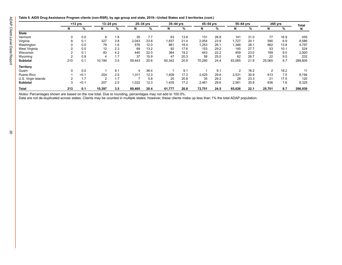**Table 9. AIDS Drug Assistance Program clients (non-RSR), by age group and state, 2019—United States and 3 territories** *(cont.)*

|                     | $<$ 13 yrs |       | $13 - 24$ yrs  |     | 25-34 yrs |      | 35–44 yrs |      | 45-54 yrs |      | 55-64 yrs |      | $≥65$ yrs |      | <b>Total</b> |
|---------------------|------------|-------|----------------|-----|-----------|------|-----------|------|-----------|------|-----------|------|-----------|------|--------------|
|                     | N          | %     | N              | %   | N         | %    | N         | %    | N         | %    | N         | $\%$ | N         | %    | N            |
| <b>State</b>        |            |       |                |     |           |      |           |      |           |      |           |      |           |      |              |
| Vermont             | 0          | 0.0   | 8              | 1.8 | 35        | 7.7  | 63        | 13.8 | 131       | 28.8 | 141       | 31.0 | 77        | 16.9 | 455          |
| Virginia            | 8          | 0.1   | 327            | 3.8 | 2,043     | 23.8 | 1,837     | 21.4 | 2,054     | 23.9 | 1,727     | 20.1 | 590       | 6.9  | 8,586        |
| Washington          |            | 0.0   | 79             | 1.6 | 576       | 12.0 | 881       | 18.4 | 1,253     | 26.1 | 1,346     | 28.1 | 662       | 13.8 | 4,797        |
| West Virginia       |            | 0.0   | 12             | 2.3 | 69        | 13.2 | 92        | 17.6 | 153       | 29.2 | 145       | 27.7 | 53        | 10.1 | 524          |
| Wisconsin           |            | 0.1   | 83             | 4.2 | 440       | 22.0 | 384       | 19.2 | 443       | 22.2 | 459       | 23.0 | 189       | 9.5  | 2,000        |
| Wyoming             |            | 0.9   | $\overline{4}$ | 1.7 | 37        | 15.9 | 47        | 20.3 | 58        | 25.0 | 62        | 26.7 | 22        | 9.5  | 232          |
| Subtotal            | 210        | 0.1   | 10,190         | 3.5 | 59,443    | 20.6 | 60,342    | 20.9 | 70,290    | 24.4 | 63,065    | 21.9 | 25,065    | 8.7  | 288,605      |
| <b>Territory</b>    |            |       |                |     |           |      |           |      |           |      |           |      |           |      |              |
| Guam                | $\Omega$   | 0.0   |                | 9.1 | 4         | 36.4 |           | 9.1  |           | 9.1  | 2         | 18.2 | 2         | 18.2 | 11           |
| Puerto Rico         |            | < 0.1 | 204            | 2.5 | 1,011     | 12.3 | 1,409     | 17.2 | 2,425     | 29.6 | 2,531     | 30.9 | 613       | 7.5  | 8,194        |
| U.S. Virgin Islands |            | 1.7   | $\overline{2}$ | 1.7 |           | 5.8  | 25        | 20.8 | 35        | 29.2 | 28        | 23.3 | 21        | 17.5 | 120          |
| <b>Subtotal</b>     | 3          | < 0.1 | 207            | 2.5 | 1,022     | 12.3 | 1,435     | 17.2 | 2,461     | 29.6 | 2,561     | 30.8 | 636       | 7.6  | 8,325        |
| Total               | 213        | 0.1   | 10,397         | 3.5 | 60,465    | 20.4 | 61,777    | 20.8 | 72,751    | 24.5 | 65,626    | 22.1 | 25.701    | 8.7  | 296,930      |

*Notes:* Percentages shown are based on the row total. Due to rounding, percentages may not add to 100.0%.

Data are not de-duplicated across states. Clients may be counted in multiple states; however, these clients make up less than 1% the total ADAP population.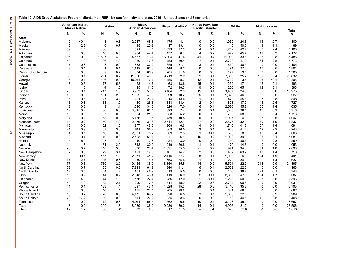<span id="page-23-0"></span>

| Table 10. AIDS Drug Assistance Program clients (non-RSR), by race/ethnicity and state, 2019—United States and 3 territories |  |  |  |
|-----------------------------------------------------------------------------------------------------------------------------|--|--|--|
|-----------------------------------------------------------------------------------------------------------------------------|--|--|--|

|                      |                | American Indian/<br>Alaska Native | Asian          |      | Black/<br>African American |      | Hispanic/Latino <sup>a</sup> |      |                | Native Hawaiian/<br><b>Pacific Islander</b> | White  |      | <b>Multiple races</b> |       |                   |
|----------------------|----------------|-----------------------------------|----------------|------|----------------------------|------|------------------------------|------|----------------|---------------------------------------------|--------|------|-----------------------|-------|-------------------|
|                      | N              | %                                 | N              | %    | N                          | %    | N                            | %    | N              | %                                           | N      | %    | N                     | %     | <b>Total</b><br>N |
| <b>State</b>         |                |                                   |                |      |                            |      |                              |      |                |                                             |        |      |                       |       |                   |
| Alabama              | $\overline{2}$ | $0.1$                             | 11             | 0.3  | 2,937                      | 68.3 | 175                          | 4.1  | $\Omega$       | 0.0                                         | 1.059  | 24.6 | 116                   | 2.7   | 4,300             |
| Alaska               | $\overline{2}$ | 2.2                               | 6              | 6.7  | 18                         | 20.2 | 17                           | 19.1 | $\Omega$       | 0.0                                         | 45     | 50.6 | $\overline{1}$        | 1.1   | 89                |
| Arizona              | 59             | 1.4                               | 66             | 1.6  | 591                        | 14.4 | 1,533                        | 37.3 | 4              | 0.1                                         | 1,752  | 42.7 | 100                   | 2.4   | 4,105             |
| Arkansas             | 6              | 0.3                               | 10             | 0.5  | 964                        | 44.4 | 177                          | 8.1  | $\overline{4}$ | 0.2                                         | 992    | 45.7 | 19                    | 0.9   | 2,172             |
| California           | 105            | 0.3                               | 1,517          | 4.3  | 4,637                      | 13.1 | 16.804                       | 47.4 | 141            | 0.4                                         | 11,999 | 33.8 | 283                   | 0.8   | 35,486            |
| Colorado             | 58             | 1.0                               | 106            | 1.8  | 960                        | 16.6 | 1,753                        | 30.4 | 7              | 0.1                                         | 2,728  | 47.3 | 161                   | 2.8   | 5,773             |
| Connecticut          | $\overline{7}$ | 0.3                               | 18             | 0.9  | 783                        | 37.2 | 655                          | 31.1 | 3              | 0.1                                         | 639    | 30.4 | $\mathbf 0$           | 0.0   | 2,105             |
| Delaware             | $\overline{2}$ | 0.1                               | 1              | 0.1  | 1,149                      | 63.8 | 148                          | 8.2  | $\Omega$       | 0.0                                         | 491    | 27.3 | 10                    | 0.6   | 1,801             |
| District of Columbia | $\Omega$       | 0.0                               | 9              | 0.7  | 834                        | 63.9 | 285                          | 21.8 | $\Omega$       | 0.0                                         | 177    | 13.6 | $\Omega$              | 0.0   | 1,305             |
| Florida              | 36             | 0.1                               | 201            | 0.7  | 11,680                     | 40.8 | 9,219                        | 32.2 | 32             | 0.1                                         | 7,355  | 25.7 | 109                   | 0.4   | 28,632            |
| Georgia              | 16             | 0.1                               | 116            | 0.9  | 10,211                     | 76.7 | 1,155                        | 8.7  | 12             | 0.1                                         | 1,792  | 13.5 | 3                     | < 0.1 | 13,305            |
| Hawaii               | 3              | 0.6                               | 77             | 15.6 | 23                         | 4.7  | 68                           | 13.8 | 45             | 9.1                                         | 232    | 47.1 | 45                    | 9.1   | 493               |
| Idaho                | 4              | 1.0                               | 4              | 1.0  | 45                         | 11.5 | 72                           | 18.3 | $\mathbf 0$    | 0.0                                         | 256    | 65.1 | 12                    | 3.1   | 393               |
| <b>Illinois</b>      | 20             | 0.1                               | 247            | 1.8  | 6.983                      | 50.0 | 3.184                        | 22.8 | 15             | 0.1                                         | 3.437  | 24.6 | 89                    | 0.6   | 13,975            |
| Indiana              | 10             | 0.3                               | 101            | 2.6  | 1,592                      | 40.5 | 399                          | 10.2 | 5              | 0.1                                         | 1,820  | 46.3 | $\mathbf 0$           | 0.0   | 3,927             |
| lowa                 | 5              | 0.6                               | 27             | 3.2  | 221                        | 26.1 | 114                          | 13.4 | $\mathbf{1}$   | 0.1                                         | 473    | 55.8 | $\overline{7}$        | 0.8   | 848               |
| Kansas               | 13             | 0.8                               | 33             | 1.9  | 489                        | 28.3 | 318                          | 18.4 | $\overline{2}$ | 0.1                                         | 828    | 47.9 | 44                    | 2.5   | 1,727             |
| Kentucky             | 12             | 0.3                               | 49             | 1.1  | 1,590                      | 34.3 | 326                          | 7.0  | 6              | 0.1                                         | 2,586  | 55.8 | 66                    | 1.4   | 4,635             |
| Louisiana            | 12             | 0.2                               | 30             | 0.6  | 3,315                      | 62.4 | 393                          | 7.4  | 6              | 0.1                                         | 1,545  | 29.1 | 15                    | 0.3   | 5,316             |
| Maine                | 10             | 0.9                               | $\overline{7}$ | 0.6  | 234                        | 21.0 | 58                           | 5.2  | $\Omega$       | 0.0                                         | 766    | 68.8 | 38                    | 3.4   | 1,113             |
| Maryland             | 17             | 0.2                               | 63             | 0.9  | 5,186                      | 73.6 | 739                          | 10.5 | $\mathbf 0$    | 0.0                                         | 1,007  | 14.3 | 35                    | 0.5   | 7,047             |
| Massachusetts        | 14             | 0.2                               | 150            | 1.9  | 2,476                      | 31.6 | 2,514                        | 32.1 | 27             | 0.3                                         | 2,577  | 32.9 | 79                    | 1.0   | 7,837             |
| Michigan             | 13             | 0.3                               | 62             | 1.5  | 1,977                      | 48.3 | 268                          | 6.6  | 4              | 0.1                                         | 1.710  | 41.8 | 57                    | 1.4   | 4,091             |
| Minnesota            | 21             | 0.9                               | 67             | 3.0  | 811                        | 36.2 | 369                          | 16.5 | 3              | 0.1                                         | 923    | 41.2 | 49                    | 2.2   | 2,243             |
| Mississippi          | 4              | 0.1                               | 10             | 0.3  | 2,351                      | 78.2 | 69                           | 2.3  | $\mathbf{1}$   | $0.1$                                       | 558    | 18.6 | 13                    | 0.4   | 3,006             |
| Missouri             | 18             | 0.4                               | 40             | 0.8  | 2,598                      | 51.1 | 311                          | 6.1  | 10             | 0.2                                         | 1,998  | 39.3 | 106                   | 2.1   | 5,081             |
| Montana              | 15             | 5.0                               | 3              | 1.0  | 10                         | 3.3  | 24                           | 8.0  | $\mathbf 0$    | 0.0                                         | 240    | 80.3 | 7                     | 2.3   | 299               |
| Nebraska             | 14             | 1.3                               | 31             | 2.9  | 318                        | 30.2 | 219                          | 20.8 | $\overline{1}$ | 0.1                                         | 470    | 44.6 | $\Omega$              | 0.0   | 1,053             |
| Nevada               | 20             | 0.7                               | 110            | 3.8  | 676                        | 23.4 | 1,021                        | 35.3 | 21             | 0.7                                         | 991    | 34.3 | 51                    | 1.8   | 2,890             |
| New Hampshire        | $\overline{2}$ | 0.3                               | 22             | 3.1  | 121                        | 17.0 | 101                          | 14.2 | $\overline{2}$ | 0.3                                         | 452    | 63.7 | 10                    | 1.4   | 710               |
| New Jersey           | 3              | $0.1$                             | 117            | 1.8  | 2,671                      | 41.7 | 2,416                        | 37.7 | 8              | 0.1                                         | 1,062  | 16.6 | 124                   | 1.9   | 6,401             |
| New Mexico           | 17             | 2.7                               | 5              | 0.8  | 30                         | 4.7  | 353                          | 55.4 | $\overline{1}$ | 0.2                                         | 222    | 34.9 | 9                     | 1.4   | 637               |
| <b>New York</b>      | 77             | 0.3                               | 730            | 2.9  | 9,455                      | 38.0 | 8,850                        | 35.5 | 44             | 0.2                                         | 5,521  | 22.2 | 218                   | 0.9   | 24,895            |
| North Carolina       | 82             | 0.7                               | 85             | 0.8  | 7,241                      | 64.9 | 1,240                        | 11.1 | 6              | 0.1                                         | 2,509  | 22.5 | $\mathbf 0$           | 0.0   | 11,163            |
| North Dakota         | 12             | 3.5                               | 4              | 1.2  | 161                        | 46.9 | 19                           | 5.5  | $\mathbf 0$    | 0.0                                         | 126    | 36.7 | 21                    | 6.1   | 343               |
| Ohio                 | 13             | 0.2                               | 44             | 0.7  | 2.643                      | 43.4 | 419                          | 6.9  | $\overline{2}$ | $0.1$                                       | 2.862  | 47.0 | 104                   | 1.7   | 6.087             |
| Oklahoma             | 103            | 4.3                               | 44             | 1.8  | 536                        | 22.4 | 286                          | 12.0 | $\mathbf{1}$   | < 0.1                                       | 1,218  | 50.9 | 205                   | 8.6   | 2,393             |
| Oregon               | 50             | 1.3                               | 82             | 2.1  | 299                        | 7.6  | 744                          | 18.9 | 22             | 0.6                                         | 2.734  | 69.5 | $\Omega$              | 0.0   | 3,931             |
| Pennsylvania         | 11             | 0.1                               | 123            | 1.4  | 4,097                      | 47.1 | 1,328                        | 15.3 | 28             | 0.3                                         | 3,116  | 35.8 | $\mathbf 0$           | 0.0   | 8,703             |
| Rhode Island         | $\Omega$       | 0.0                               | 10             | 1.4  | 155                        | 22.4 | 205                          | 29.6 | $\overline{1}$ | 0.1                                         | 321    | 46.4 | $\Omega$              | 0.0   | 692               |
| South Carolina       | 10             | 0.2                               | 20             | 0.3  | 4,175                      | 69.7 | 390                          | 6.5  | 3              | 0.1                                         | 1,336  | 22.3 | 55                    | 0.9   | 5,989             |
| South Dakota         | 70             | 17.2                              | $\Omega$       | 0.0  | 111                        | 27.2 | 35                           | 8.6  | $\Omega$       | 0.0                                         | 182    | 44.6 | 10                    | 2.5   | 408               |
| Tennessee            | 19             | 0.2                               | 72             | 0.8  | 4,911                      | 56.5 | 562                          | 6.5  | 10             | 0.1                                         | 3,123  | 35.9 | $\mathbf 0$           | 0.0   | 8,697             |
| Texas                | 48             | 0.2                               | 299            | 1.3  | 8,989                      | 38.2 | 9,230                        | 39.3 | 14             | 0.1                                         | 4,926  | 21.0 | 0                     | 0.0   | 23,506            |
| Utah                 | 12             | 1.2                               | 30             | 3.0  | 99                         | 9.8  | 317                          | 31.3 | 4              | 0.4                                         | 543    | 53.6 | 8                     | 0.8   | 1,013             |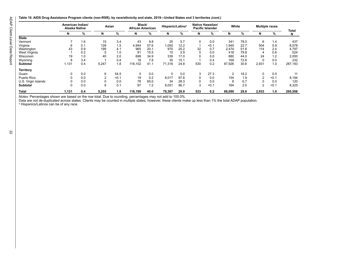**Table 10. AIDS Drug Assistance Program clients (non-RSR), by race/ethnicity and state, 2019—United States and 3 territories** *(cont.)*

|                     |       |     | American Indian/<br>Asian<br>Alaska Native |       | Black/<br><b>African American</b> |      | Hispanic/Latino <sup>a</sup> |      | Native Hawaiian/<br>Pacific Islander |       | White  |      | <b>Multiple races</b> |       | Total   |  |
|---------------------|-------|-----|--------------------------------------------|-------|-----------------------------------|------|------------------------------|------|--------------------------------------|-------|--------|------|-----------------------|-------|---------|--|
|                     | N     | %   | N                                          | %     | N                                 | %    | N                            | %    | N                                    | %     | N      | %    | N                     | %     | N       |  |
| State               |       |     |                                            |       |                                   |      |                              |      |                                      |       |        |      |                       |       |         |  |
| Vermont             |       | 1.6 | 15                                         | 3.4   | 43                                | 9.8  | 25                           | 5.7  | 0                                    | 0.0   | 341    | 78.0 | 6                     | 1.4   | 437     |  |
| Virginia            |       | 0.1 | 128                                        | 1.5   | 4,944                             | 57.6 | 1,050                        | 12.2 |                                      | $0.1$ | 1,945  | 22.7 | 504                   | 5.9   | 8,578   |  |
| Washington          | 43    | 0.9 | 199                                        | 4.1   | 965                               | 20.1 | 970                          | 20.2 | 32                                   | 0.7   | 2,474  | 51.6 | 114                   | 2.4   | 4,797   |  |
| West Virginia       |       | 0.2 |                                            | 1.0   | 81                                | 15.5 | 15                           | 2.9  | 0                                    | 0.0   | 418    | 79.8 | 4                     | 0.8   | 524     |  |
| Wisconsin           | 19    | 1.0 | 40                                         | 2.0   | 698                               | 34.9 | 339                          | 17.0 | 0                                    | 0.0   | 880    | 44.0 | 24                    | 1.2   | 2,000   |  |
| Wyoming             |       | 3.4 |                                            | 0.4   | 18                                | 7.8  | 35                           | 15.1 |                                      | 0.4   | 169    | 72.8 | $\Omega$              | 0.0   | 232     |  |
| Subtotal            | 1,131 | 0.4 | 5,247                                      | 1.8   | 118,102                           | 41.1 | 71,316                       | 24.8 | 530                                  | 0.2   | 87,926 | 30.6 | 2,931                 | 1.0   | 287,183 |  |
| <b>Territory</b>    |       |     |                                            |       |                                   |      |                              |      |                                      |       |        |      |                       |       |         |  |
| Guam                |       | 0.0 | 6                                          | 54.5  | 0                                 | 0.0  | $\mathbf 0$                  | 0.0  | 3                                    | 27.3  | 2      | 18.2 | 0                     | 0.0   | 11      |  |
| Puerto Rico         |       | 0.0 | 2                                          | < 0.1 | 19                                | 0.2  | 8,017                        | 97.8 | 0                                    | 0.0   | 154    | 1.9  | $\overline{2}$        | < 0.1 | 8,194   |  |
| U.S. Virgin Islands |       | 0.0 |                                            | 0.0   | 78                                | 65.0 | 34                           | 28.3 | 0                                    | 0.0   | 8      | 6.7  | 0                     | 0.0   | 120     |  |
| <b>Subtotal</b>     |       | 0.0 | 8                                          | 0.1   | 97                                | 1.2  | 8,051                        | 96.7 | 3                                    | < 0.1 | 164    | 2.0  | 2                     | < 0.1 | 8,325   |  |
| Total               | 1,131 | 0.4 | 5,255                                      | 1.8   | 118,199                           | 40.0 | 79,367                       | 26.9 | 533                                  | 0.2   | 88,090 | 29.8 | 2,933                 | 1.0   | 295,508 |  |

*Notes:* Percentages shown are based on the row total. Due to rounding, percentages may not add to 100.0%.

Data are not de-duplicated across states. Clients may be counted in multiple states; however, these clients make up less than 1% the total ADAP population. a Hispanics/Latinos can be of any race.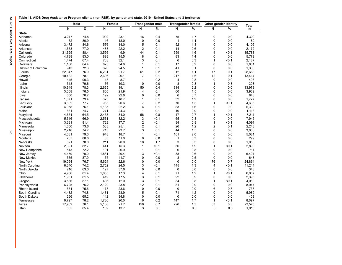#### <span id="page-25-0"></span>**Table 11. AIDS Drug Assistance Program clients (non-RSR), by gender and state, 2019—United States and 3 territories**

|                      | <b>Male</b> |              | Female |      |                | <b>Transgender male</b> | <b>Transgender female</b> |     |                | Other gender identity | <b>Total</b> |
|----------------------|-------------|--------------|--------|------|----------------|-------------------------|---------------------------|-----|----------------|-----------------------|--------------|
|                      | N           | $\%$         | N      | %    | N              | %                       | N                         | %   | Ν              | %                     | N            |
| <b>State</b>         |             |              |        |      |                |                         |                           |     |                |                       |              |
| Alabama              | 3,217       | 74.8         | 992    | 23.1 | 16             | 0.4                     | 75                        | 1.7 | $\mathbf 0$    | 0.0                   | 4,300        |
| Alaska               | 72          | 80.9         | 16     | 18.0 | 0              | 0.0                     | $\mathbf{1}$              | 1.1 | $\mathbf 0$    | 0.0                   | 89           |
| Arizona              | 3,472       | 84.6         | 576    | 14.0 | 5              | 0.1                     | 52                        | 1.3 | $\mathbf 0$    | 0.0                   | 4,105        |
| Arkansas             | 1,673       | 77.0         | 483    | 22.2 | $\overline{2}$ | 0.1                     | 14                        | 0.6 | $\mathbf 0$    | 0.0                   | 2,172        |
| California           | 31,625      | 88.4         | 3,556  | 9.9  | 44             | 0.1                     | 559                       | 1.6 | 4              | < 0.1                 | 35,788       |
| Colorado             | 4,788       | 83.0         | 893    | 15.5 | 8              | 0.1                     | 83                        | 1.4 | $\mathbf 0$    | 0.0                   | 5,772        |
| Connecticut          | 1,474       | 67.4         | 703    | 32.1 | 3              | 0.1                     | 6                         | 0.3 | $\mathbf{1}$   | $0.1$                 | 2,187        |
| Delaware             | 1,160       | 64.4         | 623    | 34.6 | $\mathbf 1$    | 0.1                     | 17                        | 0.9 | $\mathbf 0$    | 0.0                   | 1,801        |
| District of Columbia | 943         | 72.3         | 320    | 24.5 | $\mathbf{1}$   | 0.1                     | 41                        | 3.1 | 0              | 0.0                   | 1,305        |
| Florida              | 22,047      | 76.9         | 6,231  | 21.7 | 61             | 0.2                     | 312                       | 1.1 | 17             | 0.1                   | 28,668       |
| Georgia              | 10,482      | 78.1         | 2,696  | 20.1 | $\overline{7}$ | 0.1                     | 217                       | 1.6 | 12             | 0.1                   | 13,414       |
| Hawaii               | 445         | 90.3         | 43     | 8.7  | $\mathbf{1}$   | 0.2                     | 4                         | 0.8 | $\mathbf 0$    | 0.0                   | 493          |
| Idaho                | 313         | 79.6         | 76     | 19.3 | $\mathbf 0$    | 0.0                     | 3                         | 0.8 | $\mathbf{1}$   | 0.3                   | 393          |
| Illinois             | 10,949      | 78.3         | 2,665  | 19.1 | 50             | 0.4                     | 314                       | 2.2 | $\mathbf 0$    | 0.0                   | 13,978       |
| Indiana              | 3,008       | 76.5         | 860    | 21.9 | 4              | 0.1                     | 60                        | 1.5 | $\mathbf 0$    | 0.0                   | 3,932        |
| lowa                 | 650         | 76.7         | 192    | 22.6 | $\mathbf 0$    | 0.0                     | 6                         | 0.7 | $\mathbf 0$    | 0.0                   | 848          |
| Kansas               | 1,371       | 79.4         | 323    | 18.7 | $\mathbf{1}$   | 0.1                     | 32                        | 1.9 | $\Omega$       | 0.0                   | 1,727        |
| Kentucky             | 3,602       | 77.7         | 955    | 20.6 | $\overline{7}$ | 0.2                     | 70                        | 1.5 | $\overline{1}$ | < 0.1                 | 4,635        |
| Louisiana            | 4,058       | 76.1         | 1,185  | 22.2 | 4              | 0.1                     | 83                        | 1.6 | $\Omega$       | 0.0                   | 5,330        |
| Maine                | 831         | 74.7         | 271    | 24.3 | $\mathbf{1}$   | 0.1                     | 10                        | 0.9 | $\mathbf 0$    | 0.0                   | 1,113        |
|                      | 4,654       |              | 2,453  | 34.0 | 56             | 0.8                     | 47                        | 0.7 | 1              | < 0.1                 | 7,211        |
| Maryland             |             | 64.5<br>66.9 |        | 32.2 | 3              | < 0.1                   | 65                        | 0.8 | $\mathbf 0$    | 0.0                   |              |
| Massachusetts        | 5,316       |              | 2,561  |      |                |                         |                           |     | $\overline{1}$ |                       | 7,945        |
| Michigan             | 3,331       | 81.4         | 723    | 17.7 | $\overline{2}$ | < 0.1                   | 34                        | 0.8 |                | < 0.1                 | 4,091        |
| Minnesota            | 1,650       | 73.6         | 563    | 25.1 | $\overline{2}$ | 0.1                     | 26                        | 1.2 | $\overline{2}$ | 0.1                   | 2,243        |
| Mississippi          | 2,246       | 74.7         | 713    | 23.7 | 3              | 0.1                     | 44                        | 1.5 | $\Omega$       | 0.0                   | 3,006        |
| Missouri             | 4,031       | 79.3         | 948    | 18.7 | $\mathbf{1}$   | < 0.1                   | 101                       | 2.0 | $\mathbf 0$    | 0.0                   | 5,081        |
| Montana              | 265         | 88.6         | 33     | 11.0 | $\Omega$       | 0.0                     | $\mathbf{1}$              | 0.3 | $\Omega$       | 0.0                   | 299          |
| Nebraska             | 821         | 78.0         | 211    | 20.0 | 18             | 1.7                     | 3                         | 0.3 | $\mathbf 0$    | 0.0                   | 1,053        |
| Nevada               | 2,391       | 82.7         | 441    | 15.3 | $\mathbf{1}$   | < 0.1                   | 56                        | 1.9 | $\mathbf{1}$   | < 0.1                 | 2,890        |
| New Hampshire        | 513         | 72.2         | 191    | 26.9 | $\mathbf{1}$   | 0.1                     | 6                         | 0.8 | $\mathbf 0$    | 0.0                   | 711          |
| New Jersey           | 4.479       | 70.0         | 1,881  | 29.4 | 3              | < 0.1                   | 38                        | 0.6 | $\Omega$       | 0.0                   | 6.401        |
| New Mexico           | 565         | 87.9         | 75     | 11.7 | 0              | 0.0                     | 3                         | 0.5 | $\mathbf 0$    | 0.0                   | 643          |
| <b>New York</b>      | 19.064      | 76.7         | 5,624  | 22.6 | 0              | 0.0                     | $\mathbf 0$               | 0.0 | 176            | 0.7                   | 24,864       |
| North Carolina       | 8,340       | 74.2         | 2,752  | 24.5 | 3              | < 0.1                   | 145                       | 1.3 | 4              | $0.1$                 | 11,244       |
| North Dakota         | 216         | 63.0         | 127    | 37.0 | 0              | 0.0                     | $\mathbf 0$               | 0.0 | 0              | 0.0                   | 343          |
| Ohio                 | 4,956       | 81.4         | 1,055  | 17.3 | 4              | 0.1                     | 71                        | 1.2 | 1              | < 0.1                 | 6,087        |
| Oklahoma             | 1,951       | 81.5         | 419    | 17.5 | 3              | 0.1                     | 22                        | 0.9 | $\mathbf 0$    | 0.0                   | 2,395        |
| Oregon               | 3,536       | 87.1         | 486    | 12.0 | 3              | 0.1                     | 34                        | 0.8 | $\overline{1}$ | < 0.1                 | 4,060        |
| Pennsylvania         | 6,725       | 75.2         | 2,129  | 23.8 | 12             | 0.1                     | 81                        | 0.9 | $\mathbf 0$    | 0.0                   | 8,947        |
| Rhode Island         | 554         | 75.6         | 173    | 23.6 | $\mathbf 0$    | $0.0\,$                 | $\mathbf 0$               | 0.0 | 6              | 0.8                   | 733          |
| South Carolina       | 4,482       | 74.8         | 1,431  | 23.9 | 5              | 0.1                     | 71                        | 1.2 | $\mathbf 0$    | 0.0                   | 5,989        |
| South Dakota         | 266         | 65.2         | 142    | 34.8 | $\mathbf 0$    | 0.0                     | 0                         | 0.0 | $\mathbf 0$    | 0.0                   | 408          |
| Tennessee            | 6,797       | 78.2         | 1,736  | 20.0 | 16             | 0.2                     | 147                       | 1.7 | $\overline{1}$ | <0.1                  | 8,697        |
| Texas                | 17,902      | 76.1         | 5,108  | 21.7 | 156            | 0.7                     | 296                       | 1.3 | 63             | 0.3                   | 23,525       |
| Utah                 | 865         | 85.4         | 139    | 13.7 | 3              | 0.3                     | 6                         | 0.6 | $\Omega$       | 0.0                   | 1,013        |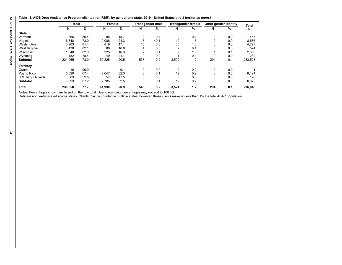#### **Table 11. AIDS Drug Assistance Program clients (non-RSR), by gender and state, 2019—United States and 3 territories** *(cont.)*

|                     | Male    |      | Female |      | Transgender male |       | <b>Transgender female</b> |     | Other gender identity |     | <b>Total</b> |
|---------------------|---------|------|--------|------|------------------|-------|---------------------------|-----|-----------------------|-----|--------------|
|                     | N       | %    | N      | %    | N                | %     | N                         | %   | N                     | %   | N            |
| <b>State</b>        |         |      |        |      |                  |       |                           |     |                       |     |              |
| Vermont             | 366     | 80.4 | 85     | 18.7 | $\overline{2}$   | 0.4   | 2                         | 0.4 | 0                     | 0.0 | 455          |
| Virginia            | 6.348   | 73.9 | 2,086  | 24.3 | 3                | < 0.1 | 149                       | 1.7 |                       | 0.0 | 8,586        |
| Washington          | 3,903   | 81.4 | 819    | 17.1 | 15               | 0.3   | 60                        | 1.3 |                       | 0.0 | 4,797        |
| West Virginia       | 430     | 82.1 | 88     | 16.8 | 4                | 0.8   | 2                         | 0.4 | 0                     | 0.0 | 524          |
| Wisconsin           | 1,640   | 82.0 | 325    | 16.3 | $\overline{2}$   | 0.1   | 32                        | 1.6 |                       | 0.1 | 2,000        |
| Wyoming             | 182     | 78.4 | 49     | 21.1 | 0                | 0.0   |                           | 0.4 | 0                     | 0.0 | 232          |
| <b>Subtotal</b>     | 224.965 | 78.0 | 59,225 | 20.5 | 537              | 0.2   | 3,502                     | 1.2 | 294                   | 0.1 | 288,523      |
| <b>Territory</b>    |         |      |        |      |                  |       |                           |     |                       |     |              |
| Guam                | 10      | 90.9 |        | 9.1  | 0                | 0.0   | $\Omega$                  | 0.0 | 0                     | 0.0 | 11           |
| Puerto Rico         | 5,520   | 67.4 | 2,647  | 32.3 | 8                | 0.1   | 19                        | 0.2 |                       | 0.0 | 8,194        |
| U.S. Virgin Islands | 63      | 52.5 | 57     | 47.5 |                  | 0.0   | 0                         | 0.0 |                       | 0.0 | 120          |
| <b>Subtotal</b>     | 5,593   | 67.2 | 2,705  | 32.5 | 8                | 0.1   | 19                        | 0.2 | 0                     | 0.0 | 8,325        |
| <b>Total</b>        | 230,558 | 77.7 | 61,930 | 20.9 | 545              | 0.2   | 3,521                     | 1.2 | 294                   | 0.1 | 296,848      |

*Notes:* Percentages shown are based on the row total. Due to rounding, percentages may not add to 100.0%.

Data are not de-duplicated across states. Clients may be counted in multiple states; however, these clients make up less than 1% the total ADAP population.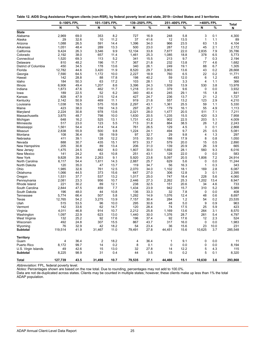<span id="page-27-0"></span>

|  |  | Table 12. AIDS Drug Assistance Program clients (non-RSR), by federal poverty level and state, 2019—United States and 3 territories |
|--|--|------------------------------------------------------------------------------------------------------------------------------------|
|  |  |                                                                                                                                    |

|                                        | 0-100% FPL      |              | 101-138% FPL |              | 139-250% FPL   |              | 251-400% FPL |              |              | >400% FPL  |                   |
|----------------------------------------|-----------------|--------------|--------------|--------------|----------------|--------------|--------------|--------------|--------------|------------|-------------------|
|                                        | N               | %            | N            | %            | N              | %            | N            | %            | N            | %          | <b>Total</b><br>N |
| <b>State</b>                           |                 |              |              |              |                |              |              |              |              |            |                   |
| Alabama                                | 2,969           | 69.0         | 353          | 8.2          | 727            | 16.9         | 248          | 5.8          | 3            | 0.1        | 4,300             |
| Alaska                                 | 29              | 32.6         | 10           | 11.2         | 37             | 41.6         | 12           | 13.5         | $\mathbf 1$  | 1.1        | 89                |
| Arizona                                | 1,088           | 26.5         | 591          | 14.4         | 1,396          | 34.0         | 966          | 23.5         | 63           | 1.5        | 4,104             |
| Arkansas                               | 1,051           | 48.4         | 289          | 13.3         | 500            | 23.0         | 287          | 13.2         | 45           | 2.1        | 2,172             |
| California                             | 9,424           | 26.3         | 3,546        | 9.9          | 12,104         | 33.8         | 7,877        | 22.0         | 2,835        | 7.9        | 35,786            |
| Colorado                               | 2,192           | 38.0         | 657          | 11.4         | 1,461          | 25.3         | 1,085        | 18.8         | 378          | 6.5        | 5,773             |
| Connecticut                            | 1,520           | 69.3         | 113          | 5.2          | 341            | 15.5         | 213          | 9.7          | 7            | 0.3        | 2,194             |
| Delaware                               | 810             | 48.2         | 196          | 11.7         | 367            | 21.8         | 232          | 13.8         | 77           | 4.6        | 1,682             |
| District of Columbia<br>Florida        | 450<br>12,782   | 34.5<br>44.6 | 178<br>3,420 | 13.6<br>11.9 | 340<br>8,520   | 26.1<br>29.7 | 249<br>3,903 | 19.1<br>13.6 | 88<br>43     | 6.7<br>0.2 | 1,305<br>28,668   |
| Georgia                                | 7,590           | 64.5         | 1,172        | 10.0         | 2,227          | 18.9         | 760          | 6.5          | 22           | 0.2        | 11,771            |
| Hawaii                                 | 142             | 28.8         | 88           | 17.8         | 198            | 40.2         | 59           | 12.0         | 6            | 1.2        | 493               |
| Idaho                                  | 184             | 50.3         | 63           | 17.2         | 103            | 28.1         | 12           | 3.3          | 4            | 1.1        | 366               |
| Illinois                               | 6,906           | 49.4         | 1,207        | 8.6          | 3,396          | 24.3         | 1,939        | 13.9         | 530          | 3.8        | 13,978            |
| Indiana                                | 1,873           | 47.6         | 462          | 11.7         | 1,218          | 31.0         | 379          | 9.6          | 0            | 0.0        | 3,932             |
| lowa                                   | 189             | 22.5         | 52           | 6.2          | 340            | 40.4         | 245          | 29.1         | 15           | 1.8        | 841               |
| Kansas                                 | 828             | 47.9         | 215          | 12.4         | 427            | 24.7         | 236          | 13.7         | 21           | 1.2        | 1,727             |
| Kentucky                               | 2,142           | 50.9         | 469          | 11.1         | 919            | 21.8         | 557          | 13.2         | 123          | 2.9        | 4,210             |
| Louisiana                              | 1,038           | 19.5         | 575          | 10.8         | 2,297          | 43.1         | 1,361        | 25.5         | 59           | 1.1        | 5,330             |
| Maine                                  | 423             | 38.0         | 159          | 14.3         | 297            | 26.7         | 179          | 16.1         | 55           | 4.9        | 1,113             |
| Maryland                               | 2,224           | 30.8         | 978          | 13.6         | 2,021          | 28.0         | 1,477        | 20.5         | 511          | 7.1        | 7,211             |
| Massachusetts                          | 3,875           | 48.7         | 798          | 10.0         | 1,630          | 20.5         | 1,235        | 15.5         | 420          | 5.3        | 7,958             |
| Michigan                               | 648             | 16.2         | 525          | 13.1         | 1,731          | 43.2         | 902          | 22.5         | 203          | 5.1        | 4,009             |
| Minnesota                              | 517             | 23.0         | 123          | 5.5          | 713            | 31.8         | 864          | 38.5         | 26           | 1.2        | 2,243             |
| Mississippi                            | 1,561           | 54.4         | 414          | 14.4         | 761            | 26.5         | 129          | 4.5          | 3            | 0.1        | 2,868             |
| Missouri<br>Montana                    | 2,838<br>108    | 55.9<br>36.4 | 500<br>59    | 9.8<br>19.9  | 1,224<br>97    | 24.1<br>32.7 | 494<br>29    | 9.7<br>9.8   | 25<br>4      | 0.5<br>1.3 | 5,081<br>297      |
| Nebraska                               | 411             | 39.1         | 128          | 12.2         | 315            | 30.0         | 188          | 17.9         | 8            | 0.8        | 1,050             |
| Nevada                                 | 888             | 30.7         | 435          | 15.1         | 973            | 33.7         | 579          | 20.0         | 15           | 0.5        | 2,890             |
| New Hampshire                          | 205             | 30.8         | 89           | 13.4         | 206            | 31.0         | 139          | 20.9         | 26           | 3.9        | 665               |
| New Jersey                             | 1,475           | 24.5         | 482          | 8.0          | 1,807          | 30.0         | 1,692        | 28.1         | 560          | 9.3        | 6,016             |
| New Mexico                             | 141             | 24.2         | 63           | 10.8         | 251            | 43.1         | 128          | 22.0         | 0            | 0.0        | 583               |
| New York                               | 9,828           | 39.4         | 2,263        | 9.1          | 5,920          | 23.8         | 5,097        | 20.5         | 1,806        | 7.2        | 24,914            |
| North Carolina                         | 6,117           | 54.4         | 1,611        | 14.3         | 2,887          | 25.7         | 629          | 5.6          | 0            | 0.0        | 11,244            |
| North Dakota                           | 120             | 35.0         | 47           | 13.7         | 119            | 34.7         | 56           | 16.3         | $\mathbf{1}$ | 0.3        | 343               |
| Ohio                                   | 1,985           | 32.6         | 761          | 12.5         | 2,070          | 34.0         | 1,102        | 18.1         | 169          | 2.8        | 6,087             |
| Oklahoma                               | 1,066           | 44.5         | 373          | 15.6         | 647            | 27.0         | 306          | 12.8         | 3            | 0.1        | 2,395             |
| Oregon                                 | 1,531           | 37.7         | 537          | 13.2         | 1,017          | 25.0         | 747          | 18.4         | 228          | 5.6        | 4,060             |
| Pennsylvania                           | 2,081           | 23.3         | 956          | 10.7         | 2,446          | 27.3         | 2,262        | 25.3         | 1,202        | 13.4       | 8,947             |
| Rhode Island                           | 221             | 30.2         | 89           | 12.1         | 238            | 32.5         | 151          | 20.6         | 34           | 4.6        | 733               |
| South Carolina                         | 2,844           | 47.5         | 459          | 7.7          | 1,434          | 23.9         | 942          | 15.7         | 310          | 5.2        | 5,989             |
| South Dakota<br><b>Tennessee</b>       | 196             | 48.0<br>66.4 | 44           | 10.8         | 136            | 33.3         | 32           | 7.8<br>12.4  | 0<br>48      | 0.0        | 408<br>8,697      |
| Texas                                  | 5,774<br>12,765 | 54.2         | 507<br>3,275 | 5.8<br>13.9  | 1,292<br>7,157 | 14.9<br>30.4 | 1,076<br>284 | 1.2          | 54           | 0.6<br>0.2 | 23,535            |
| Utah                                   | 515             | 53.5         | 96           | 10.0         | 295            | 30.6         | 48           | 5.0          | 9            | 0.9        | 963               |
| Vermont                                | 142             | 33.6         | 62           | 14.7         | 120            | 28.4         | 74           | 17.5         | 25           | 5.9        | 423               |
| Virginia                               | 4,011           | 46.8         | 914          | 10.7         | 2,212          | 25.8         | 1,169        | 13.6         | 264          | 3.1        | 8,570             |
| Washington                             | 1,097           | 22.9         | 623          | 13.0         | 1,440          | 30.0         | 1,376        | 28.7         | 261          | 5.4        | 4,797             |
| West Virginia                          | 132             | 25.2         | 92           | 17.6         | 196            | 37.4         | 92           | 17.6         | 12           | 2.3        | 524               |
| Wisconsin                              | 492             | 24.8         | 307          | 15.5         | 867            | 43.7         | 317          | 16.0         | $\pmb{0}$    | 0.0        | 1,983             |
| Wyoming                                | 76              | 32.9         | 42           | 18.2         | 54             | 23.4         | 36           | 15.6         | 23           | 10.0       | 231               |
| <b>Subtotal</b>                        | 119,514         | 41.9         | 31,467       | 11.0         | 79,491         | 27.8         | 44,451       | 15.6         | 10,625       | 3.7        | 285,548           |
| <b>Territory</b>                       |                 |              |              |              |                |              |              |              |              |            |                   |
| Guam                                   | 4               | 36.4         | $\sqrt{2}$   | 18.2         | 4              | 36.4         | $\mathbf{1}$ | 9.1          | 0            | 0.0        | 11                |
| Puerto Rico                            | 8,172           | 99.7         | 14           | 0.2          | 8              | 0.1          | 0            | 0.0          | $\mathbf 0$  | 0.0        | 8,194             |
| U.S. Virgin Islands<br><b>Subtotal</b> | 49              | 42.6<br>98.9 | 15<br>31     | 13.0         | 32<br>44       | 27.8<br>0.5  | 14<br>15     | 12.2         | 5<br>5       | 4.3<br>0.1 | 115               |
|                                        | 8,225           |              |              | 0.4          |                |              |              | 0.2          |              |            | 8,320             |
| <b>Total</b>                           | 127,739         | 43.5         | 31,498       | 10.7         | 79,535         | 27.1         | 44,466       | 15.1         | 10,630       | 3.6        | 293,868           |

*Abbreviation:* FPL, federal poverty level.

*Notes:* Percentages shown are based on the row total. Due to rounding, percentages may not add to 100.0%.

Data are not de-duplicated across states. Clients may be counted in multiple states; however, these clients make up less than 1% the total ADAP population.